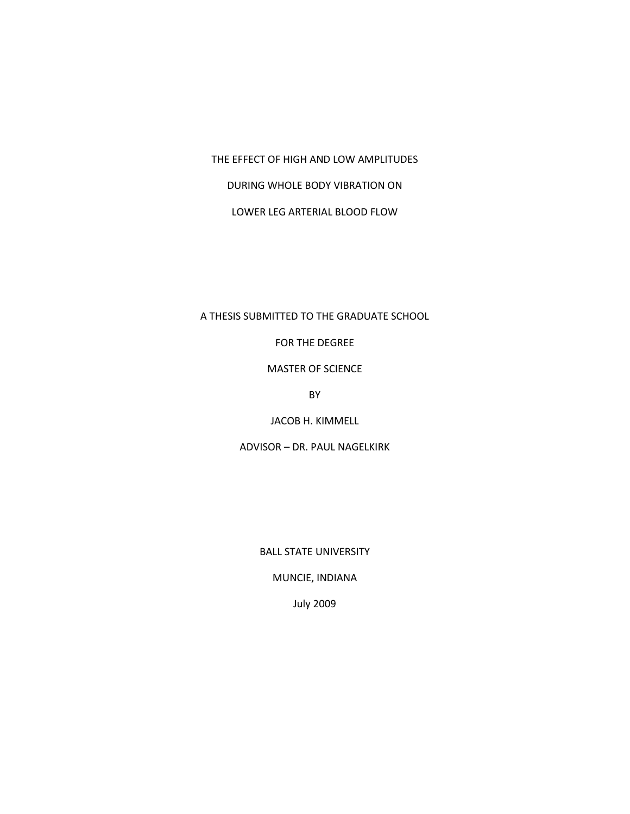THE EFFECT OF HIGH AND LOW AMPLITUDES

DURING WHOLE BODY VIBRATION ON

LOWER LEG ARTERIAL BLOOD FLOW

## A THESIS SUBMITTED TO THE GRADUATE SCHOOL

FOR THE DEGREE

MASTER OF SCIENCE

BY

JACOB H. KIMMELL

ADVISOR – DR. PAUL NAGELKIRK

BALL STATE UNIVERSITY

MUNCIE, INDIANA

July 2009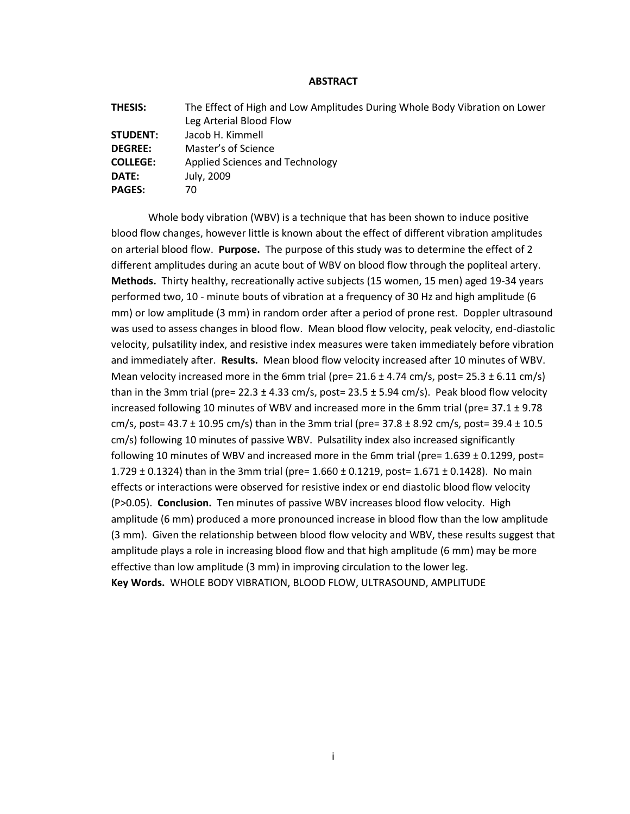## **ABSTRACT**

| <b>THESIS:</b>  | The Effect of High and Low Amplitudes During Whole Body Vibration on Lower |
|-----------------|----------------------------------------------------------------------------|
|                 | Leg Arterial Blood Flow                                                    |
| <b>STUDENT:</b> | Jacob H. Kimmell                                                           |
| <b>DEGREE:</b>  | Master's of Science                                                        |
| <b>COLLEGE:</b> | Applied Sciences and Technology                                            |
| DATE:           | July, 2009                                                                 |
| <b>PAGES:</b>   | 70                                                                         |

Whole body vibration (WBV) is a technique that has been shown to induce positive blood flow changes, however little is known about the effect of different vibration amplitudes on arterial blood flow. **Purpose.** The purpose of this study was to determine the effect of 2 different amplitudes during an acute bout of WBV on blood flow through the popliteal artery. **Methods.** Thirty healthy, recreationally active subjects (15 women, 15 men) aged 19-34 years performed two, 10 - minute bouts of vibration at a frequency of 30 Hz and high amplitude (6 mm) or low amplitude (3 mm) in random order after a period of prone rest. Doppler ultrasound was used to assess changes in blood flow. Mean blood flow velocity, peak velocity, end-diastolic velocity, pulsatility index, and resistive index measures were taken immediately before vibration and immediately after. **Results.** Mean blood flow velocity increased after 10 minutes of WBV. Mean velocity increased more in the 6mm trial (pre=  $21.6 \pm 4.74$  cm/s, post=  $25.3 \pm 6.11$  cm/s) than in the 3mm trial (pre= 22.3  $\pm$  4.33 cm/s, post= 23.5  $\pm$  5.94 cm/s). Peak blood flow velocity increased following 10 minutes of WBV and increased more in the 6mm trial (pre=  $37.1 \pm 9.78$ ) cm/s, post= 43.7 ± 10.95 cm/s) than in the 3mm trial (pre=  $37.8 \pm 8.92$  cm/s, post=  $39.4 \pm 10.5$ cm/s) following 10 minutes of passive WBV. Pulsatility index also increased significantly following 10 minutes of WBV and increased more in the 6mm trial (pre=  $1.639 \pm 0.1299$ , post= 1.729  $\pm$  0.1324) than in the 3mm trial (pre= 1.660  $\pm$  0.1219, post= 1.671  $\pm$  0.1428). No main effects or interactions were observed for resistive index or end diastolic blood flow velocity (P>0.05). **Conclusion.** Ten minutes of passive WBV increases blood flow velocity. High amplitude (6 mm) produced a more pronounced increase in blood flow than the low amplitude (3 mm). Given the relationship between blood flow velocity and WBV, these results suggest that amplitude plays a role in increasing blood flow and that high amplitude (6 mm) may be more effective than low amplitude (3 mm) in improving circulation to the lower leg. **Key Words.** WHOLE BODY VIBRATION, BLOOD FLOW, ULTRASOUND, AMPLITUDE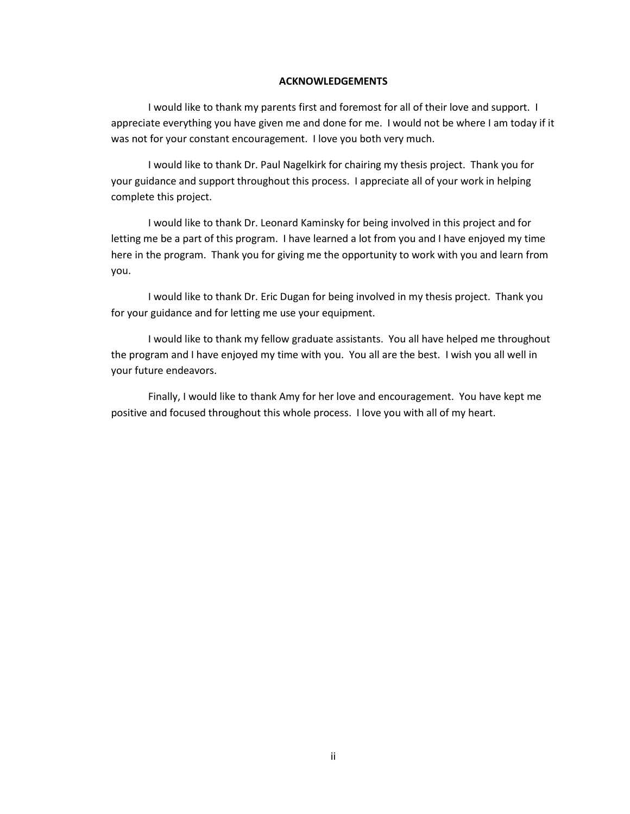## **ACKNOWLEDGEMENTS**

I would like to thank my parents first and foremost for all of their love and support. I appreciate everything you have given me and done for me. I would not be where I am today if it was not for your constant encouragement. I love you both very much.

I would like to thank Dr. Paul Nagelkirk for chairing my thesis project. Thank you for your guidance and support throughout this process. I appreciate all of your work in helping complete this project.

I would like to thank Dr. Leonard Kaminsky for being involved in this project and for letting me be a part of this program. I have learned a lot from you and I have enjoyed my time here in the program. Thank you for giving me the opportunity to work with you and learn from you.

I would like to thank Dr. Eric Dugan for being involved in my thesis project. Thank you for your guidance and for letting me use your equipment.

I would like to thank my fellow graduate assistants. You all have helped me throughout the program and I have enjoyed my time with you. You all are the best. I wish you all well in your future endeavors.

Finally, I would like to thank Amy for her love and encouragement. You have kept me positive and focused throughout this whole process. I love you with all of my heart.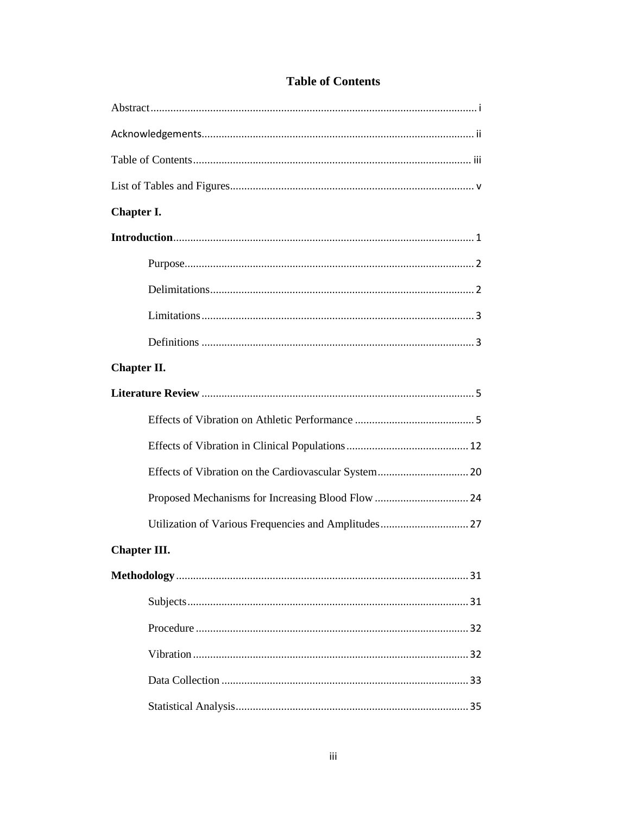| Chapter I.          |  |  |
|---------------------|--|--|
|                     |  |  |
|                     |  |  |
|                     |  |  |
|                     |  |  |
|                     |  |  |
| Chapter II.         |  |  |
|                     |  |  |
|                     |  |  |
|                     |  |  |
|                     |  |  |
|                     |  |  |
|                     |  |  |
| <b>Chapter III.</b> |  |  |
|                     |  |  |
|                     |  |  |
|                     |  |  |
|                     |  |  |
|                     |  |  |
|                     |  |  |

## **Table of Contents**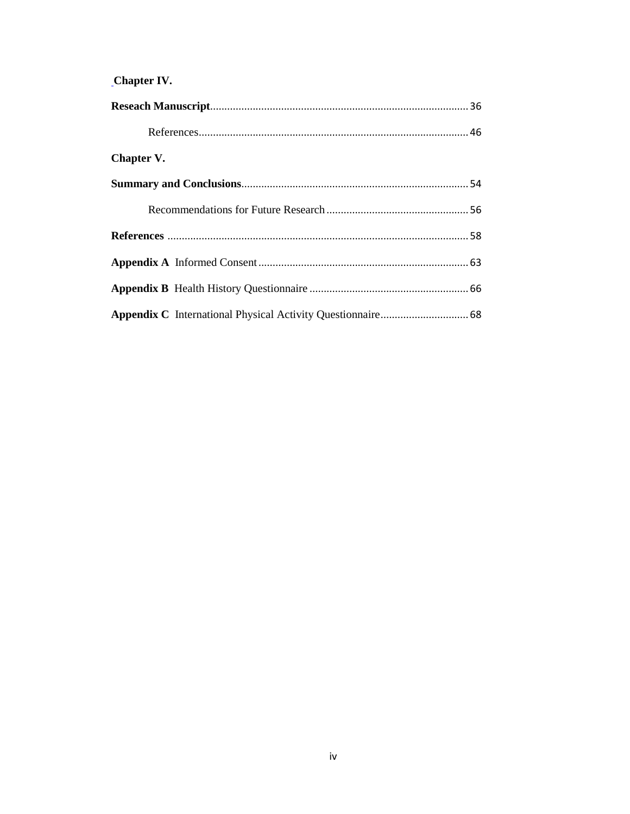# Chapter IV.

| Chapter V. |  |
|------------|--|
|            |  |
|            |  |
|            |  |
|            |  |
|            |  |
|            |  |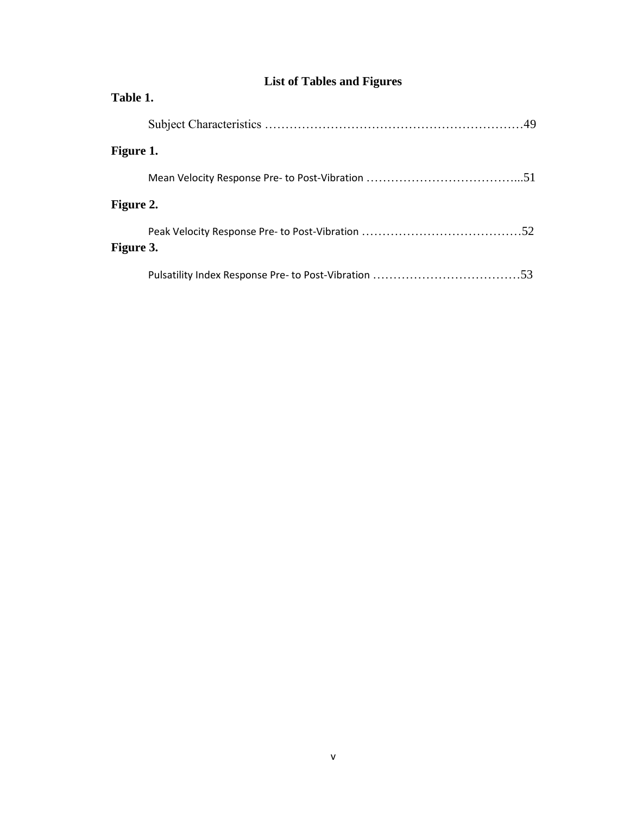| Table 1.  |  |     |  |  |
|-----------|--|-----|--|--|
|           |  |     |  |  |
| Figure 1. |  |     |  |  |
|           |  |     |  |  |
| Figure 2. |  |     |  |  |
| Figure 3. |  |     |  |  |
|           |  | .53 |  |  |

# **List of Tables and Figures**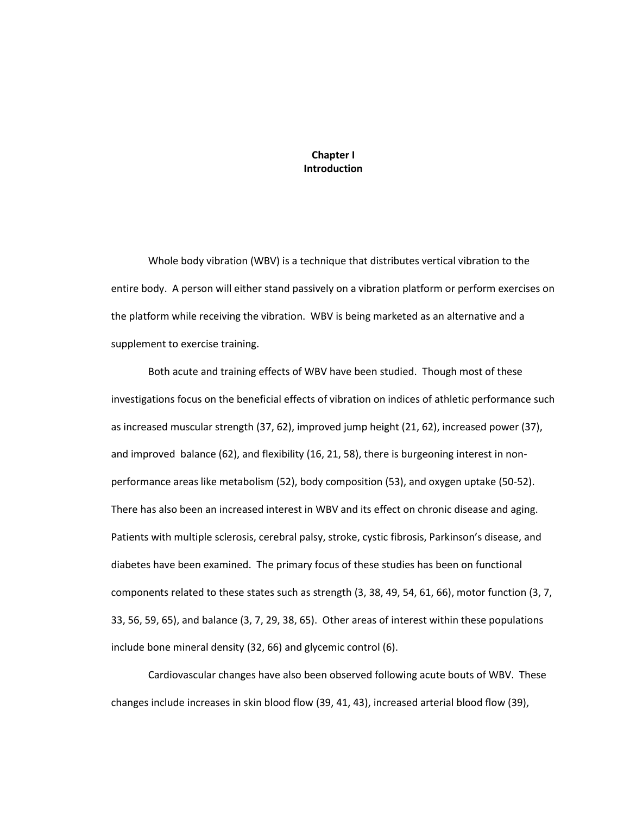**Chapter I Introduction**

Whole body vibration (WBV) is a technique that distributes vertical vibration to the entire body. A person will either stand passively on a vibration platform or perform exercises on the platform while receiving the vibration. WBV is being marketed as an alternative and a supplement to exercise training.

Both acute and training effects of WBV have been studied. Though most of these investigations focus on the beneficial effects of vibration on indices of athletic performance such as increased muscular strength (37, 62), improved jump height (21, 62), increased power (37), and improved balance (62), and flexibility (16, 21, 58), there is burgeoning interest in nonperformance areas like metabolism (52), body composition (53), and oxygen uptake (50-52). There has also been an increased interest in WBV and its effect on chronic disease and aging. Patients with multiple sclerosis, cerebral palsy, stroke, cystic fibrosis, Parkinson's disease, and diabetes have been examined. The primary focus of these studies has been on functional components related to these states such as strength (3, 38, 49, 54, 61, 66), motor function (3, 7, 33, 56, 59, 65), and balance (3, 7, 29, 38, 65). Other areas of interest within these populations include bone mineral density (32, 66) and glycemic control (6).

Cardiovascular changes have also been observed following acute bouts of WBV. These changes include increases in skin blood flow (39, 41, 43), increased arterial blood flow (39),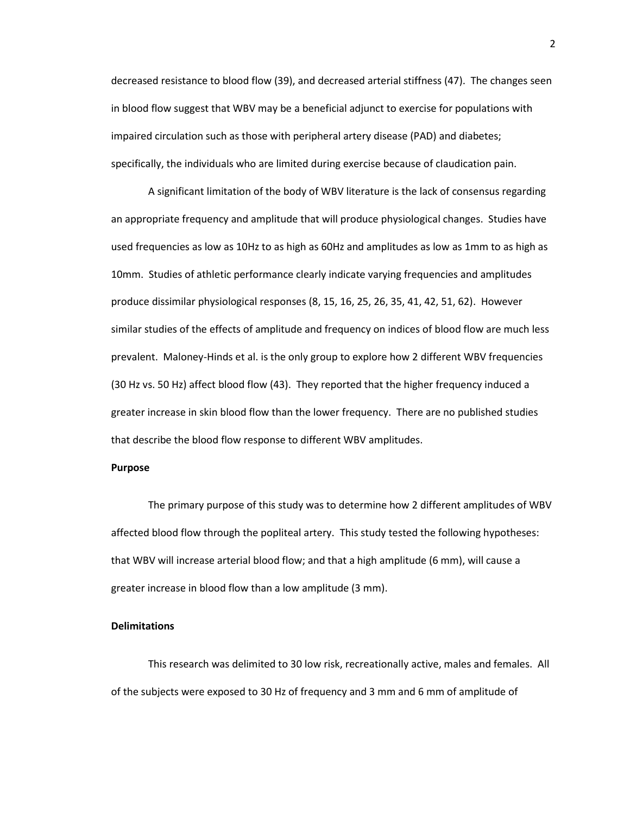decreased resistance to blood flow (39), and decreased arterial stiffness (47). The changes seen in blood flow suggest that WBV may be a beneficial adjunct to exercise for populations with impaired circulation such as those with peripheral artery disease (PAD) and diabetes; specifically, the individuals who are limited during exercise because of claudication pain.

A significant limitation of the body of WBV literature is the lack of consensus regarding an appropriate frequency and amplitude that will produce physiological changes. Studies have used frequencies as low as 10Hz to as high as 60Hz and amplitudes as low as 1mm to as high as 10mm. Studies of athletic performance clearly indicate varying frequencies and amplitudes produce dissimilar physiological responses (8, 15, 16, 25, 26, 35, 41, 42, 51, 62). However similar studies of the effects of amplitude and frequency on indices of blood flow are much less prevalent. Maloney-Hinds et al. is the only group to explore how 2 different WBV frequencies (30 Hz vs. 50 Hz) affect blood flow (43). They reported that the higher frequency induced a greater increase in skin blood flow than the lower frequency. There are no published studies that describe the blood flow response to different WBV amplitudes.

## **Purpose**

The primary purpose of this study was to determine how 2 different amplitudes of WBV affected blood flow through the popliteal artery. This study tested the following hypotheses: that WBV will increase arterial blood flow; and that a high amplitude (6 mm), will cause a greater increase in blood flow than a low amplitude (3 mm).

## **Delimitations**

This research was delimited to 30 low risk, recreationally active, males and females. All of the subjects were exposed to 30 Hz of frequency and 3 mm and 6 mm of amplitude of

2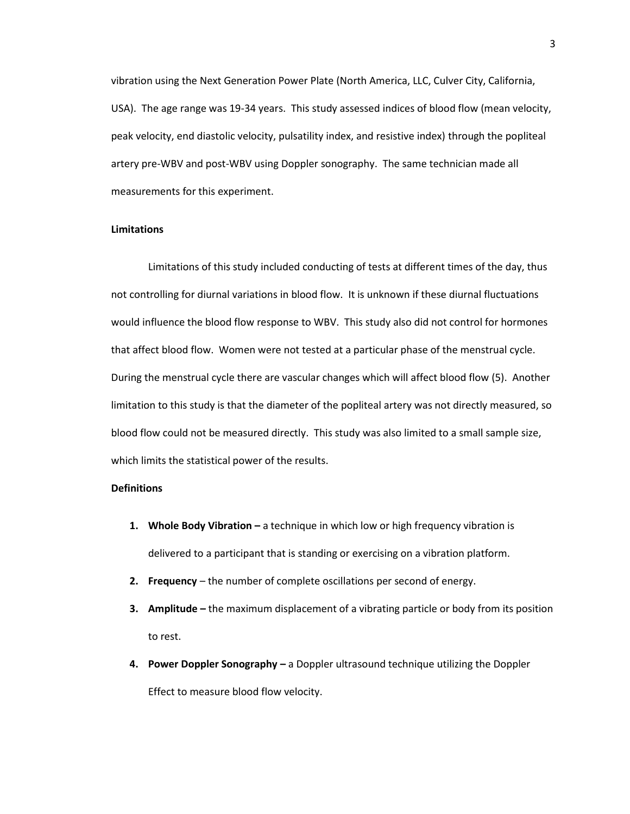vibration using the Next Generation Power Plate (North America, LLC, Culver City, California, USA). The age range was 19-34 years. This study assessed indices of blood flow (mean velocity, peak velocity, end diastolic velocity, pulsatility index, and resistive index) through the popliteal artery pre-WBV and post-WBV using Doppler sonography. The same technician made all measurements for this experiment.

## **Limitations**

Limitations of this study included conducting of tests at different times of the day, thus not controlling for diurnal variations in blood flow. It is unknown if these diurnal fluctuations would influence the blood flow response to WBV. This study also did not control for hormones that affect blood flow. Women were not tested at a particular phase of the menstrual cycle. During the menstrual cycle there are vascular changes which will affect blood flow (5). Another limitation to this study is that the diameter of the popliteal artery was not directly measured, so blood flow could not be measured directly. This study was also limited to a small sample size, which limits the statistical power of the results.

## **Definitions**

- **1. Whole Body Vibration -** a technique in which low or high frequency vibration is delivered to a participant that is standing or exercising on a vibration platform.
- **2. Frequency**  the number of complete oscillations per second of energy.
- **3. Amplitude –** the maximum displacement of a vibrating particle or body from its position to rest.
- **4. Power Doppler Sonography –** a Doppler ultrasound technique utilizing the Doppler Effect to measure blood flow velocity.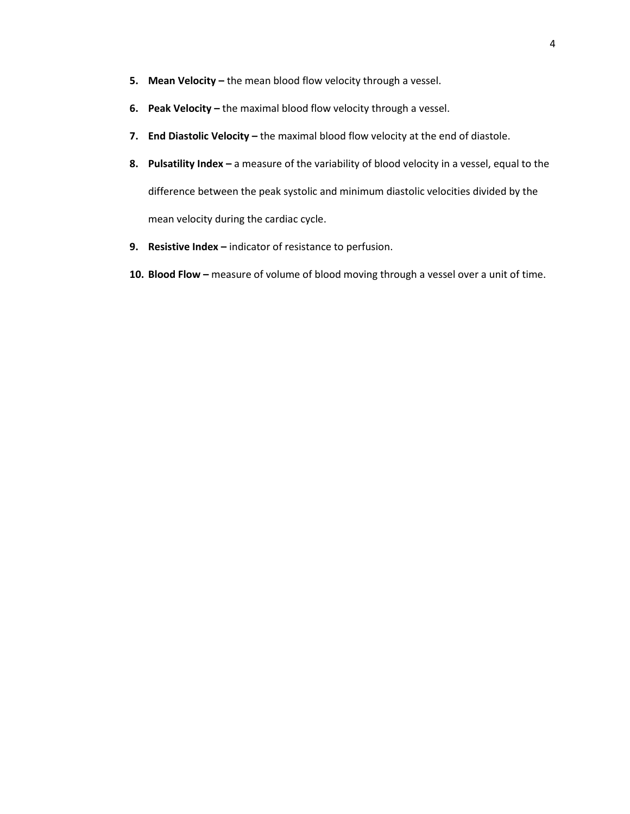- **5. Mean Velocity –** the mean blood flow velocity through a vessel.
- **6. Peak Velocity –** the maximal blood flow velocity through a vessel.
- **7. End Diastolic Velocity –** the maximal blood flow velocity at the end of diastole.
- **8. Pulsatility Index –** a measure of the variability of blood velocity in a vessel, equal to the difference between the peak systolic and minimum diastolic velocities divided by the mean velocity during the cardiac cycle.
- **9. Resistive Index –** indicator of resistance to perfusion.
- **10. Blood Flow –** measure of volume of blood moving through a vessel over a unit of time.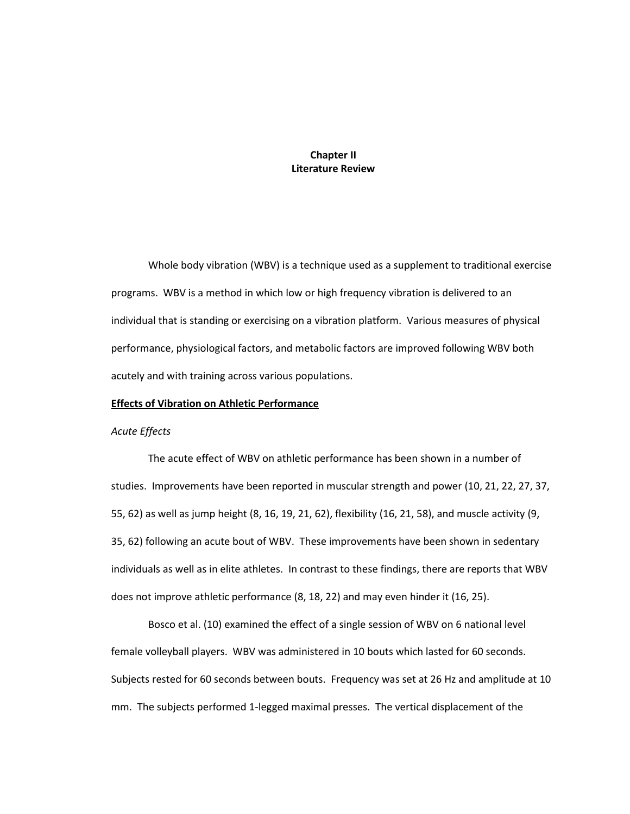## **Chapter II Literature Review**

Whole body vibration (WBV) is a technique used as a supplement to traditional exercise programs. WBV is a method in which low or high frequency vibration is delivered to an individual that is standing or exercising on a vibration platform. Various measures of physical performance, physiological factors, and metabolic factors are improved following WBV both acutely and with training across various populations.

## **Effects of Vibration on Athletic Performance**

## *Acute Effects*

The acute effect of WBV on athletic performance has been shown in a number of studies. Improvements have been reported in muscular strength and power (10, 21, 22, 27, 37, 55, 62) as well as jump height (8, 16, 19, 21, 62), flexibility (16, 21, 58), and muscle activity (9, 35, 62) following an acute bout of WBV. These improvements have been shown in sedentary individuals as well as in elite athletes. In contrast to these findings, there are reports that WBV does not improve athletic performance (8, 18, 22) and may even hinder it (16, 25).

Bosco et al. (10) examined the effect of a single session of WBV on 6 national level female volleyball players. WBV was administered in 10 bouts which lasted for 60 seconds. Subjects rested for 60 seconds between bouts. Frequency was set at 26 Hz and amplitude at 10 mm. The subjects performed 1-legged maximal presses. The vertical displacement of the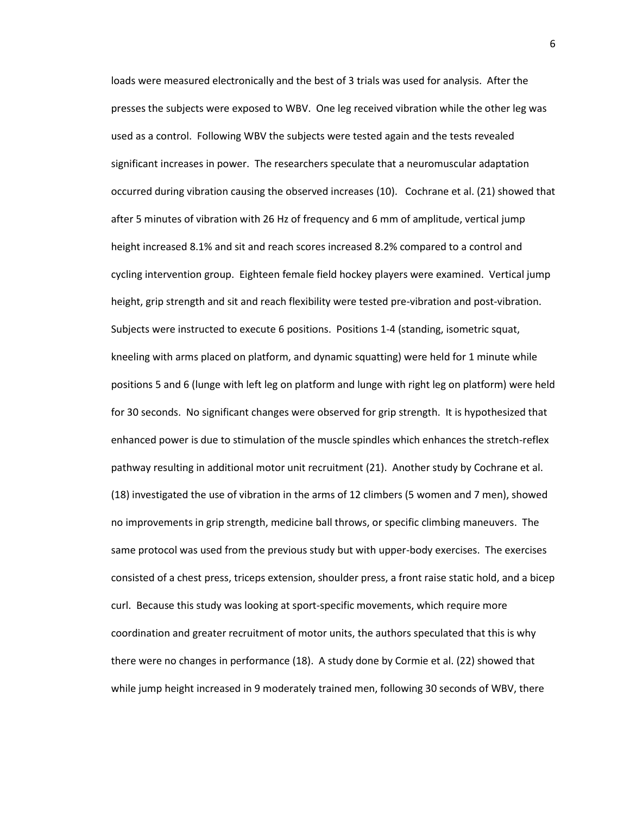loads were measured electronically and the best of 3 trials was used for analysis. After the presses the subjects were exposed to WBV. One leg received vibration while the other leg was used as a control. Following WBV the subjects were tested again and the tests revealed significant increases in power. The researchers speculate that a neuromuscular adaptation occurred during vibration causing the observed increases (10). Cochrane et al. (21) showed that after 5 minutes of vibration with 26 Hz of frequency and 6 mm of amplitude, vertical jump height increased 8.1% and sit and reach scores increased 8.2% compared to a control and cycling intervention group. Eighteen female field hockey players were examined. Vertical jump height, grip strength and sit and reach flexibility were tested pre-vibration and post-vibration. Subjects were instructed to execute 6 positions. Positions 1-4 (standing, isometric squat, kneeling with arms placed on platform, and dynamic squatting) were held for 1 minute while positions 5 and 6 (lunge with left leg on platform and lunge with right leg on platform) were held for 30 seconds. No significant changes were observed for grip strength. It is hypothesized that enhanced power is due to stimulation of the muscle spindles which enhances the stretch-reflex pathway resulting in additional motor unit recruitment (21). Another study by Cochrane et al. (18) investigated the use of vibration in the arms of 12 climbers (5 women and 7 men), showed no improvements in grip strength, medicine ball throws, or specific climbing maneuvers. The same protocol was used from the previous study but with upper-body exercises. The exercises consisted of a chest press, triceps extension, shoulder press, a front raise static hold, and a bicep curl. Because this study was looking at sport-specific movements, which require more coordination and greater recruitment of motor units, the authors speculated that this is why there were no changes in performance (18). A study done by Cormie et al. (22) showed that while jump height increased in 9 moderately trained men, following 30 seconds of WBV, there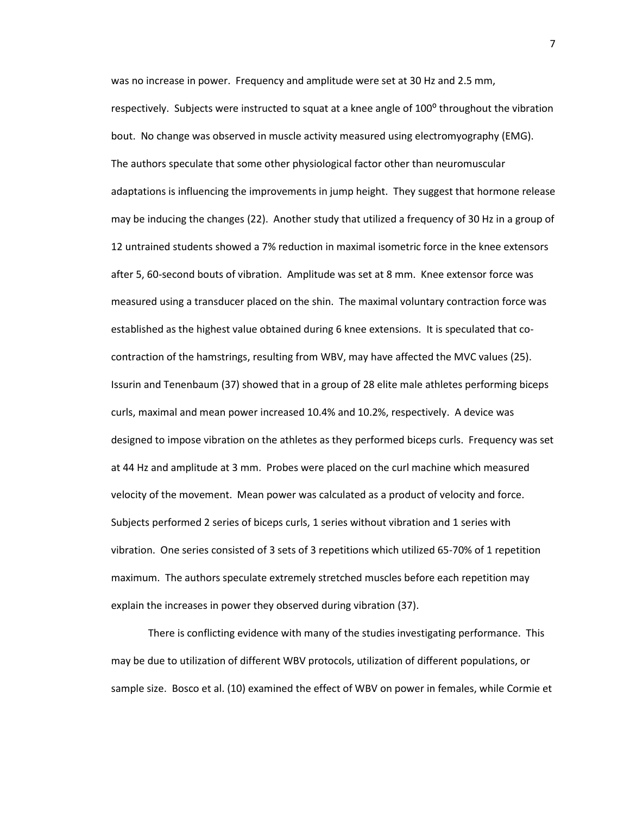was no increase in power. Frequency and amplitude were set at 30 Hz and 2.5 mm, respectively. Subjects were instructed to squat at a knee angle of 100<sup>o</sup> throughout the vibration bout. No change was observed in muscle activity measured using electromyography (EMG). The authors speculate that some other physiological factor other than neuromuscular adaptations is influencing the improvements in jump height. They suggest that hormone release may be inducing the changes (22). Another study that utilized a frequency of 30 Hz in a group of 12 untrained students showed a 7% reduction in maximal isometric force in the knee extensors after 5, 60-second bouts of vibration. Amplitude was set at 8 mm. Knee extensor force was measured using a transducer placed on the shin. The maximal voluntary contraction force was established as the highest value obtained during 6 knee extensions. It is speculated that cocontraction of the hamstrings, resulting from WBV, may have affected the MVC values (25). Issurin and Tenenbaum (37) showed that in a group of 28 elite male athletes performing biceps curls, maximal and mean power increased 10.4% and 10.2%, respectively. A device was designed to impose vibration on the athletes as they performed biceps curls. Frequency was set at 44 Hz and amplitude at 3 mm. Probes were placed on the curl machine which measured velocity of the movement. Mean power was calculated as a product of velocity and force. Subjects performed 2 series of biceps curls, 1 series without vibration and 1 series with vibration. One series consisted of 3 sets of 3 repetitions which utilized 65-70% of 1 repetition maximum. The authors speculate extremely stretched muscles before each repetition may explain the increases in power they observed during vibration (37).

There is conflicting evidence with many of the studies investigating performance. This may be due to utilization of different WBV protocols, utilization of different populations, or sample size. Bosco et al. (10) examined the effect of WBV on power in females, while Cormie et

7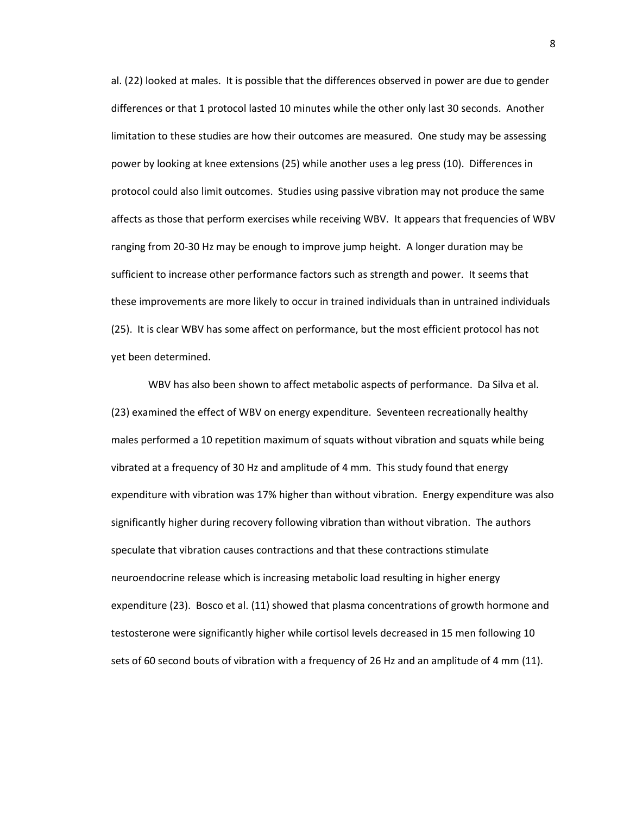al. (22) looked at males. It is possible that the differences observed in power are due to gender differences or that 1 protocol lasted 10 minutes while the other only last 30 seconds. Another limitation to these studies are how their outcomes are measured. One study may be assessing power by looking at knee extensions (25) while another uses a leg press (10). Differences in protocol could also limit outcomes. Studies using passive vibration may not produce the same affects as those that perform exercises while receiving WBV. It appears that frequencies of WBV ranging from 20-30 Hz may be enough to improve jump height. A longer duration may be sufficient to increase other performance factors such as strength and power. It seems that these improvements are more likely to occur in trained individuals than in untrained individuals (25). It is clear WBV has some affect on performance, but the most efficient protocol has not yet been determined.

WBV has also been shown to affect metabolic aspects of performance. Da Silva et al. (23) examined the effect of WBV on energy expenditure. Seventeen recreationally healthy males performed a 10 repetition maximum of squats without vibration and squats while being vibrated at a frequency of 30 Hz and amplitude of 4 mm. This study found that energy expenditure with vibration was 17% higher than without vibration. Energy expenditure was also significantly higher during recovery following vibration than without vibration. The authors speculate that vibration causes contractions and that these contractions stimulate neuroendocrine release which is increasing metabolic load resulting in higher energy expenditure (23). Bosco et al. (11) showed that plasma concentrations of growth hormone and testosterone were significantly higher while cortisol levels decreased in 15 men following 10 sets of 60 second bouts of vibration with a frequency of 26 Hz and an amplitude of 4 mm (11).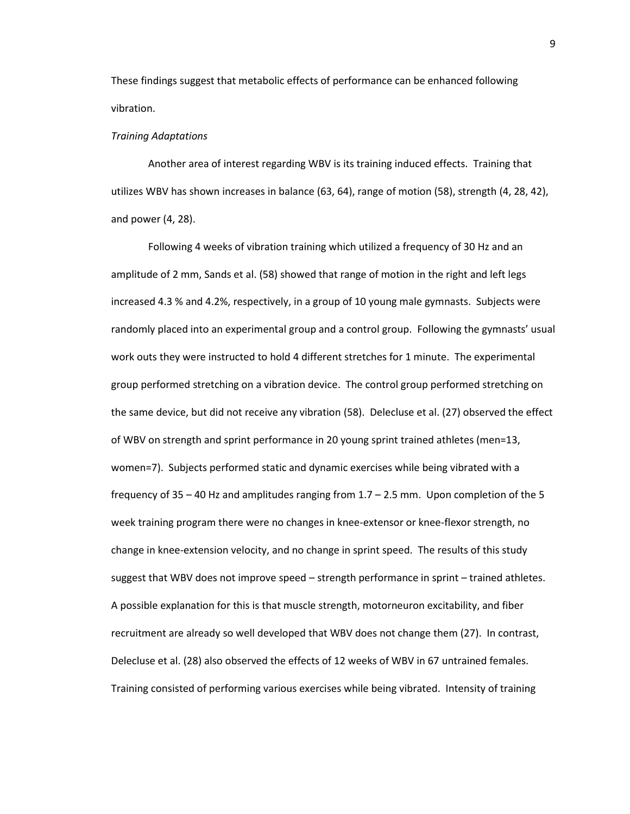These findings suggest that metabolic effects of performance can be enhanced following vibration.

## *Training Adaptations*

Another area of interest regarding WBV is its training induced effects. Training that utilizes WBV has shown increases in balance (63, 64), range of motion (58), strength (4, 28, 42), and power (4, 28).

Following 4 weeks of vibration training which utilized a frequency of 30 Hz and an amplitude of 2 mm, Sands et al. (58) showed that range of motion in the right and left legs increased 4.3 % and 4.2%, respectively, in a group of 10 young male gymnasts. Subjects were randomly placed into an experimental group and a control group. Following the gymnasts' usual work outs they were instructed to hold 4 different stretches for 1 minute. The experimental group performed stretching on a vibration device. The control group performed stretching on the same device, but did not receive any vibration (58). Delecluse et al. (27) observed the effect of WBV on strength and sprint performance in 20 young sprint trained athletes (men=13, women=7). Subjects performed static and dynamic exercises while being vibrated with a frequency of  $35 - 40$  Hz and amplitudes ranging from  $1.7 - 2.5$  mm. Upon completion of the 5 week training program there were no changes in knee-extensor or knee-flexor strength, no change in knee-extension velocity, and no change in sprint speed. The results of this study suggest that WBV does not improve speed – strength performance in sprint – trained athletes. A possible explanation for this is that muscle strength, motorneuron excitability, and fiber recruitment are already so well developed that WBV does not change them (27). In contrast, Delecluse et al. (28) also observed the effects of 12 weeks of WBV in 67 untrained females. Training consisted of performing various exercises while being vibrated. Intensity of training

9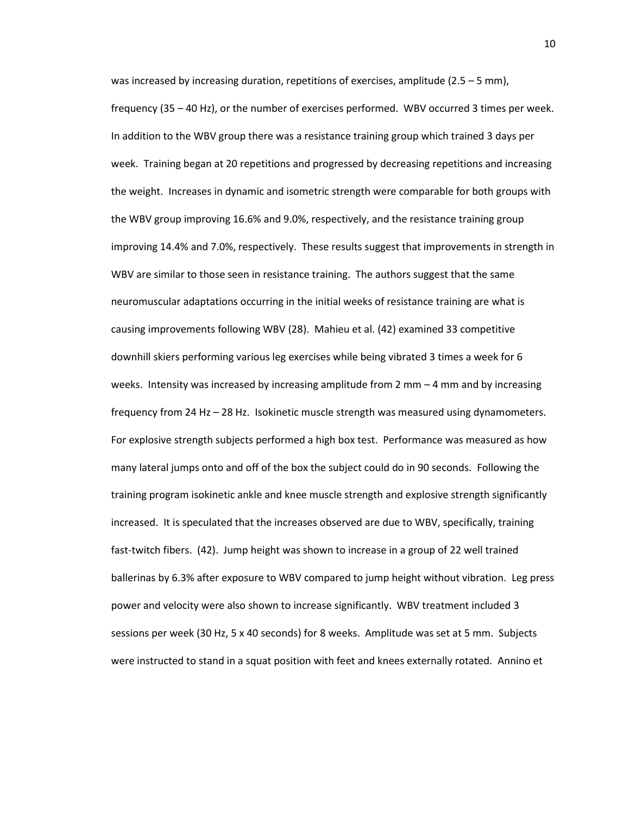was increased by increasing duration, repetitions of exercises, amplitude (2.5 – 5 mm), frequency (35 – 40 Hz), or the number of exercises performed. WBV occurred 3 times per week. In addition to the WBV group there was a resistance training group which trained 3 days per week. Training began at 20 repetitions and progressed by decreasing repetitions and increasing the weight. Increases in dynamic and isometric strength were comparable for both groups with the WBV group improving 16.6% and 9.0%, respectively, and the resistance training group improving 14.4% and 7.0%, respectively. These results suggest that improvements in strength in WBV are similar to those seen in resistance training. The authors suggest that the same neuromuscular adaptations occurring in the initial weeks of resistance training are what is causing improvements following WBV (28). Mahieu et al. (42) examined 33 competitive downhill skiers performing various leg exercises while being vibrated 3 times a week for 6 weeks. Intensity was increased by increasing amplitude from 2 mm – 4 mm and by increasing frequency from 24 Hz – 28 Hz. Isokinetic muscle strength was measured using dynamometers. For explosive strength subjects performed a high box test. Performance was measured as how many lateral jumps onto and off of the box the subject could do in 90 seconds. Following the training program isokinetic ankle and knee muscle strength and explosive strength significantly increased. It is speculated that the increases observed are due to WBV, specifically, training fast-twitch fibers. (42). Jump height was shown to increase in a group of 22 well trained ballerinas by 6.3% after exposure to WBV compared to jump height without vibration. Leg press power and velocity were also shown to increase significantly. WBV treatment included 3 sessions per week (30 Hz, 5 x 40 seconds) for 8 weeks. Amplitude was set at 5 mm. Subjects were instructed to stand in a squat position with feet and knees externally rotated. Annino et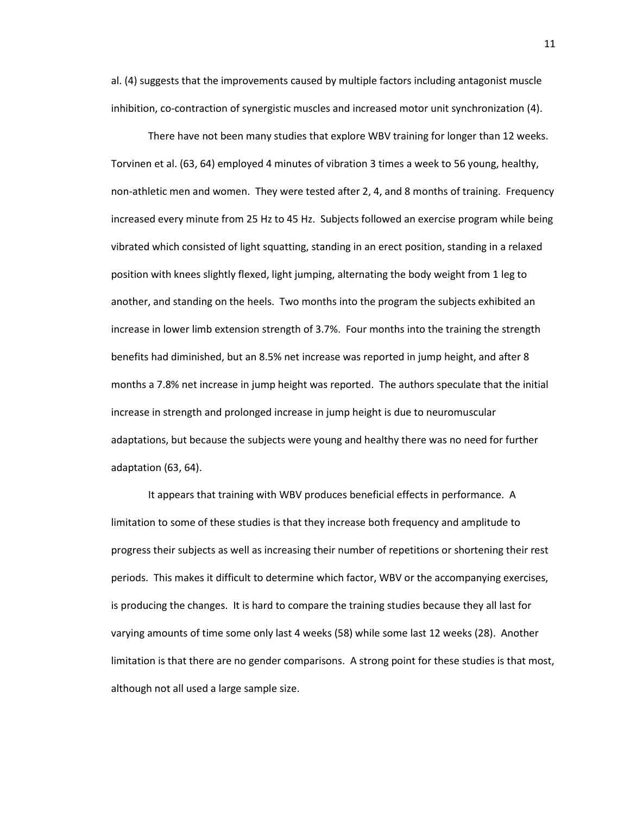al. (4) suggests that the improvements caused by multiple factors including antagonist muscle inhibition, co-contraction of synergistic muscles and increased motor unit synchronization (4).

There have not been many studies that explore WBV training for longer than 12 weeks. Torvinen et al. (63, 64) employed 4 minutes of vibration 3 times a week to 56 young, healthy, non-athletic men and women. They were tested after 2, 4, and 8 months of training. Frequency increased every minute from 25 Hz to 45 Hz. Subjects followed an exercise program while being vibrated which consisted of light squatting, standing in an erect position, standing in a relaxed position with knees slightly flexed, light jumping, alternating the body weight from 1 leg to another, and standing on the heels. Two months into the program the subjects exhibited an increase in lower limb extension strength of 3.7%. Four months into the training the strength benefits had diminished, but an 8.5% net increase was reported in jump height, and after 8 months a 7.8% net increase in jump height was reported. The authors speculate that the initial increase in strength and prolonged increase in jump height is due to neuromuscular adaptations, but because the subjects were young and healthy there was no need for further adaptation (63, 64).

It appears that training with WBV produces beneficial effects in performance. A limitation to some of these studies is that they increase both frequency and amplitude to progress their subjects as well as increasing their number of repetitions or shortening their rest periods. This makes it difficult to determine which factor, WBV or the accompanying exercises, is producing the changes. It is hard to compare the training studies because they all last for varying amounts of time some only last 4 weeks (58) while some last 12 weeks (28). Another limitation is that there are no gender comparisons. A strong point for these studies is that most, although not all used a large sample size.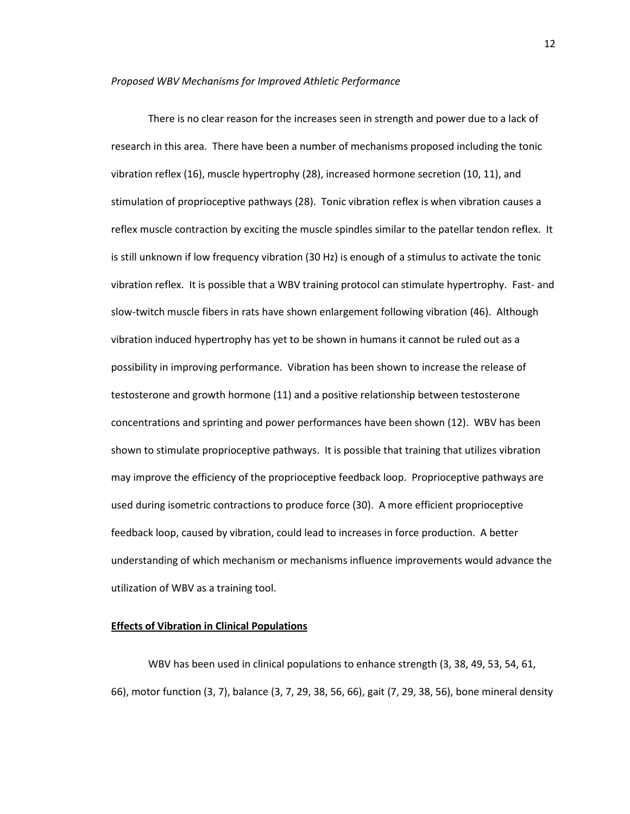#### *Proposed WBV Mechanisms for Improved Athletic Performance*

There is no clear reason for the increases seen in strength and power due to a lack of research in this area. There have been a number of mechanisms proposed including the tonic vibration reflex (16), muscle hypertrophy (28), increased hormone secretion (10, 11), and stimulation of proprioceptive pathways (28). Tonic vibration reflex is when vibration causes a reflex muscle contraction by exciting the muscle spindles similar to the patellar tendon reflex. It is still unknown if low frequency vibration (30 Hz) is enough of a stimulus to activate the tonic vibration reflex. It is possible that a WBV training protocol can stimulate hypertrophy. Fast- and slow-twitch muscle fibers in rats have shown enlargement following vibration (46). Although vibration induced hypertrophy has yet to be shown in humans it cannot be ruled out as a possibility in improving performance. Vibration has been shown to increase the release of testosterone and growth hormone (11) and a positive relationship between testosterone concentrations and sprinting and power performances have been shown (12). WBV has been shown to stimulate proprioceptive pathways. It is possible that training that utilizes vibration may improve the efficiency of the proprioceptive feedback loop. Proprioceptive pathways are used during isometric contractions to produce force (30). A more efficient proprioceptive feedback loop, caused by vibration, could lead to increases in force production. A better understanding of which mechanism or mechanisms influence improvements would advance the utilization of WBV as a training tool.

## **Effects of Vibration in Clinical Populations**

WBV has been used in clinical populations to enhance strength (3, 38, 49, 53, 54, 61, 66), motor function (3, 7), balance (3, 7, 29, 38, 56, 66), gait (7, 29, 38, 56), bone mineral density

12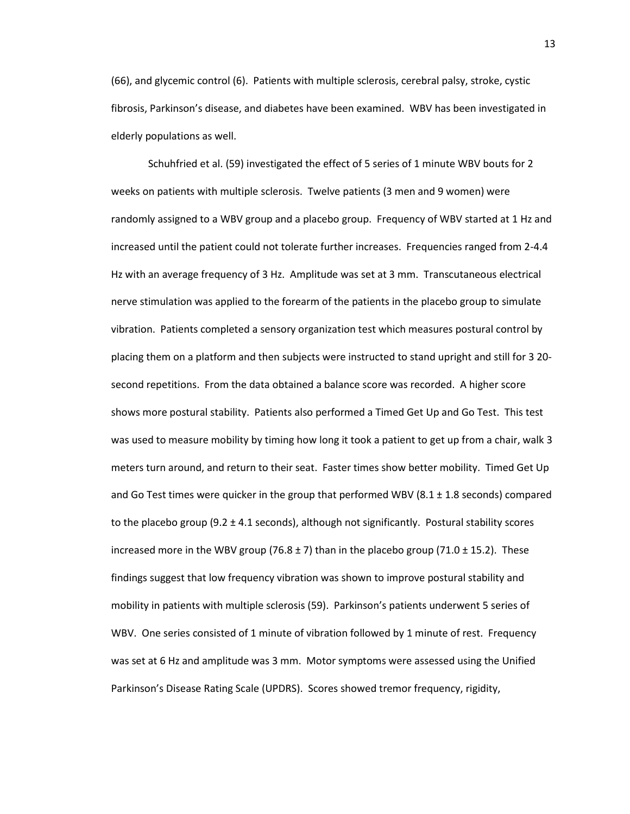(66), and glycemic control (6). Patients with multiple sclerosis, cerebral palsy, stroke, cystic fibrosis, Parkinson's disease, and diabetes have been examined. WBV has been investigated in elderly populations as well.

Schuhfried et al. (59) investigated the effect of 5 series of 1 minute WBV bouts for 2 weeks on patients with multiple sclerosis. Twelve patients (3 men and 9 women) were randomly assigned to a WBV group and a placebo group. Frequency of WBV started at 1 Hz and increased until the patient could not tolerate further increases. Frequencies ranged from 2-4.4 Hz with an average frequency of 3 Hz. Amplitude was set at 3 mm. Transcutaneous electrical nerve stimulation was applied to the forearm of the patients in the placebo group to simulate vibration. Patients completed a sensory organization test which measures postural control by placing them on a platform and then subjects were instructed to stand upright and still for 3 20 second repetitions. From the data obtained a balance score was recorded. A higher score shows more postural stability. Patients also performed a Timed Get Up and Go Test. This test was used to measure mobility by timing how long it took a patient to get up from a chair, walk 3 meters turn around, and return to their seat. Faster times show better mobility. Timed Get Up and Go Test times were quicker in the group that performed WBV  $(8.1 \pm 1.8 \text{ seconds})$  compared to the placebo group  $(9.2 \pm 4.1 \text{ seconds})$ , although not significantly. Postural stability scores increased more in the WBV group (76.8  $\pm$  7) than in the placebo group (71.0  $\pm$  15.2). These findings suggest that low frequency vibration was shown to improve postural stability and mobility in patients with multiple sclerosis (59). Parkinson's patients underwent 5 series of WBV. One series consisted of 1 minute of vibration followed by 1 minute of rest. Frequency was set at 6 Hz and amplitude was 3 mm. Motor symptoms were assessed using the Unified Parkinson's Disease Rating Scale (UPDRS). Scores showed tremor frequency, rigidity,

13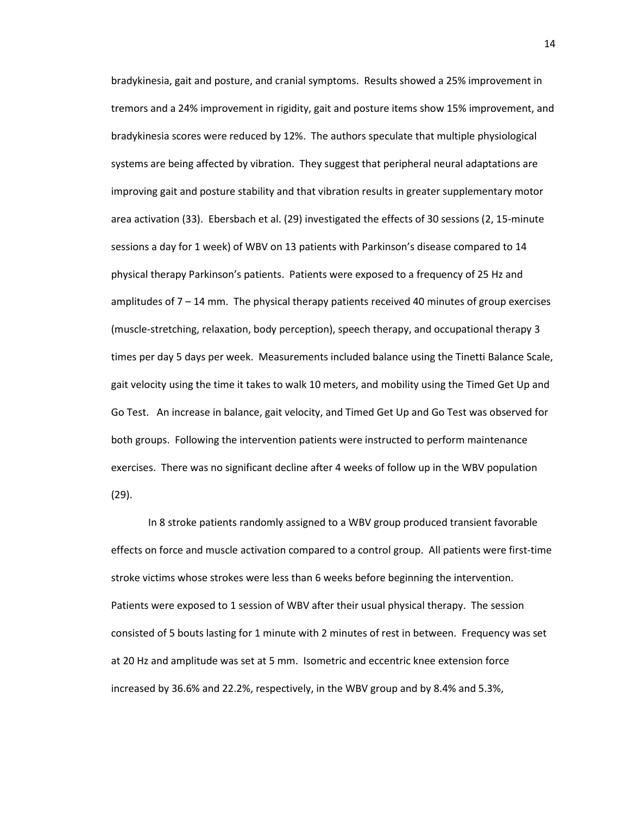bradykinesia, gait and posture, and cranial symptoms. Results showed a 25% improvement in tremors and a 24% improvement in rigidity, gait and posture items show 15% improvement, and bradykinesia scores were reduced by 12%. The authors speculate that multiple physiological systems are being affected by vibration. They suggest that peripheral neural adaptations are improving gait and posture stability and that vibration results in greater supplementary motor area activation (33). Ebersbach et al. (29) investigated the effects of 30 sessions (2, 15-minute sessions a day for 1 week) of WBV on 13 patients with Parkinson's disease compared to 14 physical therapy Parkinson's patients. Patients were exposed to a frequency of 25 Hz and amplitudes of 7 – 14 mm. The physical therapy patients received 40 minutes of group exercises (muscle-stretching, relaxation, body perception), speech therapy, and occupational therapy 3 times per day 5 days per week. Measurements included balance using the Tinetti Balance Scale, gait velocity using the time it takes to walk 10 meters, and mobility using the Timed Get Up and Go Test. An increase in balance, gait velocity, and Timed Get Up and Go Test was observed for both groups. Following the intervention patients were instructed to perform maintenance exercises. There was no significant decline after 4 weeks of follow up in the WBV population (29).

In 8 stroke patients randomly assigned to a WBV group produced transient favorable effects on force and muscle activation compared to a control group. All patients were first-time stroke victims whose strokes were less than 6 weeks before beginning the intervention. Patients were exposed to 1 session of WBV after their usual physical therapy. The session consisted of 5 bouts lasting for 1 minute with 2 minutes of rest in between. Frequency was set at 20 Hz and amplitude was set at 5 mm. Isometric and eccentric knee extension force increased by 36.6% and 22.2%, respectively, in the WBV group and by 8.4% and 5.3%,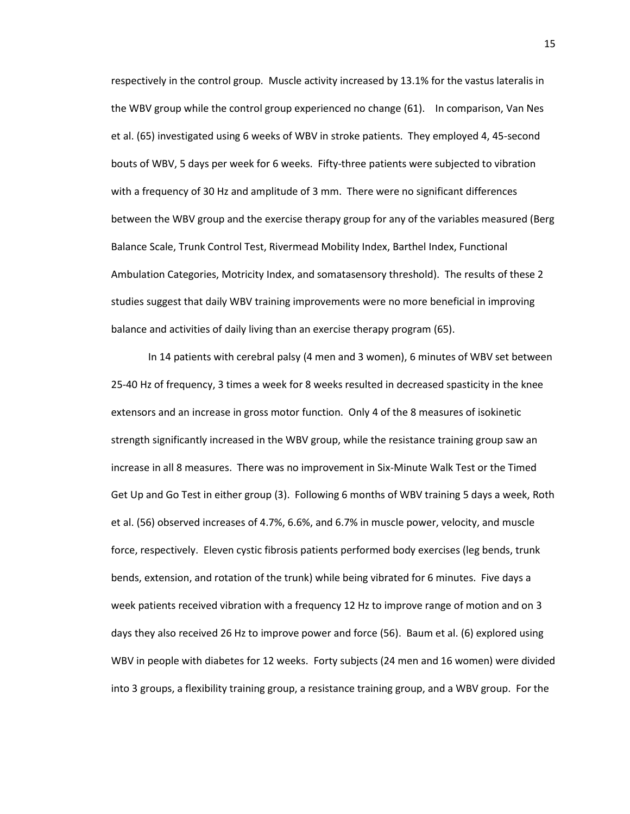respectively in the control group. Muscle activity increased by 13.1% for the vastus lateralis in the WBV group while the control group experienced no change (61). In comparison, Van Nes et al. (65) investigated using 6 weeks of WBV in stroke patients. They employed 4, 45-second bouts of WBV, 5 days per week for 6 weeks. Fifty-three patients were subjected to vibration with a frequency of 30 Hz and amplitude of 3 mm. There were no significant differences between the WBV group and the exercise therapy group for any of the variables measured (Berg Balance Scale, Trunk Control Test, Rivermead Mobility Index, Barthel Index, Functional Ambulation Categories, Motricity Index, and somatasensory threshold). The results of these 2 studies suggest that daily WBV training improvements were no more beneficial in improving balance and activities of daily living than an exercise therapy program (65).

In 14 patients with cerebral palsy (4 men and 3 women), 6 minutes of WBV set between 25-40 Hz of frequency, 3 times a week for 8 weeks resulted in decreased spasticity in the knee extensors and an increase in gross motor function. Only 4 of the 8 measures of isokinetic strength significantly increased in the WBV group, while the resistance training group saw an increase in all 8 measures. There was no improvement in Six-Minute Walk Test or the Timed Get Up and Go Test in either group (3). Following 6 months of WBV training 5 days a week, Roth et al. (56) observed increases of 4.7%, 6.6%, and 6.7% in muscle power, velocity, and muscle force, respectively. Eleven cystic fibrosis patients performed body exercises (leg bends, trunk bends, extension, and rotation of the trunk) while being vibrated for 6 minutes. Five days a week patients received vibration with a frequency 12 Hz to improve range of motion and on 3 days they also received 26 Hz to improve power and force (56). Baum et al. (6) explored using WBV in people with diabetes for 12 weeks. Forty subjects (24 men and 16 women) were divided into 3 groups, a flexibility training group, a resistance training group, and a WBV group. For the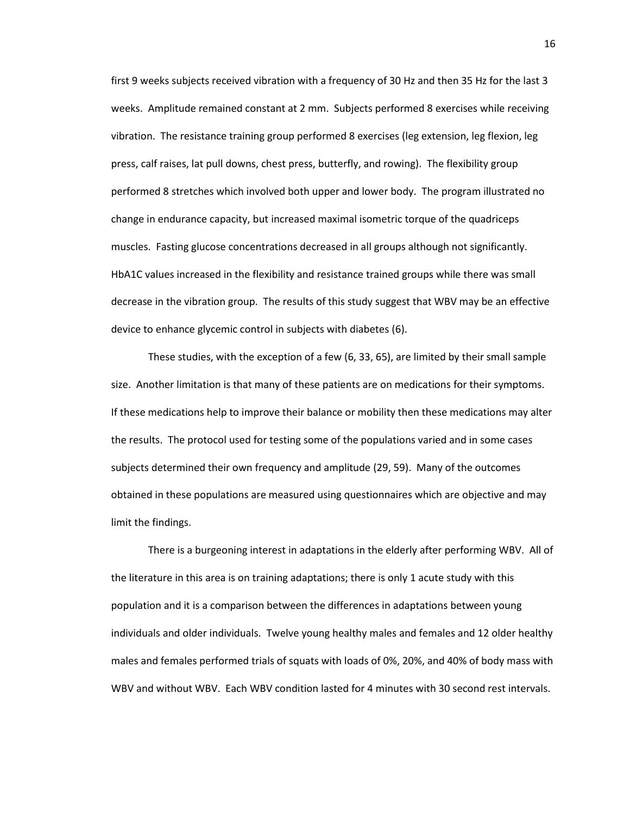first 9 weeks subjects received vibration with a frequency of 30 Hz and then 35 Hz for the last 3 weeks. Amplitude remained constant at 2 mm. Subjects performed 8 exercises while receiving vibration. The resistance training group performed 8 exercises (leg extension, leg flexion, leg press, calf raises, lat pull downs, chest press, butterfly, and rowing). The flexibility group performed 8 stretches which involved both upper and lower body. The program illustrated no change in endurance capacity, but increased maximal isometric torque of the quadriceps muscles. Fasting glucose concentrations decreased in all groups although not significantly. HbA1C values increased in the flexibility and resistance trained groups while there was small decrease in the vibration group. The results of this study suggest that WBV may be an effective device to enhance glycemic control in subjects with diabetes (6).

These studies, with the exception of a few (6, 33, 65), are limited by their small sample size. Another limitation is that many of these patients are on medications for their symptoms. If these medications help to improve their balance or mobility then these medications may alter the results. The protocol used for testing some of the populations varied and in some cases subjects determined their own frequency and amplitude (29, 59). Many of the outcomes obtained in these populations are measured using questionnaires which are objective and may limit the findings.

There is a burgeoning interest in adaptations in the elderly after performing WBV. All of the literature in this area is on training adaptations; there is only 1 acute study with this population and it is a comparison between the differences in adaptations between young individuals and older individuals. Twelve young healthy males and females and 12 older healthy males and females performed trials of squats with loads of 0%, 20%, and 40% of body mass with WBV and without WBV. Each WBV condition lasted for 4 minutes with 30 second rest intervals.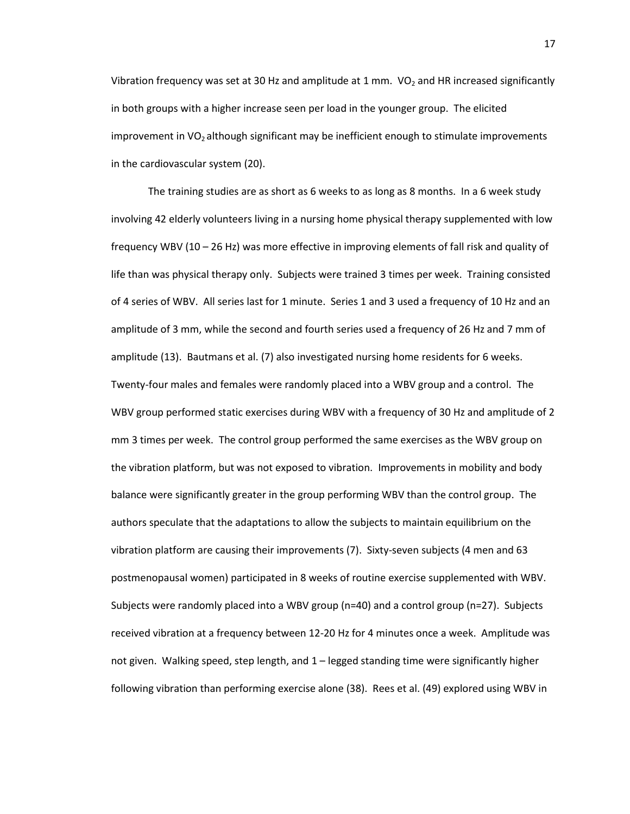Vibration frequency was set at 30 Hz and amplitude at 1 mm.  $VO<sub>2</sub>$  and HR increased significantly in both groups with a higher increase seen per load in the younger group. The elicited improvement in  $VO<sub>2</sub>$  although significant may be inefficient enough to stimulate improvements in the cardiovascular system (20).

The training studies are as short as 6 weeks to as long as 8 months. In a 6 week study involving 42 elderly volunteers living in a nursing home physical therapy supplemented with low frequency WBV (10 – 26 Hz) was more effective in improving elements of fall risk and quality of life than was physical therapy only. Subjects were trained 3 times per week. Training consisted of 4 series of WBV. All series last for 1 minute. Series 1 and 3 used a frequency of 10 Hz and an amplitude of 3 mm, while the second and fourth series used a frequency of 26 Hz and 7 mm of amplitude (13). Bautmans et al. (7) also investigated nursing home residents for 6 weeks. Twenty-four males and females were randomly placed into a WBV group and a control. The WBV group performed static exercises during WBV with a frequency of 30 Hz and amplitude of 2 mm 3 times per week. The control group performed the same exercises as the WBV group on the vibration platform, but was not exposed to vibration. Improvements in mobility and body balance were significantly greater in the group performing WBV than the control group. The authors speculate that the adaptations to allow the subjects to maintain equilibrium on the vibration platform are causing their improvements (7). Sixty-seven subjects (4 men and 63 postmenopausal women) participated in 8 weeks of routine exercise supplemented with WBV. Subjects were randomly placed into a WBV group (n=40) and a control group (n=27). Subjects received vibration at a frequency between 12-20 Hz for 4 minutes once a week. Amplitude was not given. Walking speed, step length, and 1 – legged standing time were significantly higher following vibration than performing exercise alone (38). Rees et al. (49) explored using WBV in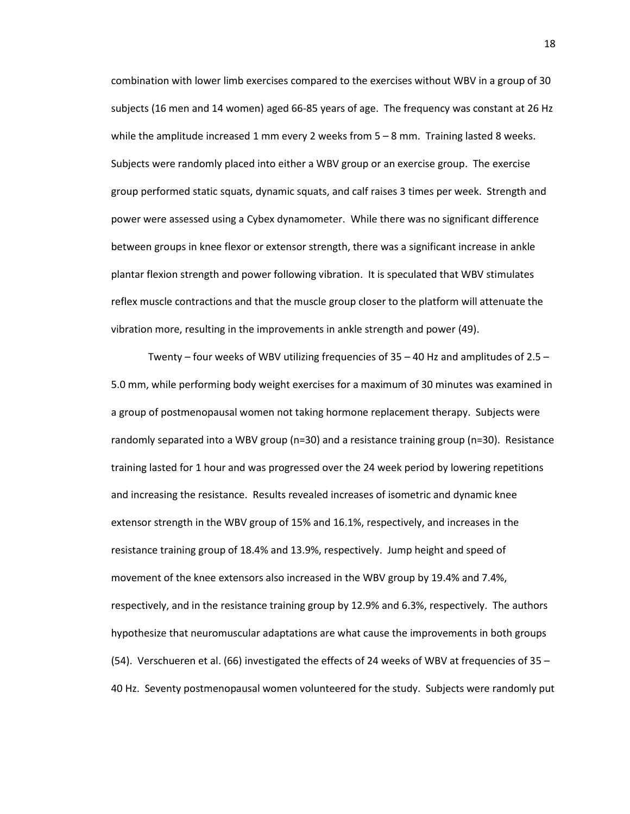combination with lower limb exercises compared to the exercises without WBV in a group of 30 subjects (16 men and 14 women) aged 66-85 years of age. The frequency was constant at 26 Hz while the amplitude increased 1 mm every 2 weeks from  $5 - 8$  mm. Training lasted 8 weeks. Subjects were randomly placed into either a WBV group or an exercise group. The exercise group performed static squats, dynamic squats, and calf raises 3 times per week. Strength and power were assessed using a Cybex dynamometer. While there was no significant difference between groups in knee flexor or extensor strength, there was a significant increase in ankle plantar flexion strength and power following vibration. It is speculated that WBV stimulates reflex muscle contractions and that the muscle group closer to the platform will attenuate the vibration more, resulting in the improvements in ankle strength and power (49).

Twenty – four weeks of WBV utilizing frequencies of  $35 - 40$  Hz and amplitudes of  $2.5 -$ 5.0 mm, while performing body weight exercises for a maximum of 30 minutes was examined in a group of postmenopausal women not taking hormone replacement therapy. Subjects were randomly separated into a WBV group (n=30) and a resistance training group (n=30). Resistance training lasted for 1 hour and was progressed over the 24 week period by lowering repetitions and increasing the resistance. Results revealed increases of isometric and dynamic knee extensor strength in the WBV group of 15% and 16.1%, respectively, and increases in the resistance training group of 18.4% and 13.9%, respectively. Jump height and speed of movement of the knee extensors also increased in the WBV group by 19.4% and 7.4%, respectively, and in the resistance training group by 12.9% and 6.3%, respectively. The authors hypothesize that neuromuscular adaptations are what cause the improvements in both groups (54). Verschueren et al. (66) investigated the effects of 24 weeks of WBV at frequencies of 35 – 40 Hz. Seventy postmenopausal women volunteered for the study. Subjects were randomly put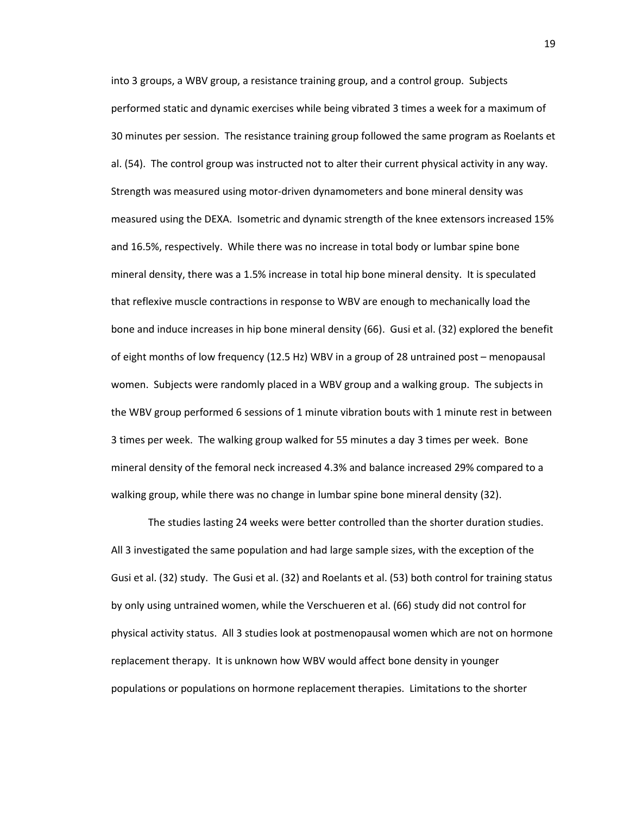into 3 groups, a WBV group, a resistance training group, and a control group. Subjects performed static and dynamic exercises while being vibrated 3 times a week for a maximum of 30 minutes per session. The resistance training group followed the same program as Roelants et al. (54). The control group was instructed not to alter their current physical activity in any way. Strength was measured using motor-driven dynamometers and bone mineral density was measured using the DEXA. Isometric and dynamic strength of the knee extensors increased 15% and 16.5%, respectively. While there was no increase in total body or lumbar spine bone mineral density, there was a 1.5% increase in total hip bone mineral density. It is speculated that reflexive muscle contractions in response to WBV are enough to mechanically load the bone and induce increases in hip bone mineral density (66). Gusi et al. (32) explored the benefit of eight months of low frequency (12.5 Hz) WBV in a group of 28 untrained post – menopausal women. Subjects were randomly placed in a WBV group and a walking group. The subjects in the WBV group performed 6 sessions of 1 minute vibration bouts with 1 minute rest in between 3 times per week. The walking group walked for 55 minutes a day 3 times per week. Bone mineral density of the femoral neck increased 4.3% and balance increased 29% compared to a walking group, while there was no change in lumbar spine bone mineral density (32).

The studies lasting 24 weeks were better controlled than the shorter duration studies. All 3 investigated the same population and had large sample sizes, with the exception of the Gusi et al. (32) study. The Gusi et al. (32) and Roelants et al. (53) both control for training status by only using untrained women, while the Verschueren et al. (66) study did not control for physical activity status. All 3 studies look at postmenopausal women which are not on hormone replacement therapy. It is unknown how WBV would affect bone density in younger populations or populations on hormone replacement therapies. Limitations to the shorter

19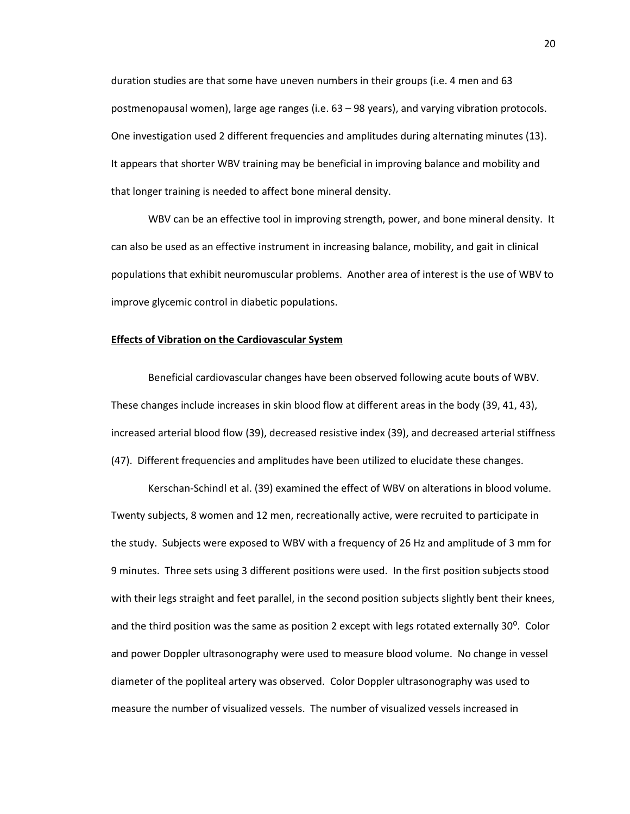duration studies are that some have uneven numbers in their groups (i.e. 4 men and 63 postmenopausal women), large age ranges (i.e. 63 – 98 years), and varying vibration protocols. One investigation used 2 different frequencies and amplitudes during alternating minutes (13). It appears that shorter WBV training may be beneficial in improving balance and mobility and that longer training is needed to affect bone mineral density.

WBV can be an effective tool in improving strength, power, and bone mineral density. It can also be used as an effective instrument in increasing balance, mobility, and gait in clinical populations that exhibit neuromuscular problems. Another area of interest is the use of WBV to improve glycemic control in diabetic populations.

## **Effects of Vibration on the Cardiovascular System**

Beneficial cardiovascular changes have been observed following acute bouts of WBV. These changes include increases in skin blood flow at different areas in the body (39, 41, 43), increased arterial blood flow (39), decreased resistive index (39), and decreased arterial stiffness (47). Different frequencies and amplitudes have been utilized to elucidate these changes.

Kerschan-Schindl et al. (39) examined the effect of WBV on alterations in blood volume. Twenty subjects, 8 women and 12 men, recreationally active, were recruited to participate in the study. Subjects were exposed to WBV with a frequency of 26 Hz and amplitude of 3 mm for 9 minutes. Three sets using 3 different positions were used. In the first position subjects stood with their legs straight and feet parallel, in the second position subjects slightly bent their knees, and the third position was the same as position 2 except with legs rotated externally  $30^{\circ}$ . Color and power Doppler ultrasonography were used to measure blood volume. No change in vessel diameter of the popliteal artery was observed. Color Doppler ultrasonography was used to measure the number of visualized vessels. The number of visualized vessels increased in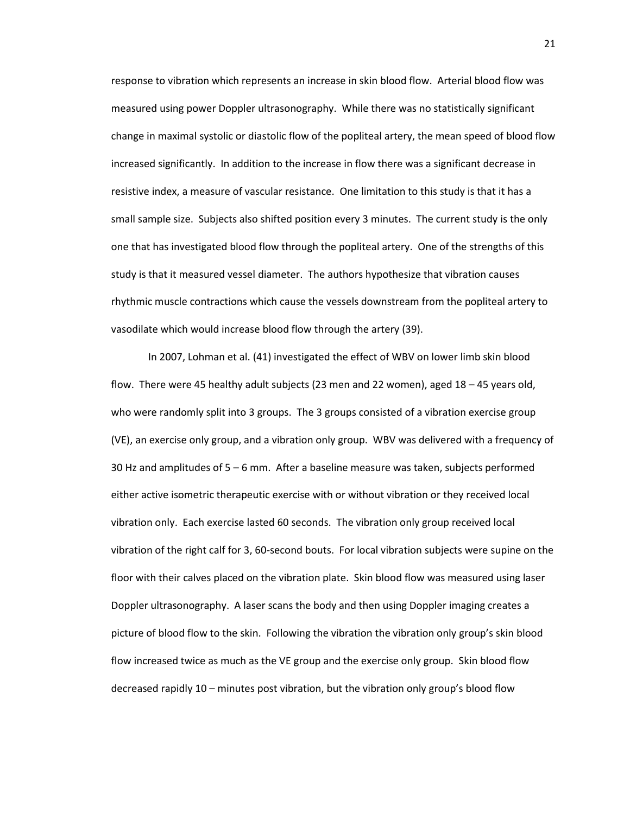response to vibration which represents an increase in skin blood flow. Arterial blood flow was measured using power Doppler ultrasonography. While there was no statistically significant change in maximal systolic or diastolic flow of the popliteal artery, the mean speed of blood flow increased significantly. In addition to the increase in flow there was a significant decrease in resistive index, a measure of vascular resistance. One limitation to this study is that it has a small sample size. Subjects also shifted position every 3 minutes. The current study is the only one that has investigated blood flow through the popliteal artery. One of the strengths of this study is that it measured vessel diameter. The authors hypothesize that vibration causes rhythmic muscle contractions which cause the vessels downstream from the popliteal artery to vasodilate which would increase blood flow through the artery (39).

In 2007, Lohman et al. (41) investigated the effect of WBV on lower limb skin blood flow. There were 45 healthy adult subjects (23 men and 22 women), aged 18 – 45 years old, who were randomly split into 3 groups. The 3 groups consisted of a vibration exercise group (VE), an exercise only group, and a vibration only group. WBV was delivered with a frequency of 30 Hz and amplitudes of 5 – 6 mm. After a baseline measure was taken, subjects performed either active isometric therapeutic exercise with or without vibration or they received local vibration only. Each exercise lasted 60 seconds. The vibration only group received local vibration of the right calf for 3, 60-second bouts. For local vibration subjects were supine on the floor with their calves placed on the vibration plate. Skin blood flow was measured using laser Doppler ultrasonography. A laser scans the body and then using Doppler imaging creates a picture of blood flow to the skin. Following the vibration the vibration only group's skin blood flow increased twice as much as the VE group and the exercise only group. Skin blood flow decreased rapidly 10 – minutes post vibration, but the vibration only group's blood flow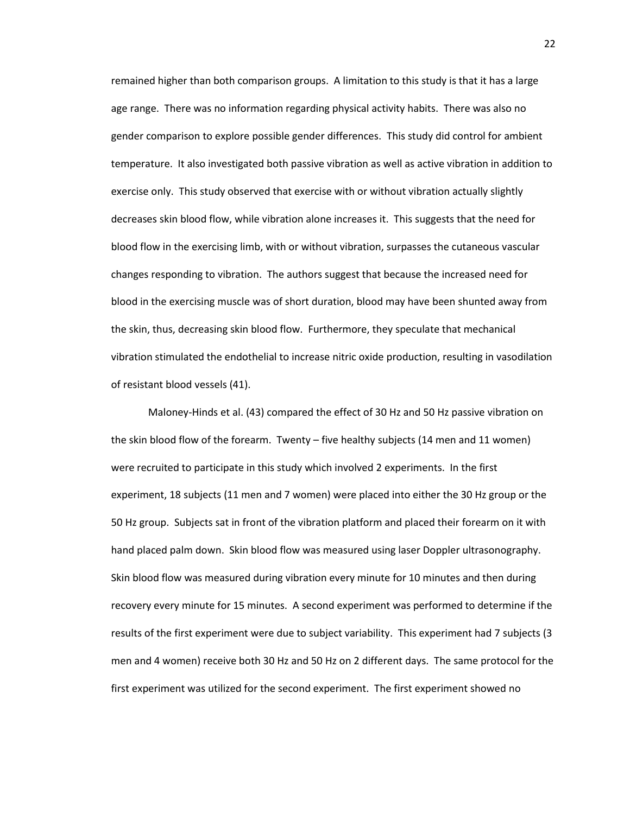remained higher than both comparison groups. A limitation to this study is that it has a large age range. There was no information regarding physical activity habits. There was also no gender comparison to explore possible gender differences. This study did control for ambient temperature. It also investigated both passive vibration as well as active vibration in addition to exercise only. This study observed that exercise with or without vibration actually slightly decreases skin blood flow, while vibration alone increases it. This suggests that the need for blood flow in the exercising limb, with or without vibration, surpasses the cutaneous vascular changes responding to vibration. The authors suggest that because the increased need for blood in the exercising muscle was of short duration, blood may have been shunted away from the skin, thus, decreasing skin blood flow. Furthermore, they speculate that mechanical vibration stimulated the endothelial to increase nitric oxide production, resulting in vasodilation of resistant blood vessels (41).

Maloney-Hinds et al. (43) compared the effect of 30 Hz and 50 Hz passive vibration on the skin blood flow of the forearm. Twenty – five healthy subjects (14 men and 11 women) were recruited to participate in this study which involved 2 experiments. In the first experiment, 18 subjects (11 men and 7 women) were placed into either the 30 Hz group or the 50 Hz group. Subjects sat in front of the vibration platform and placed their forearm on it with hand placed palm down. Skin blood flow was measured using laser Doppler ultrasonography. Skin blood flow was measured during vibration every minute for 10 minutes and then during recovery every minute for 15 minutes. A second experiment was performed to determine if the results of the first experiment were due to subject variability. This experiment had 7 subjects (3 men and 4 women) receive both 30 Hz and 50 Hz on 2 different days. The same protocol for the first experiment was utilized for the second experiment. The first experiment showed no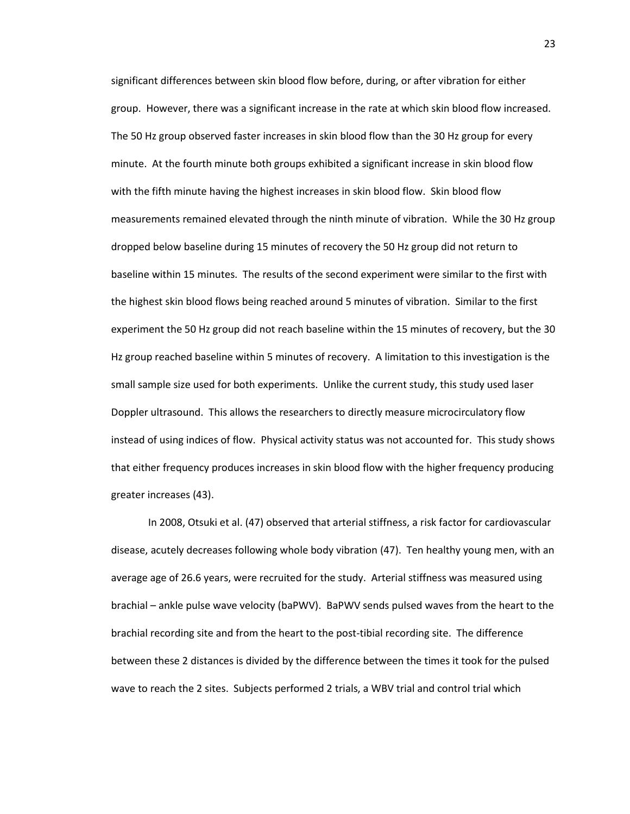significant differences between skin blood flow before, during, or after vibration for either group. However, there was a significant increase in the rate at which skin blood flow increased. The 50 Hz group observed faster increases in skin blood flow than the 30 Hz group for every minute. At the fourth minute both groups exhibited a significant increase in skin blood flow with the fifth minute having the highest increases in skin blood flow. Skin blood flow measurements remained elevated through the ninth minute of vibration. While the 30 Hz group dropped below baseline during 15 minutes of recovery the 50 Hz group did not return to baseline within 15 minutes. The results of the second experiment were similar to the first with the highest skin blood flows being reached around 5 minutes of vibration. Similar to the first experiment the 50 Hz group did not reach baseline within the 15 minutes of recovery, but the 30 Hz group reached baseline within 5 minutes of recovery. A limitation to this investigation is the small sample size used for both experiments. Unlike the current study, this study used laser Doppler ultrasound. This allows the researchers to directly measure microcirculatory flow instead of using indices of flow. Physical activity status was not accounted for. This study shows that either frequency produces increases in skin blood flow with the higher frequency producing greater increases (43).

In 2008, Otsuki et al. (47) observed that arterial stiffness, a risk factor for cardiovascular disease, acutely decreases following whole body vibration (47). Ten healthy young men, with an average age of 26.6 years, were recruited for the study. Arterial stiffness was measured using brachial – ankle pulse wave velocity (baPWV). BaPWV sends pulsed waves from the heart to the brachial recording site and from the heart to the post-tibial recording site. The difference between these 2 distances is divided by the difference between the times it took for the pulsed wave to reach the 2 sites. Subjects performed 2 trials, a WBV trial and control trial which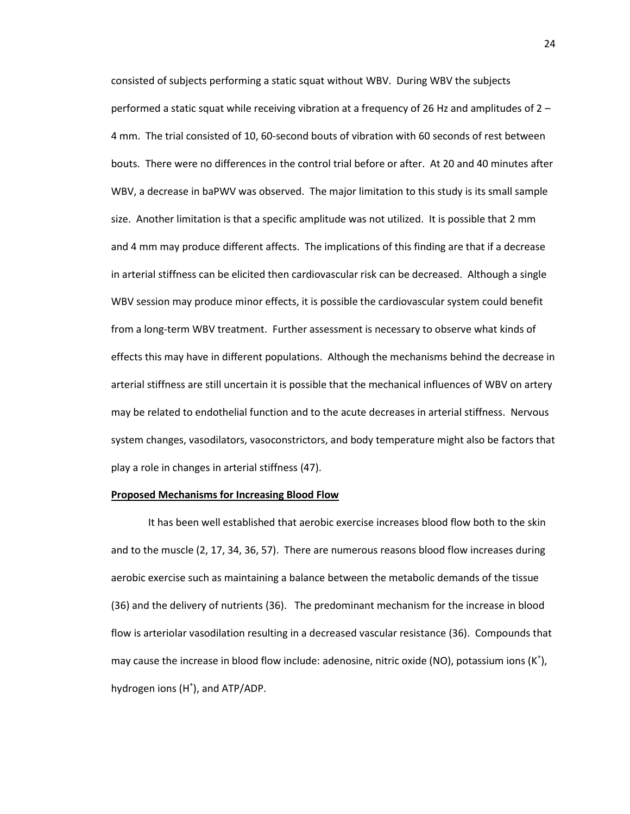consisted of subjects performing a static squat without WBV. During WBV the subjects performed a static squat while receiving vibration at a frequency of 26 Hz and amplitudes of 2 – 4 mm. The trial consisted of 10, 60-second bouts of vibration with 60 seconds of rest between bouts. There were no differences in the control trial before or after. At 20 and 40 minutes after WBV, a decrease in baPWV was observed. The major limitation to this study is its small sample size. Another limitation is that a specific amplitude was not utilized. It is possible that 2 mm and 4 mm may produce different affects. The implications of this finding are that if a decrease in arterial stiffness can be elicited then cardiovascular risk can be decreased. Although a single WBV session may produce minor effects, it is possible the cardiovascular system could benefit from a long-term WBV treatment. Further assessment is necessary to observe what kinds of effects this may have in different populations. Although the mechanisms behind the decrease in arterial stiffness are still uncertain it is possible that the mechanical influences of WBV on artery may be related to endothelial function and to the acute decreases in arterial stiffness. Nervous system changes, vasodilators, vasoconstrictors, and body temperature might also be factors that play a role in changes in arterial stiffness (47).

#### **Proposed Mechanisms for Increasing Blood Flow**

It has been well established that aerobic exercise increases blood flow both to the skin and to the muscle (2, 17, 34, 36, 57). There are numerous reasons blood flow increases during aerobic exercise such as maintaining a balance between the metabolic demands of the tissue (36) and the delivery of nutrients (36). The predominant mechanism for the increase in blood flow is arteriolar vasodilation resulting in a decreased vascular resistance (36). Compounds that may cause the increase in blood flow include: adenosine, nitric oxide (NO), potassium ions  $(K^{\dagger})$ , hydrogen ions (H<sup>+</sup>), and ATP/ADP.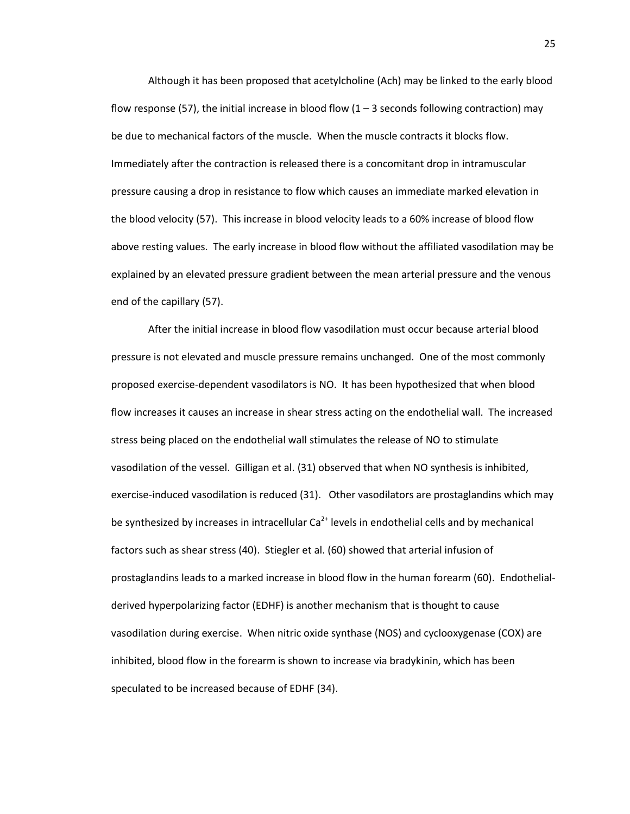Although it has been proposed that acetylcholine (Ach) may be linked to the early blood flow response (57), the initial increase in blood flow  $(1 - 3$  seconds following contraction) may be due to mechanical factors of the muscle. When the muscle contracts it blocks flow. Immediately after the contraction is released there is a concomitant drop in intramuscular pressure causing a drop in resistance to flow which causes an immediate marked elevation in the blood velocity (57). This increase in blood velocity leads to a 60% increase of blood flow above resting values. The early increase in blood flow without the affiliated vasodilation may be explained by an elevated pressure gradient between the mean arterial pressure and the venous end of the capillary (57).

After the initial increase in blood flow vasodilation must occur because arterial blood pressure is not elevated and muscle pressure remains unchanged. One of the most commonly proposed exercise-dependent vasodilators is NO. It has been hypothesized that when blood flow increases it causes an increase in shear stress acting on the endothelial wall. The increased stress being placed on the endothelial wall stimulates the release of NO to stimulate vasodilation of the vessel. Gilligan et al. (31) observed that when NO synthesis is inhibited, exercise-induced vasodilation is reduced (31). Other vasodilators are prostaglandins which may be synthesized by increases in intracellular  $Ca^{2+}$  levels in endothelial cells and by mechanical factors such as shear stress (40). Stiegler et al. (60) showed that arterial infusion of prostaglandins leads to a marked increase in blood flow in the human forearm (60). Endothelialderived hyperpolarizing factor (EDHF) is another mechanism that is thought to cause vasodilation during exercise. When nitric oxide synthase (NOS) and cyclooxygenase (COX) are inhibited, blood flow in the forearm is shown to increase via bradykinin, which has been speculated to be increased because of EDHF (34).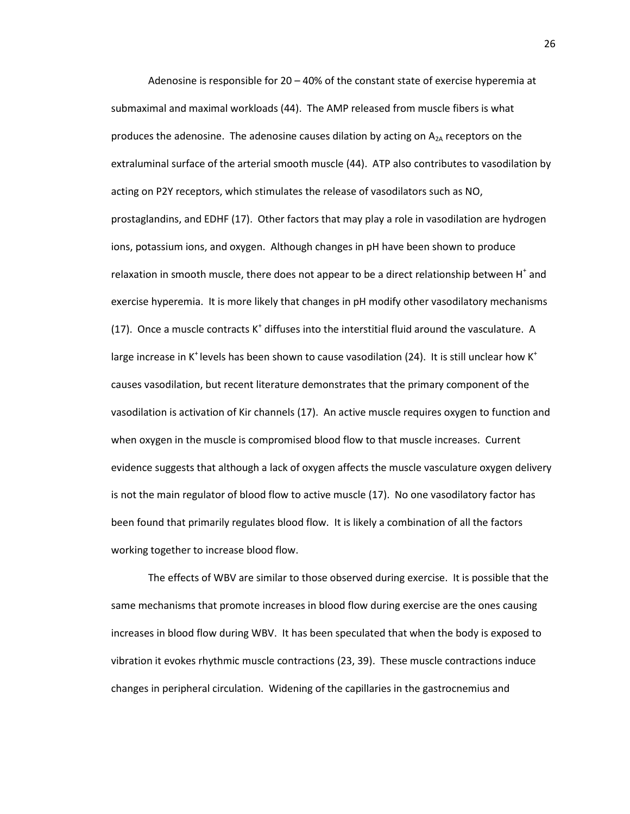Adenosine is responsible for  $20 - 40\%$  of the constant state of exercise hyperemia at submaximal and maximal workloads (44). The AMP released from muscle fibers is what produces the adenosine. The adenosine causes dilation by acting on  $A_{2A}$  receptors on the extraluminal surface of the arterial smooth muscle (44). ATP also contributes to vasodilation by acting on P2Y receptors, which stimulates the release of vasodilators such as NO, prostaglandins, and EDHF (17). Other factors that may play a role in vasodilation are hydrogen ions, potassium ions, and oxygen. Although changes in pH have been shown to produce relaxation in smooth muscle, there does not appear to be a direct relationship between  $H^*$  and exercise hyperemia. It is more likely that changes in pH modify other vasodilatory mechanisms (17). Once a muscle contracts  $K^+$  diffuses into the interstitial fluid around the vasculature. A large increase in K<sup>+</sup> levels has been shown to cause vasodilation (24). It is still unclear how K<sup>+</sup> causes vasodilation, but recent literature demonstrates that the primary component of the vasodilation is activation of Kir channels (17). An active muscle requires oxygen to function and when oxygen in the muscle is compromised blood flow to that muscle increases. Current evidence suggests that although a lack of oxygen affects the muscle vasculature oxygen delivery is not the main regulator of blood flow to active muscle (17). No one vasodilatory factor has been found that primarily regulates blood flow. It is likely a combination of all the factors working together to increase blood flow.

The effects of WBV are similar to those observed during exercise. It is possible that the same mechanisms that promote increases in blood flow during exercise are the ones causing increases in blood flow during WBV. It has been speculated that when the body is exposed to vibration it evokes rhythmic muscle contractions (23, 39). These muscle contractions induce changes in peripheral circulation. Widening of the capillaries in the gastrocnemius and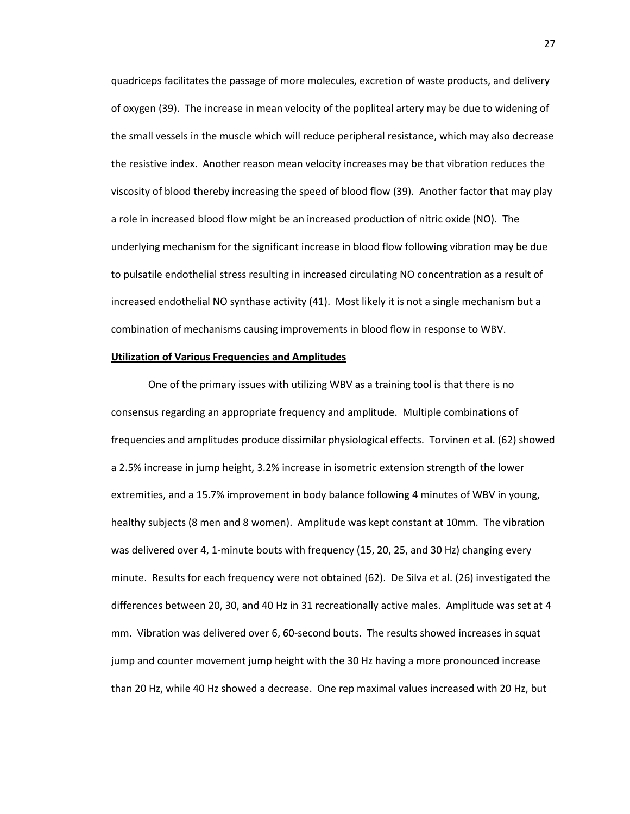quadriceps facilitates the passage of more molecules, excretion of waste products, and delivery of oxygen (39). The increase in mean velocity of the popliteal artery may be due to widening of the small vessels in the muscle which will reduce peripheral resistance, which may also decrease the resistive index. Another reason mean velocity increases may be that vibration reduces the viscosity of blood thereby increasing the speed of blood flow (39). Another factor that may play a role in increased blood flow might be an increased production of nitric oxide (NO). The underlying mechanism for the significant increase in blood flow following vibration may be due to pulsatile endothelial stress resulting in increased circulating NO concentration as a result of increased endothelial NO synthase activity (41). Most likely it is not a single mechanism but a combination of mechanisms causing improvements in blood flow in response to WBV.

## **Utilization of Various Frequencies and Amplitudes**

One of the primary issues with utilizing WBV as a training tool is that there is no consensus regarding an appropriate frequency and amplitude. Multiple combinations of frequencies and amplitudes produce dissimilar physiological effects. Torvinen et al. (62) showed a 2.5% increase in jump height, 3.2% increase in isometric extension strength of the lower extremities, and a 15.7% improvement in body balance following 4 minutes of WBV in young, healthy subjects (8 men and 8 women). Amplitude was kept constant at 10mm. The vibration was delivered over 4, 1-minute bouts with frequency (15, 20, 25, and 30 Hz) changing every minute. Results for each frequency were not obtained (62). De Silva et al. (26) investigated the differences between 20, 30, and 40 Hz in 31 recreationally active males. Amplitude was set at 4 mm. Vibration was delivered over 6, 60-second bouts. The results showed increases in squat jump and counter movement jump height with the 30 Hz having a more pronounced increase than 20 Hz, while 40 Hz showed a decrease. One rep maximal values increased with 20 Hz, but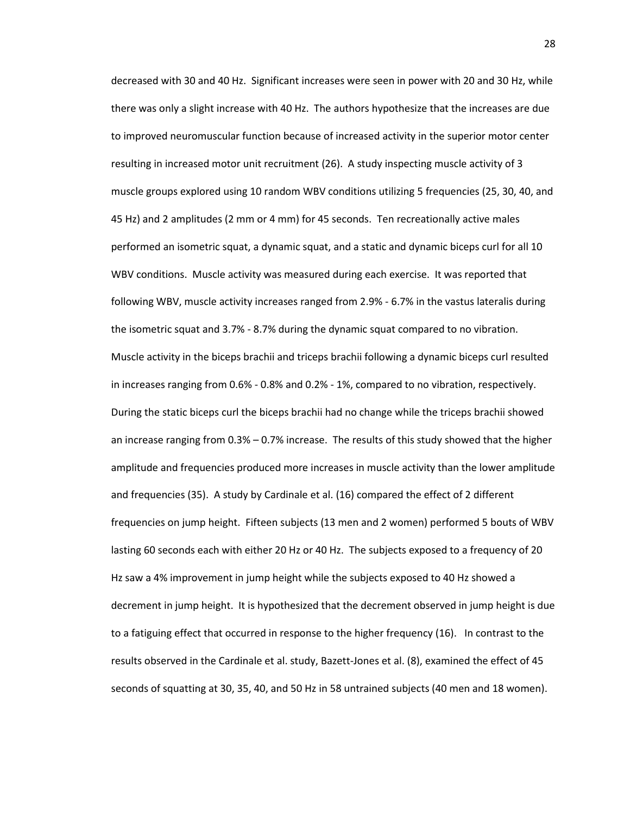decreased with 30 and 40 Hz. Significant increases were seen in power with 20 and 30 Hz, while there was only a slight increase with 40 Hz. The authors hypothesize that the increases are due to improved neuromuscular function because of increased activity in the superior motor center resulting in increased motor unit recruitment (26). A study inspecting muscle activity of 3 muscle groups explored using 10 random WBV conditions utilizing 5 frequencies (25, 30, 40, and 45 Hz) and 2 amplitudes (2 mm or 4 mm) for 45 seconds. Ten recreationally active males performed an isometric squat, a dynamic squat, and a static and dynamic biceps curl for all 10 WBV conditions. Muscle activity was measured during each exercise. It was reported that following WBV, muscle activity increases ranged from 2.9% - 6.7% in the vastus lateralis during the isometric squat and 3.7% - 8.7% during the dynamic squat compared to no vibration. Muscle activity in the biceps brachii and triceps brachii following a dynamic biceps curl resulted in increases ranging from 0.6% - 0.8% and 0.2% - 1%, compared to no vibration, respectively. During the static biceps curl the biceps brachii had no change while the triceps brachii showed an increase ranging from 0.3% – 0.7% increase. The results of this study showed that the higher amplitude and frequencies produced more increases in muscle activity than the lower amplitude and frequencies (35). A study by Cardinale et al. (16) compared the effect of 2 different frequencies on jump height. Fifteen subjects (13 men and 2 women) performed 5 bouts of WBV lasting 60 seconds each with either 20 Hz or 40 Hz. The subjects exposed to a frequency of 20 Hz saw a 4% improvement in jump height while the subjects exposed to 40 Hz showed a decrement in jump height. It is hypothesized that the decrement observed in jump height is due to a fatiguing effect that occurred in response to the higher frequency (16). In contrast to the results observed in the Cardinale et al. study, Bazett-Jones et al. (8), examined the effect of 45 seconds of squatting at 30, 35, 40, and 50 Hz in 58 untrained subjects (40 men and 18 women).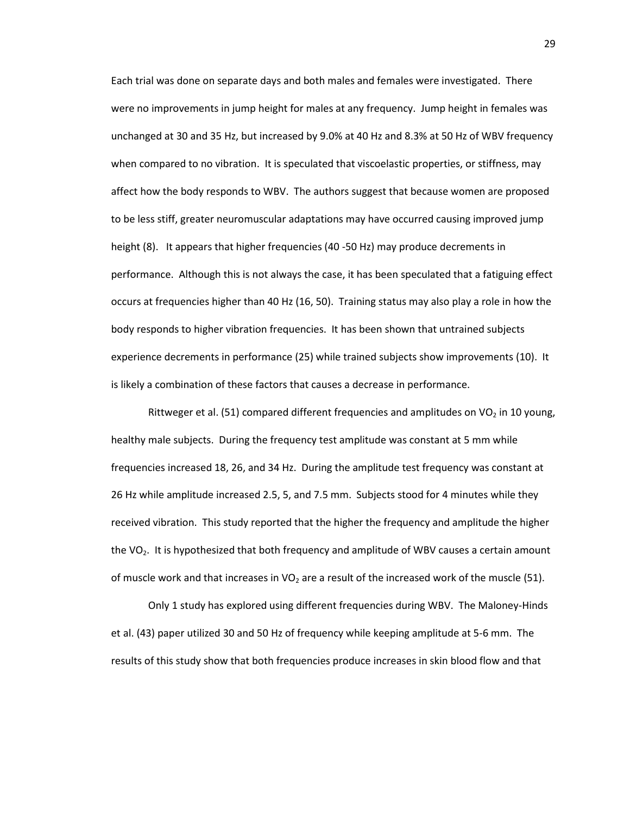Each trial was done on separate days and both males and females were investigated. There were no improvements in jump height for males at any frequency. Jump height in females was unchanged at 30 and 35 Hz, but increased by 9.0% at 40 Hz and 8.3% at 50 Hz of WBV frequency when compared to no vibration. It is speculated that viscoelastic properties, or stiffness, may affect how the body responds to WBV. The authors suggest that because women are proposed to be less stiff, greater neuromuscular adaptations may have occurred causing improved jump height (8). It appears that higher frequencies (40 -50 Hz) may produce decrements in performance. Although this is not always the case, it has been speculated that a fatiguing effect occurs at frequencies higher than 40 Hz (16, 50). Training status may also play a role in how the body responds to higher vibration frequencies. It has been shown that untrained subjects experience decrements in performance (25) while trained subjects show improvements (10). It is likely a combination of these factors that causes a decrease in performance.

Rittweger et al. (51) compared different frequencies and amplitudes on VO<sub>2</sub> in 10 young, healthy male subjects. During the frequency test amplitude was constant at 5 mm while frequencies increased 18, 26, and 34 Hz. During the amplitude test frequency was constant at 26 Hz while amplitude increased 2.5, 5, and 7.5 mm. Subjects stood for 4 minutes while they received vibration. This study reported that the higher the frequency and amplitude the higher the  $VO<sub>2</sub>$ . It is hypothesized that both frequency and amplitude of WBV causes a certain amount of muscle work and that increases in VO<sub>2</sub> are a result of the increased work of the muscle (51).

Only 1 study has explored using different frequencies during WBV. The Maloney-Hinds et al. (43) paper utilized 30 and 50 Hz of frequency while keeping amplitude at 5-6 mm. The results of this study show that both frequencies produce increases in skin blood flow and that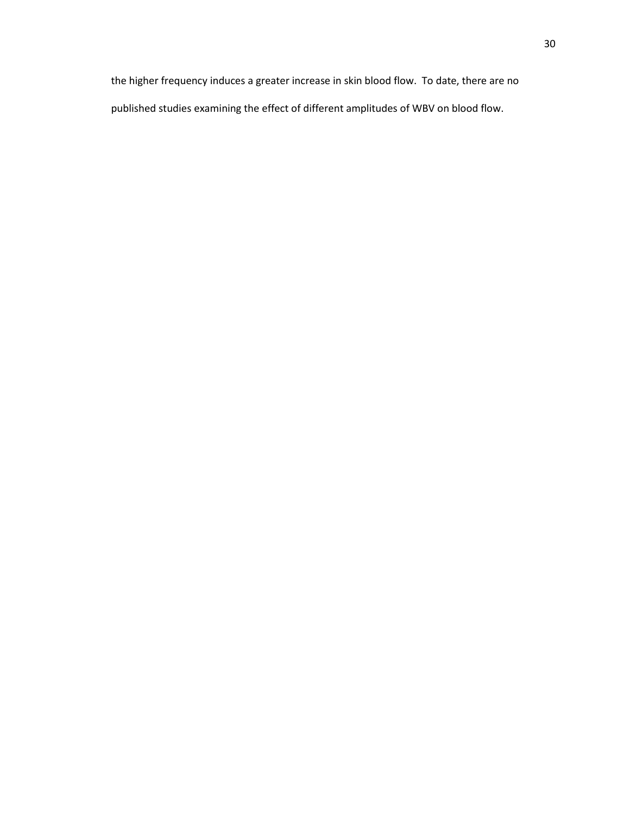the higher frequency induces a greater increase in skin blood flow. To date, there are no published studies examining the effect of different amplitudes of WBV on blood flow.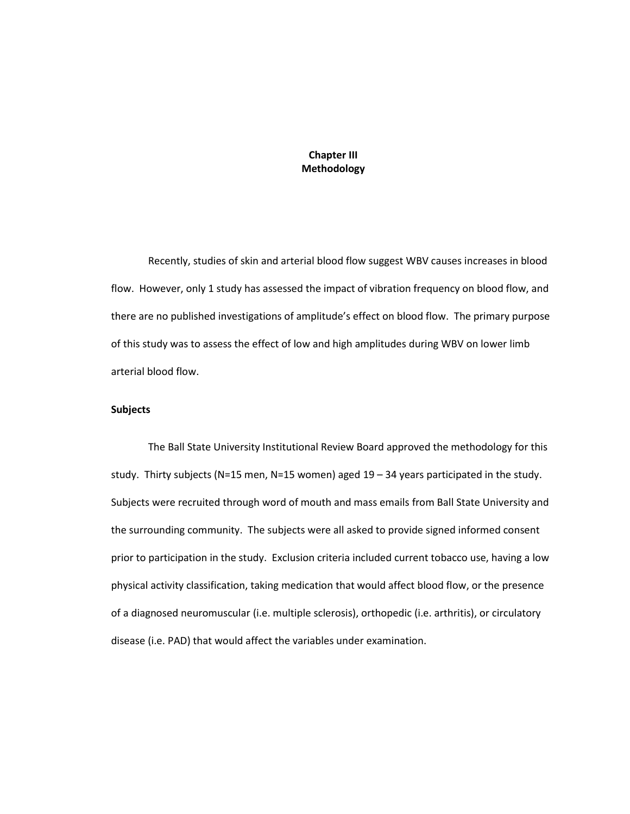# **Chapter III Methodology**

Recently, studies of skin and arterial blood flow suggest WBV causes increases in blood flow. However, only 1 study has assessed the impact of vibration frequency on blood flow, and there are no published investigations of amplitude's effect on blood flow. The primary purpose of this study was to assess the effect of low and high amplitudes during WBV on lower limb arterial blood flow.

## **Subjects**

The Ball State University Institutional Review Board approved the methodology for this study. Thirty subjects (N=15 men, N=15 women) aged  $19 - 34$  years participated in the study. Subjects were recruited through word of mouth and mass emails from Ball State University and the surrounding community. The subjects were all asked to provide signed informed consent prior to participation in the study. Exclusion criteria included current tobacco use, having a low physical activity classification, taking medication that would affect blood flow, or the presence of a diagnosed neuromuscular (i.e. multiple sclerosis), orthopedic (i.e. arthritis), or circulatory disease (i.e. PAD) that would affect the variables under examination.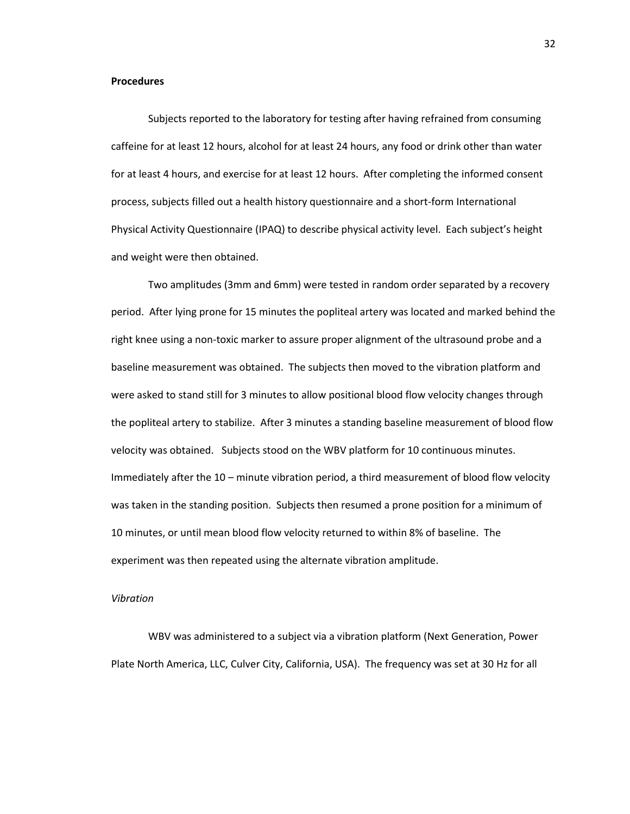#### **Procedures**

Subjects reported to the laboratory for testing after having refrained from consuming caffeine for at least 12 hours, alcohol for at least 24 hours, any food or drink other than water for at least 4 hours, and exercise for at least 12 hours. After completing the informed consent process, subjects filled out a health history questionnaire and a short-form International Physical Activity Questionnaire (IPAQ) to describe physical activity level. Each subject's height and weight were then obtained.

Two amplitudes (3mm and 6mm) were tested in random order separated by a recovery period. After lying prone for 15 minutes the popliteal artery was located and marked behind the right knee using a non-toxic marker to assure proper alignment of the ultrasound probe and a baseline measurement was obtained. The subjects then moved to the vibration platform and were asked to stand still for 3 minutes to allow positional blood flow velocity changes through the popliteal artery to stabilize. After 3 minutes a standing baseline measurement of blood flow velocity was obtained. Subjects stood on the WBV platform for 10 continuous minutes. Immediately after the 10 – minute vibration period, a third measurement of blood flow velocity was taken in the standing position. Subjects then resumed a prone position for a minimum of 10 minutes, or until mean blood flow velocity returned to within 8% of baseline. The experiment was then repeated using the alternate vibration amplitude.

#### *Vibration*

WBV was administered to a subject via a vibration platform (Next Generation, Power Plate North America, LLC, Culver City, California, USA). The frequency was set at 30 Hz for all

32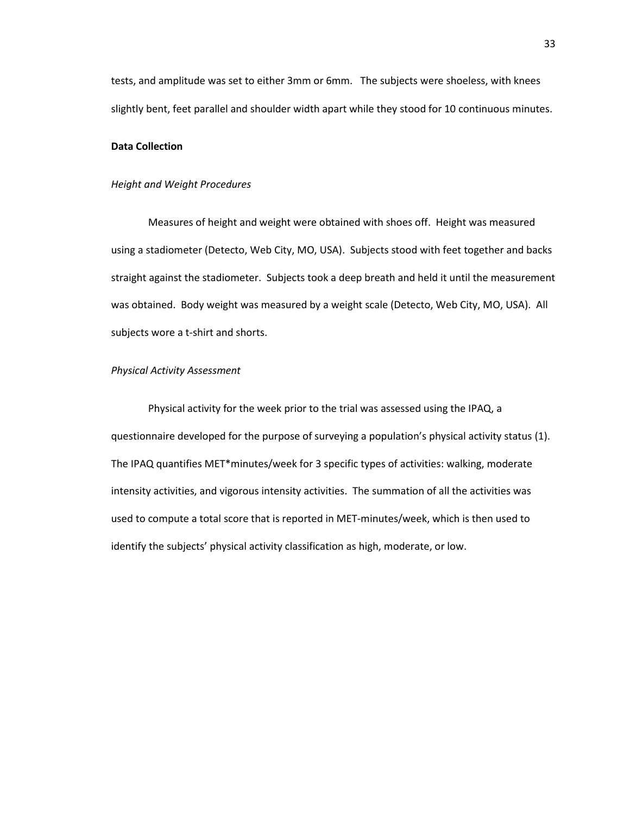tests, and amplitude was set to either 3mm or 6mm. The subjects were shoeless, with knees slightly bent, feet parallel and shoulder width apart while they stood for 10 continuous minutes.

# **Data Collection**

#### *Height and Weight Procedures*

Measures of height and weight were obtained with shoes off. Height was measured using a stadiometer (Detecto, Web City, MO, USA). Subjects stood with feet together and backs straight against the stadiometer. Subjects took a deep breath and held it until the measurement was obtained. Body weight was measured by a weight scale (Detecto, Web City, MO, USA). All subjects wore a t-shirt and shorts.

#### *Physical Activity Assessment*

Physical activity for the week prior to the trial was assessed using the IPAQ, a questionnaire developed for the purpose of surveying a population's physical activity status (1). The IPAQ quantifies MET\*minutes/week for 3 specific types of activities: walking, moderate intensity activities, and vigorous intensity activities. The summation of all the activities was used to compute a total score that is reported in MET-minutes/week, which is then used to identify the subjects' physical activity classification as high, moderate, or low.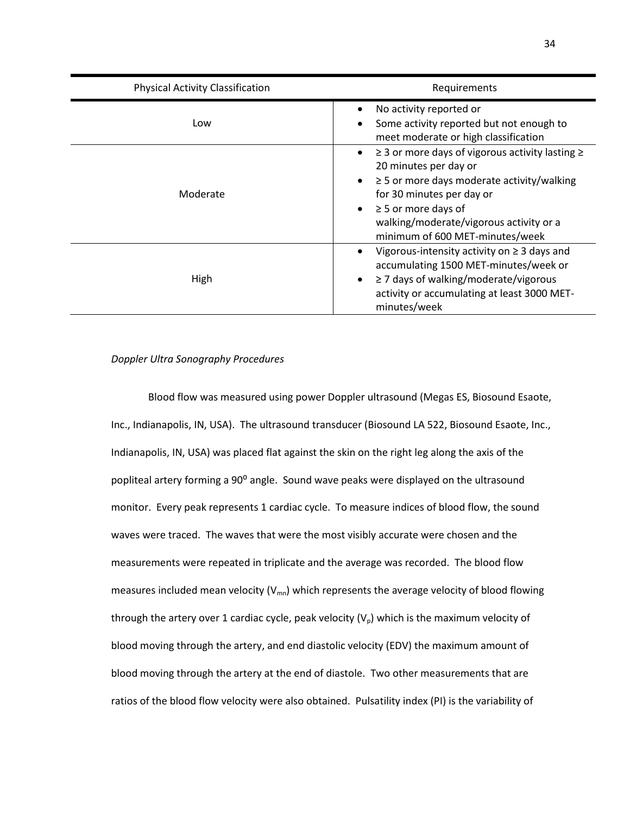| <b>Physical Activity Classification</b> | Requirements                                                                                                                                                                                                                                                                                                        |
|-----------------------------------------|---------------------------------------------------------------------------------------------------------------------------------------------------------------------------------------------------------------------------------------------------------------------------------------------------------------------|
| Low                                     | No activity reported or<br>٠<br>Some activity reported but not enough to<br>$\bullet$<br>meet moderate or high classification                                                                                                                                                                                       |
| Moderate                                | $\geq$ 3 or more days of vigorous activity lasting $\geq$<br>$\bullet$<br>20 minutes per day or<br>$\geq$ 5 or more days moderate activity/walking<br>$\bullet$<br>for 30 minutes per day or<br>$\geq$ 5 or more days of<br>$\bullet$<br>walking/moderate/vigorous activity or a<br>minimum of 600 MET-minutes/week |
| High                                    | Vigorous-intensity activity on $\geq$ 3 days and<br>٠<br>accumulating 1500 MET-minutes/week or<br>$\geq$ 7 days of walking/moderate/vigorous<br>$\bullet$<br>activity or accumulating at least 3000 MET-<br>minutes/week                                                                                            |

# *Doppler Ultra Sonography Procedures*

Blood flow was measured using power Doppler ultrasound (Megas ES, Biosound Esaote, Inc., Indianapolis, IN, USA). The ultrasound transducer (Biosound LA 522, Biosound Esaote, Inc., Indianapolis, IN, USA) was placed flat against the skin on the right leg along the axis of the popliteal artery forming a 90° angle. Sound wave peaks were displayed on the ultrasound monitor. Every peak represents 1 cardiac cycle. To measure indices of blood flow, the sound waves were traced. The waves that were the most visibly accurate were chosen and the measurements were repeated in triplicate and the average was recorded. The blood flow measures included mean velocity ( $V_{mn}$ ) which represents the average velocity of blood flowing through the artery over 1 cardiac cycle, peak velocity  $(V<sub>0</sub>)$  which is the maximum velocity of blood moving through the artery, and end diastolic velocity (EDV) the maximum amount of blood moving through the artery at the end of diastole. Two other measurements that are ratios of the blood flow velocity were also obtained. Pulsatility index (PI) is the variability of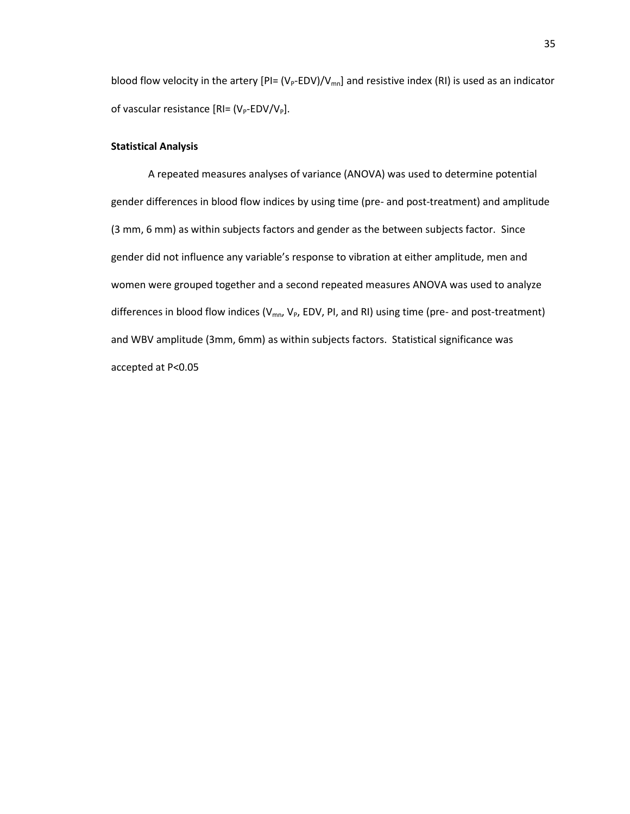blood flow velocity in the artery  $[PI = (V_P - EDV)/V_{mn}]$  and resistive index (RI) is used as an indicator of vascular resistance  $[RI=(V_P-EDV/V_P]$ .

# **Statistical Analysis**

A repeated measures analyses of variance (ANOVA) was used to determine potential gender differences in blood flow indices by using time (pre- and post-treatment) and amplitude (3 mm, 6 mm) as within subjects factors and gender as the between subjects factor. Since gender did not influence any variable's response to vibration at either amplitude, men and women were grouped together and a second repeated measures ANOVA was used to analyze differences in blood flow indices ( $V_{mn}$ ,  $V_p$ , EDV, PI, and RI) using time (pre- and post-treatment) and WBV amplitude (3mm, 6mm) as within subjects factors. Statistical significance was accepted at P<0.05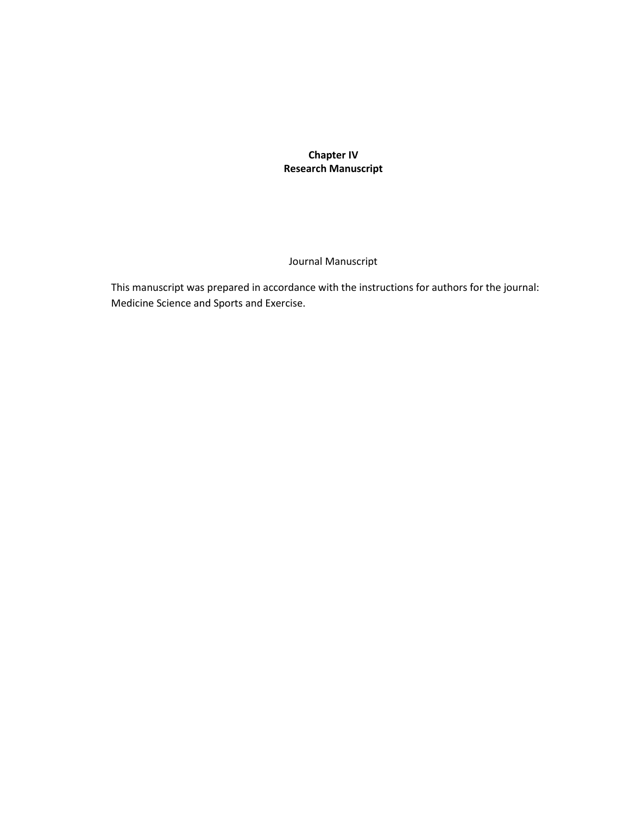**Chapter IV Research Manuscript**

# Journal Manuscript

This manuscript was prepared in accordance with the instructions for authors for the journal: Medicine Science and Sports and Exercise.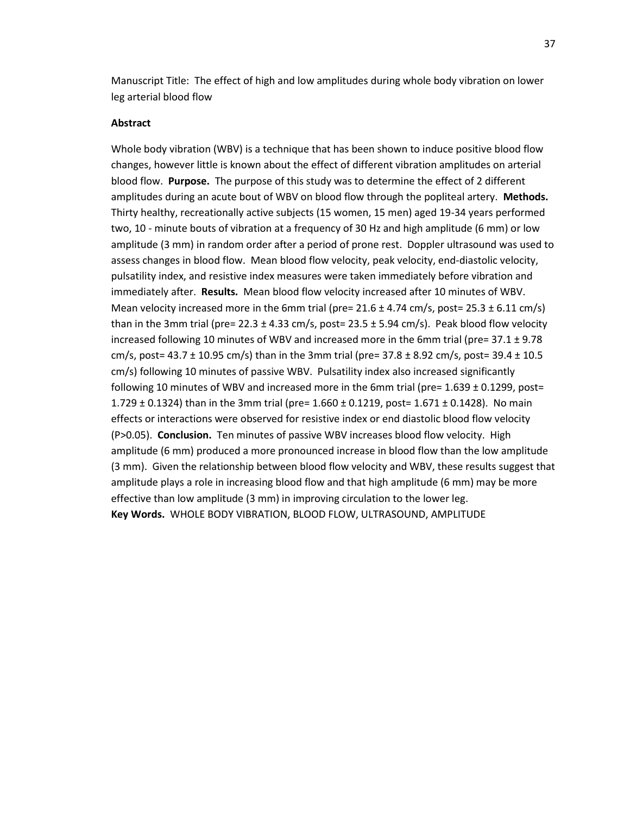Manuscript Title: The effect of high and low amplitudes during whole body vibration on lower leg arterial blood flow

# **Abstract**

Whole body vibration (WBV) is a technique that has been shown to induce positive blood flow changes, however little is known about the effect of different vibration amplitudes on arterial blood flow. **Purpose.** The purpose of this study was to determine the effect of 2 different amplitudes during an acute bout of WBV on blood flow through the popliteal artery. **Methods.**  Thirty healthy, recreationally active subjects (15 women, 15 men) aged 19-34 years performed two, 10 - minute bouts of vibration at a frequency of 30 Hz and high amplitude (6 mm) or low amplitude (3 mm) in random order after a period of prone rest. Doppler ultrasound was used to assess changes in blood flow. Mean blood flow velocity, peak velocity, end-diastolic velocity, pulsatility index, and resistive index measures were taken immediately before vibration and immediately after. **Results.** Mean blood flow velocity increased after 10 minutes of WBV. Mean velocity increased more in the 6mm trial (pre=  $21.6 \pm 4.74$  cm/s, post=  $25.3 \pm 6.11$  cm/s) than in the 3mm trial (pre= 22.3  $\pm$  4.33 cm/s, post= 23.5  $\pm$  5.94 cm/s). Peak blood flow velocity increased following 10 minutes of WBV and increased more in the 6mm trial (pre=  $37.1 \pm 9.78$ ) cm/s, post=  $43.7 \pm 10.95$  cm/s) than in the 3mm trial (pre=  $37.8 \pm 8.92$  cm/s, post=  $39.4 \pm 10.5$ cm/s) following 10 minutes of passive WBV. Pulsatility index also increased significantly following 10 minutes of WBV and increased more in the 6mm trial (pre=  $1.639 \pm 0.1299$ , post= 1.729  $\pm$  0.1324) than in the 3mm trial (pre= 1.660  $\pm$  0.1219, post= 1.671  $\pm$  0.1428). No main effects or interactions were observed for resistive index or end diastolic blood flow velocity (P>0.05). **Conclusion.** Ten minutes of passive WBV increases blood flow velocity. High amplitude (6 mm) produced a more pronounced increase in blood flow than the low amplitude (3 mm). Given the relationship between blood flow velocity and WBV, these results suggest that amplitude plays a role in increasing blood flow and that high amplitude (6 mm) may be more effective than low amplitude (3 mm) in improving circulation to the lower leg. **Key Words.** WHOLE BODY VIBRATION, BLOOD FLOW, ULTRASOUND, AMPLITUDE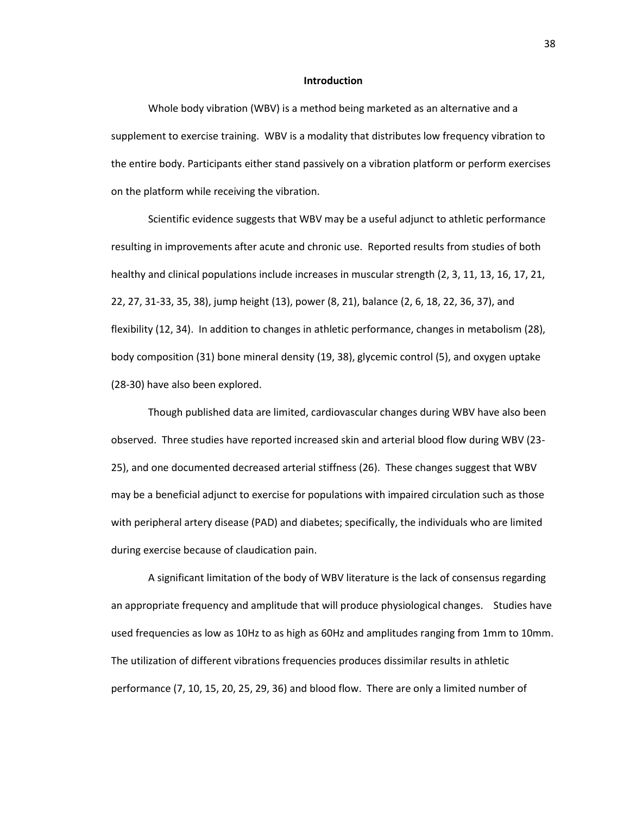#### **Introduction**

Whole body vibration (WBV) is a method being marketed as an alternative and a supplement to exercise training. WBV is a modality that distributes low frequency vibration to the entire body. Participants either stand passively on a vibration platform or perform exercises on the platform while receiving the vibration.

Scientific evidence suggests that WBV may be a useful adjunct to athletic performance resulting in improvements after acute and chronic use. Reported results from studies of both healthy and clinical populations include increases in muscular strength (2, 3, 11, 13, 16, 17, 21, 22, 27, 31-33, 35, 38), jump height (13), power (8, 21), balance (2, 6, 18, 22, 36, 37), and flexibility (12, 34). In addition to changes in athletic performance, changes in metabolism (28), body composition (31) bone mineral density (19, 38), glycemic control (5), and oxygen uptake (28-30) have also been explored.

Though published data are limited, cardiovascular changes during WBV have also been observed. Three studies have reported increased skin and arterial blood flow during WBV (23- 25), and one documented decreased arterial stiffness (26). These changes suggest that WBV may be a beneficial adjunct to exercise for populations with impaired circulation such as those with peripheral artery disease (PAD) and diabetes; specifically, the individuals who are limited during exercise because of claudication pain.

A significant limitation of the body of WBV literature is the lack of consensus regarding an appropriate frequency and amplitude that will produce physiological changes. Studies have used frequencies as low as 10Hz to as high as 60Hz and amplitudes ranging from 1mm to 10mm. The utilization of different vibrations frequencies produces dissimilar results in athletic performance (7, 10, 15, 20, 25, 29, 36) and blood flow. There are only a limited number of

38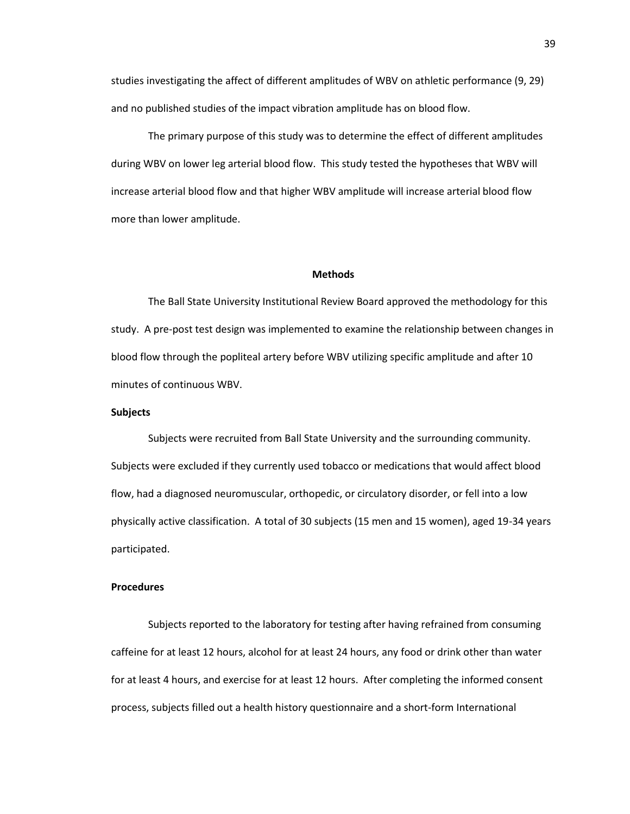studies investigating the affect of different amplitudes of WBV on athletic performance (9, 29) and no published studies of the impact vibration amplitude has on blood flow.

The primary purpose of this study was to determine the effect of different amplitudes during WBV on lower leg arterial blood flow. This study tested the hypotheses that WBV will increase arterial blood flow and that higher WBV amplitude will increase arterial blood flow more than lower amplitude.

### **Methods**

The Ball State University Institutional Review Board approved the methodology for this study. A pre-post test design was implemented to examine the relationship between changes in blood flow through the popliteal artery before WBV utilizing specific amplitude and after 10 minutes of continuous WBV.

# **Subjects**

Subjects were recruited from Ball State University and the surrounding community. Subjects were excluded if they currently used tobacco or medications that would affect blood flow, had a diagnosed neuromuscular, orthopedic, or circulatory disorder, or fell into a low physically active classification. A total of 30 subjects (15 men and 15 women), aged 19-34 years participated.

#### **Procedures**

Subjects reported to the laboratory for testing after having refrained from consuming caffeine for at least 12 hours, alcohol for at least 24 hours, any food or drink other than water for at least 4 hours, and exercise for at least 12 hours. After completing the informed consent process, subjects filled out a health history questionnaire and a short-form International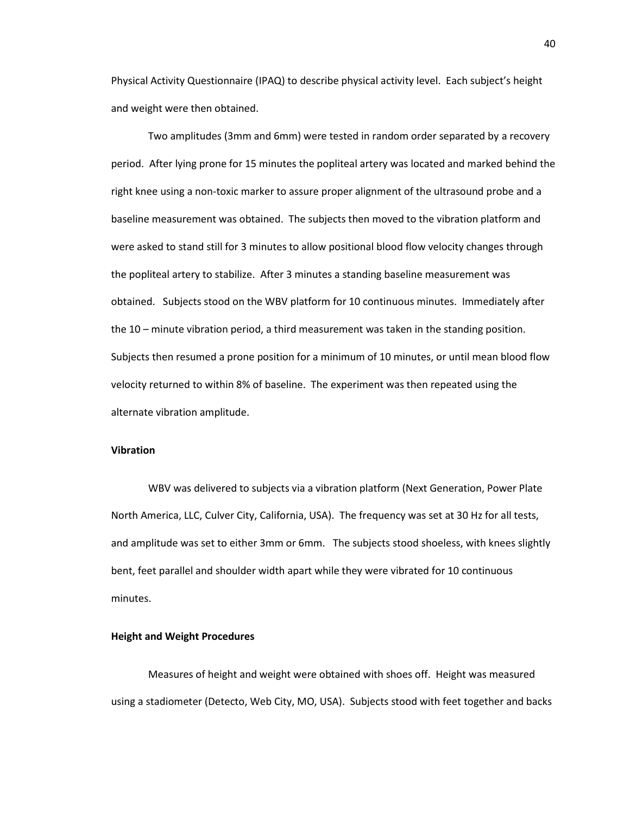Physical Activity Questionnaire (IPAQ) to describe physical activity level. Each subject's height and weight were then obtained.

Two amplitudes (3mm and 6mm) were tested in random order separated by a recovery period. After lying prone for 15 minutes the popliteal artery was located and marked behind the right knee using a non-toxic marker to assure proper alignment of the ultrasound probe and a baseline measurement was obtained. The subjects then moved to the vibration platform and were asked to stand still for 3 minutes to allow positional blood flow velocity changes through the popliteal artery to stabilize. After 3 minutes a standing baseline measurement was obtained. Subjects stood on the WBV platform for 10 continuous minutes. Immediately after the 10 – minute vibration period, a third measurement was taken in the standing position. Subjects then resumed a prone position for a minimum of 10 minutes, or until mean blood flow velocity returned to within 8% of baseline. The experiment was then repeated using the alternate vibration amplitude.

#### **Vibration**

WBV was delivered to subjects via a vibration platform (Next Generation, Power Plate North America, LLC, Culver City, California, USA). The frequency was set at 30 Hz for all tests, and amplitude was set to either 3mm or 6mm. The subjects stood shoeless, with knees slightly bent, feet parallel and shoulder width apart while they were vibrated for 10 continuous minutes.

### **Height and Weight Procedures**

Measures of height and weight were obtained with shoes off. Height was measured using a stadiometer (Detecto, Web City, MO, USA). Subjects stood with feet together and backs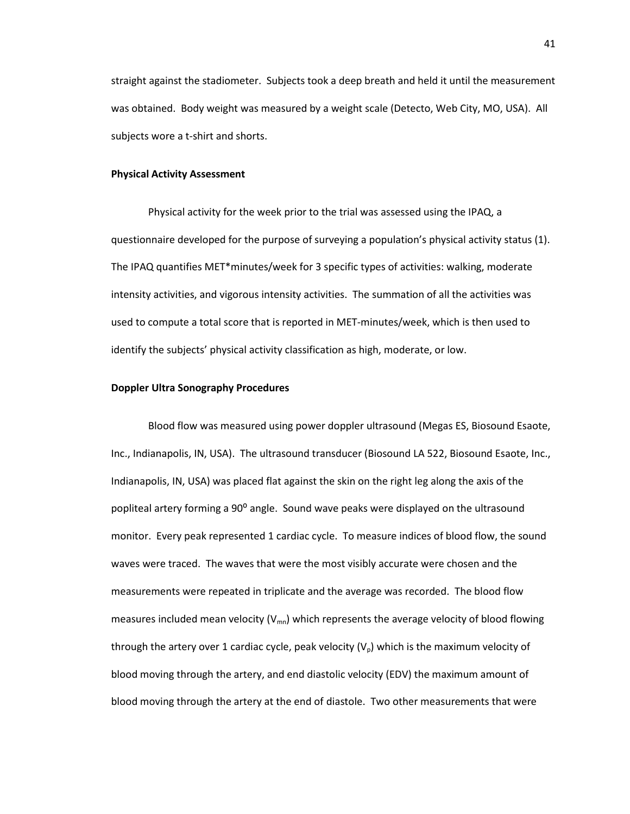straight against the stadiometer. Subjects took a deep breath and held it until the measurement was obtained. Body weight was measured by a weight scale (Detecto, Web City, MO, USA). All subjects wore a t-shirt and shorts.

### **Physical Activity Assessment**

Physical activity for the week prior to the trial was assessed using the IPAQ, a questionnaire developed for the purpose of surveying a population's physical activity status (1). The IPAQ quantifies MET\*minutes/week for 3 specific types of activities: walking, moderate intensity activities, and vigorous intensity activities. The summation of all the activities was used to compute a total score that is reported in MET-minutes/week, which is then used to identify the subjects' physical activity classification as high, moderate, or low.

#### **Doppler Ultra Sonography Procedures**

Blood flow was measured using power doppler ultrasound (Megas ES, Biosound Esaote, Inc., Indianapolis, IN, USA). The ultrasound transducer (Biosound LA 522, Biosound Esaote, Inc., Indianapolis, IN, USA) was placed flat against the skin on the right leg along the axis of the popliteal artery forming a 90° angle. Sound wave peaks were displayed on the ultrasound monitor. Every peak represented 1 cardiac cycle. To measure indices of blood flow, the sound waves were traced. The waves that were the most visibly accurate were chosen and the measurements were repeated in triplicate and the average was recorded. The blood flow measures included mean velocity ( $V_{mn}$ ) which represents the average velocity of blood flowing through the artery over 1 cardiac cycle, peak velocity  $(V<sub>0</sub>)$  which is the maximum velocity of blood moving through the artery, and end diastolic velocity (EDV) the maximum amount of blood moving through the artery at the end of diastole. Two other measurements that were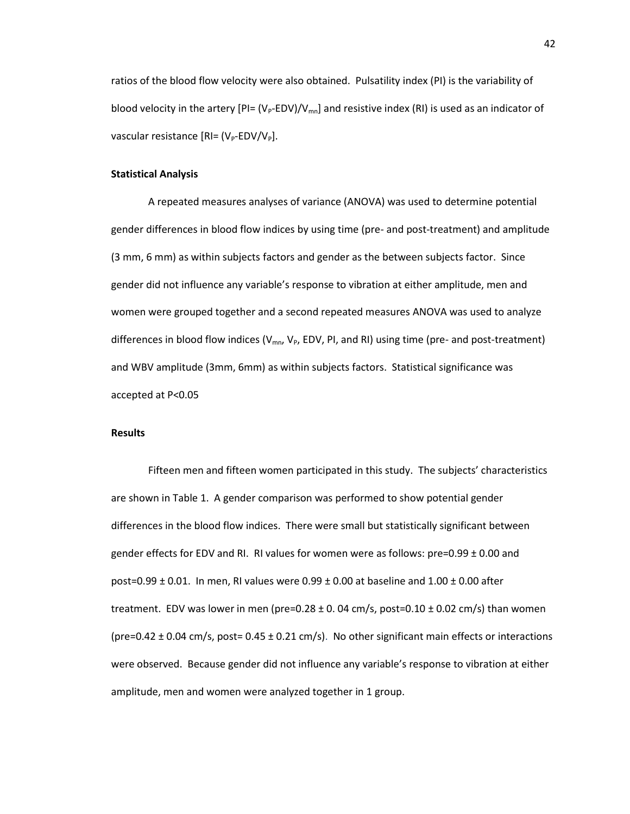ratios of the blood flow velocity were also obtained. Pulsatility index (PI) is the variability of blood velocity in the artery  $[P] = (V_P - EDV)/V_{mn}]$  and resistive index (RI) is used as an indicator of vascular resistance  $[RI=(V_P-EDV/V_P]$ .

### **Statistical Analysis**

A repeated measures analyses of variance (ANOVA) was used to determine potential gender differences in blood flow indices by using time (pre- and post-treatment) and amplitude (3 mm, 6 mm) as within subjects factors and gender as the between subjects factor. Since gender did not influence any variable's response to vibration at either amplitude, men and women were grouped together and a second repeated measures ANOVA was used to analyze differences in blood flow indices ( $V_{mn}$ ,  $V_{p}$ , EDV, PI, and RI) using time (pre- and post-treatment) and WBV amplitude (3mm, 6mm) as within subjects factors. Statistical significance was accepted at P<0.05

### **Results**

Fifteen men and fifteen women participated in this study. The subjects' characteristics are shown in Table 1. A gender comparison was performed to show potential gender differences in the blood flow indices. There were small but statistically significant between gender effects for EDV and RI. RI values for women were as follows:  $pre=0.99 \pm 0.00$  and post=0.99  $\pm$  0.01. In men, RI values were 0.99  $\pm$  0.00 at baseline and 1.00  $\pm$  0.00 after treatment. EDV was lower in men (pre=0.28  $\pm$  0. 04 cm/s, post=0.10  $\pm$  0.02 cm/s) than women (pre=0.42  $\pm$  0.04 cm/s, post= 0.45  $\pm$  0.21 cm/s). No other significant main effects or interactions were observed. Because gender did not influence any variable's response to vibration at either amplitude, men and women were analyzed together in 1 group.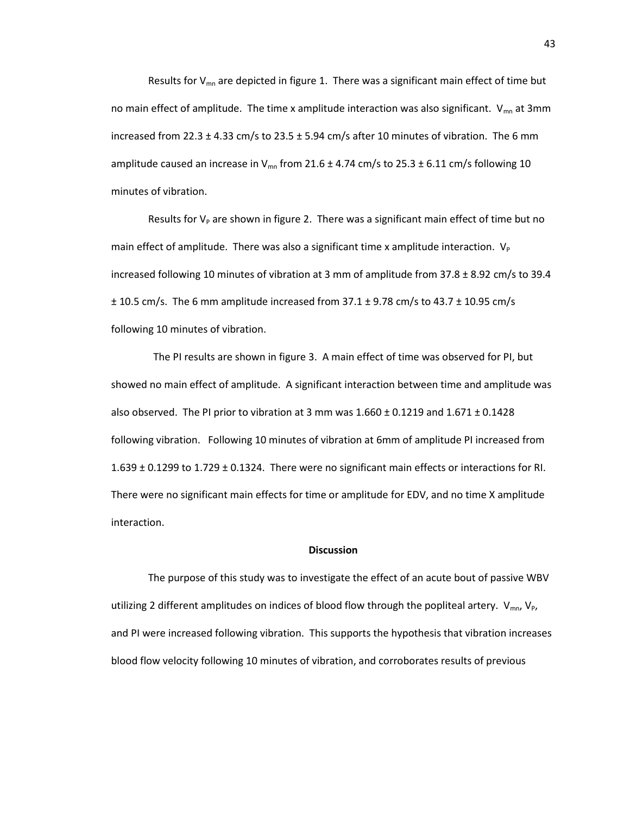Results for  $V_{mn}$  are depicted in figure 1. There was a significant main effect of time but no main effect of amplitude. The time x amplitude interaction was also significant.  $V_{mn}$  at 3mm increased from 22.3  $\pm$  4.33 cm/s to 23.5  $\pm$  5.94 cm/s after 10 minutes of vibration. The 6 mm amplitude caused an increase in V<sub>mn</sub> from 21.6  $\pm$  4.74 cm/s to 25.3  $\pm$  6.11 cm/s following 10 minutes of vibration.

Results for  $V_P$  are shown in figure 2. There was a significant main effect of time but no main effect of amplitude. There was also a significant time x amplitude interaction.  $V_P$ increased following 10 minutes of vibration at 3 mm of amplitude from 37.8 ± 8.92 cm/s to 39.4  $\pm$  10.5 cm/s. The 6 mm amplitude increased from 37.1  $\pm$  9.78 cm/s to 43.7  $\pm$  10.95 cm/s following 10 minutes of vibration.

 The PI results are shown in figure 3. A main effect of time was observed for PI, but showed no main effect of amplitude. A significant interaction between time and amplitude was also observed. The PI prior to vibration at 3 mm was  $1.660 \pm 0.1219$  and  $1.671 \pm 0.1428$ following vibration. Following 10 minutes of vibration at 6mm of amplitude PI increased from 1.639 ± 0.1299 to 1.729 ± 0.1324. There were no significant main effects or interactions for RI. There were no significant main effects for time or amplitude for EDV, and no time X amplitude interaction.

#### **Discussion**

The purpose of this study was to investigate the effect of an acute bout of passive WBV utilizing 2 different amplitudes on indices of blood flow through the popliteal artery.  $V_{mn}V_{p}$ , and PI were increased following vibration. This supports the hypothesis that vibration increases blood flow velocity following 10 minutes of vibration, and corroborates results of previous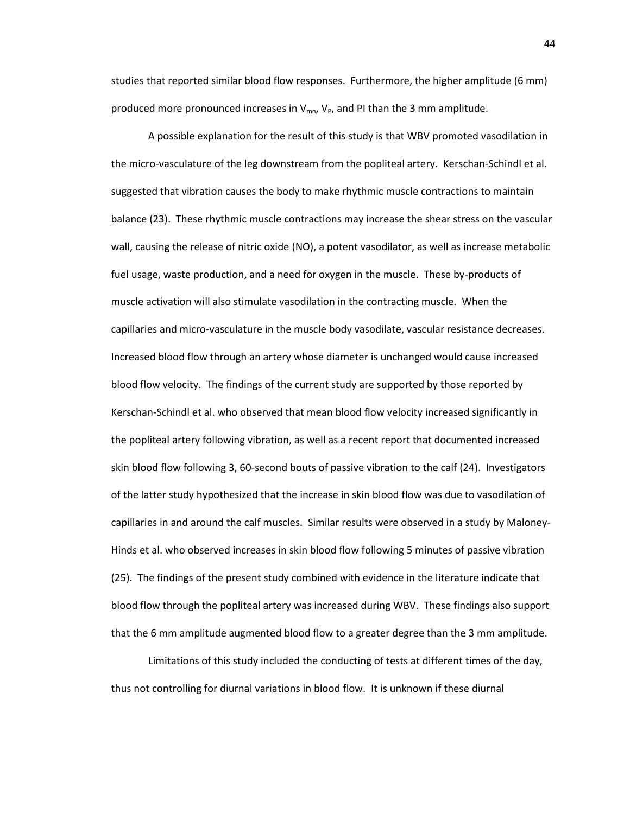studies that reported similar blood flow responses. Furthermore, the higher amplitude (6 mm) produced more pronounced increases in  $V_{mn}$ ,  $V_{p}$ , and PI than the 3 mm amplitude.

A possible explanation for the result of this study is that WBV promoted vasodilation in the micro-vasculature of the leg downstream from the popliteal artery. Kerschan-Schindl et al. suggested that vibration causes the body to make rhythmic muscle contractions to maintain balance (23). These rhythmic muscle contractions may increase the shear stress on the vascular wall, causing the release of nitric oxide (NO), a potent vasodilator, as well as increase metabolic fuel usage, waste production, and a need for oxygen in the muscle. These by-products of muscle activation will also stimulate vasodilation in the contracting muscle. When the capillaries and micro-vasculature in the muscle body vasodilate, vascular resistance decreases. Increased blood flow through an artery whose diameter is unchanged would cause increased blood flow velocity. The findings of the current study are supported by those reported by Kerschan-Schindl et al. who observed that mean blood flow velocity increased significantly in the popliteal artery following vibration, as well as a recent report that documented increased skin blood flow following 3, 60-second bouts of passive vibration to the calf (24). Investigators of the latter study hypothesized that the increase in skin blood flow was due to vasodilation of capillaries in and around the calf muscles. Similar results were observed in a study by Maloney-Hinds et al. who observed increases in skin blood flow following 5 minutes of passive vibration (25). The findings of the present study combined with evidence in the literature indicate that blood flow through the popliteal artery was increased during WBV. These findings also support that the 6 mm amplitude augmented blood flow to a greater degree than the 3 mm amplitude.

Limitations of this study included the conducting of tests at different times of the day, thus not controlling for diurnal variations in blood flow. It is unknown if these diurnal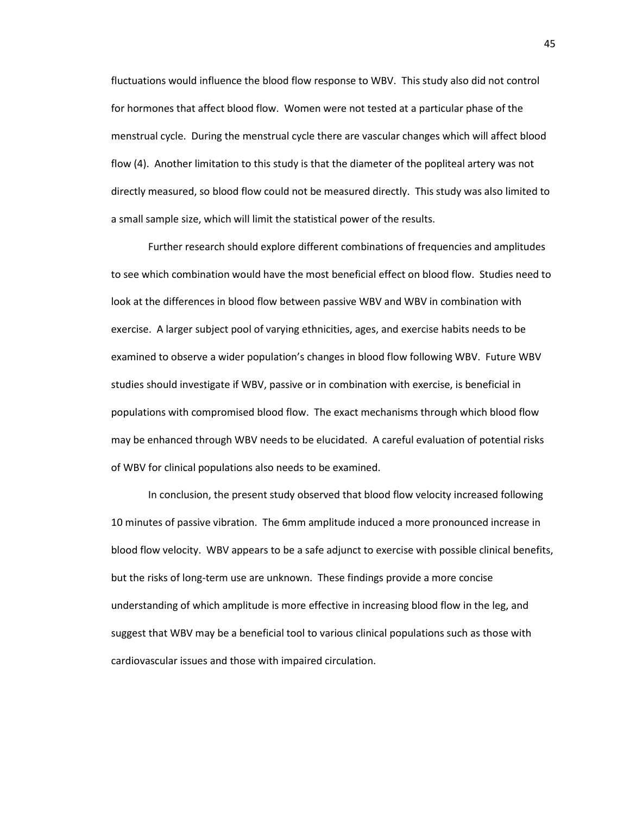fluctuations would influence the blood flow response to WBV. This study also did not control for hormones that affect blood flow. Women were not tested at a particular phase of the menstrual cycle. During the menstrual cycle there are vascular changes which will affect blood flow (4). Another limitation to this study is that the diameter of the popliteal artery was not directly measured, so blood flow could not be measured directly. This study was also limited to a small sample size, which will limit the statistical power of the results.

Further research should explore different combinations of frequencies and amplitudes to see which combination would have the most beneficial effect on blood flow. Studies need to look at the differences in blood flow between passive WBV and WBV in combination with exercise. A larger subject pool of varying ethnicities, ages, and exercise habits needs to be examined to observe a wider population's changes in blood flow following WBV. Future WBV studies should investigate if WBV, passive or in combination with exercise, is beneficial in populations with compromised blood flow. The exact mechanisms through which blood flow may be enhanced through WBV needs to be elucidated. A careful evaluation of potential risks of WBV for clinical populations also needs to be examined.

In conclusion, the present study observed that blood flow velocity increased following 10 minutes of passive vibration. The 6mm amplitude induced a more pronounced increase in blood flow velocity. WBV appears to be a safe adjunct to exercise with possible clinical benefits, but the risks of long-term use are unknown. These findings provide a more concise understanding of which amplitude is more effective in increasing blood flow in the leg, and suggest that WBV may be a beneficial tool to various clinical populations such as those with cardiovascular issues and those with impaired circulation.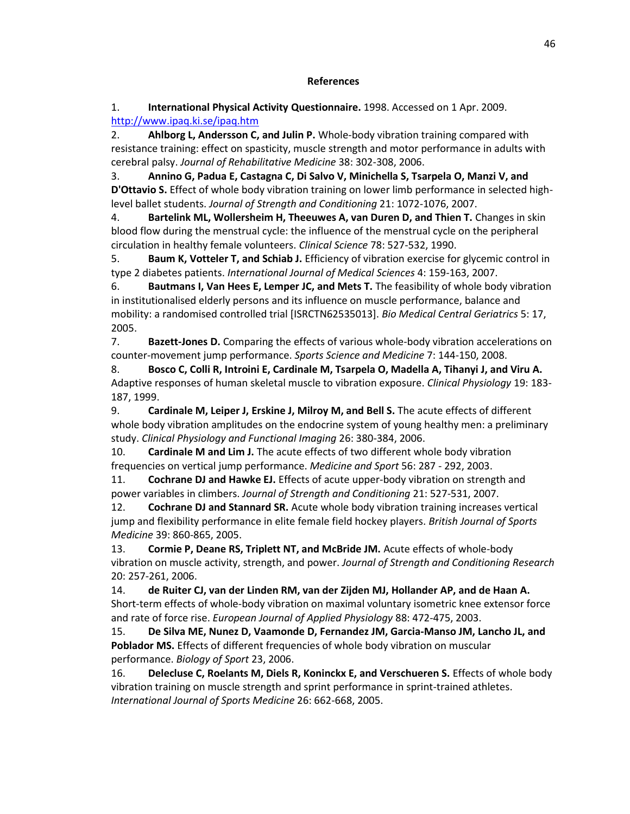## **References**

1. **International Physical Activity Questionnaire.** 1998. Accessed on 1 Apr. 2009. <http://www.ipaq.ki.se/ipaq.htm>

2. **Ahlborg L, Andersson C, and Julin P.** Whole-body vibration training compared with resistance training: effect on spasticity, muscle strength and motor performance in adults with cerebral palsy. *Journal of Rehabilitative Medicine* 38: 302-308, 2006.

3. **Annino G, Padua E, Castagna C, Di Salvo V, Minichella S, Tsarpela O, Manzi V, and D'Ottavio S.** Effect of whole body vibration training on lower limb performance in selected highlevel ballet students. *Journal of Strength and Conditioning* 21: 1072-1076, 2007.

4. **Bartelink ML, Wollersheim H, Theeuwes A, van Duren D, and Thien T.** Changes in skin blood flow during the menstrual cycle: the influence of the menstrual cycle on the peripheral circulation in healthy female volunteers. *Clinical Science* 78: 527-532, 1990.

5. **Baum K, Votteler T, and Schiab J.** Efficiency of vibration exercise for glycemic control in type 2 diabetes patients. *International Journal of Medical Sciences* 4: 159-163, 2007.

6. **Bautmans I, Van Hees E, Lemper JC, and Mets T.** The feasibility of whole body vibration in institutionalised elderly persons and its influence on muscle performance, balance and mobility: a randomised controlled trial [ISRCTN62535013]. *Bio Medical Central Geriatrics* 5: 17, 2005.

7. **Bazett-Jones D.** Comparing the effects of various whole-body vibration accelerations on counter-movement jump performance. *Sports Science and Medicine* 7: 144-150, 2008.

8. **Bosco C, Colli R, Introini E, Cardinale M, Tsarpela O, Madella A, Tihanyi J, and Viru A.** Adaptive responses of human skeletal muscle to vibration exposure. *Clinical Physiology* 19: 183- 187, 1999.

9. **Cardinale M, Leiper J, Erskine J, Milroy M, and Bell S.** The acute effects of different whole body vibration amplitudes on the endocrine system of young healthy men: a preliminary study. *Clinical Physiology and Functional Imaging* 26: 380-384, 2006.

10. **Cardinale M and Lim J.** The acute effects of two different whole body vibration frequencies on vertical jump performance. *Medicine and Sport* 56: 287 - 292, 2003.

11. **Cochrane DJ and Hawke EJ.** Effects of acute upper-body vibration on strength and power variables in climbers. *Journal of Strength and Conditioning* 21: 527-531, 2007.

12. **Cochrane DJ and Stannard SR.** Acute whole body vibration training increases vertical jump and flexibility performance in elite female field hockey players. *British Journal of Sports Medicine* 39: 860-865, 2005.

13. **Cormie P, Deane RS, Triplett NT, and McBride JM.** Acute effects of whole-body vibration on muscle activity, strength, and power. *Journal of Strength and Conditioning Research* 20: 257-261, 2006.

14. **de Ruiter CJ, van der Linden RM, van der Zijden MJ, Hollander AP, and de Haan A.** Short-term effects of whole-body vibration on maximal voluntary isometric knee extensor force and rate of force rise. *European Journal of Applied Physiology* 88: 472-475, 2003.

15. **De Silva ME, Nunez D, Vaamonde D, Fernandez JM, Garcia-Manso JM, Lancho JL, and Poblador MS.** Effects of different frequencies of whole body vibration on muscular performance. *Biology of Sport* 23, 2006.

16. **Delecluse C, Roelants M, Diels R, Koninckx E, and Verschueren S.** Effects of whole body vibration training on muscle strength and sprint performance in sprint-trained athletes. *International Journal of Sports Medicine* 26: 662-668, 2005.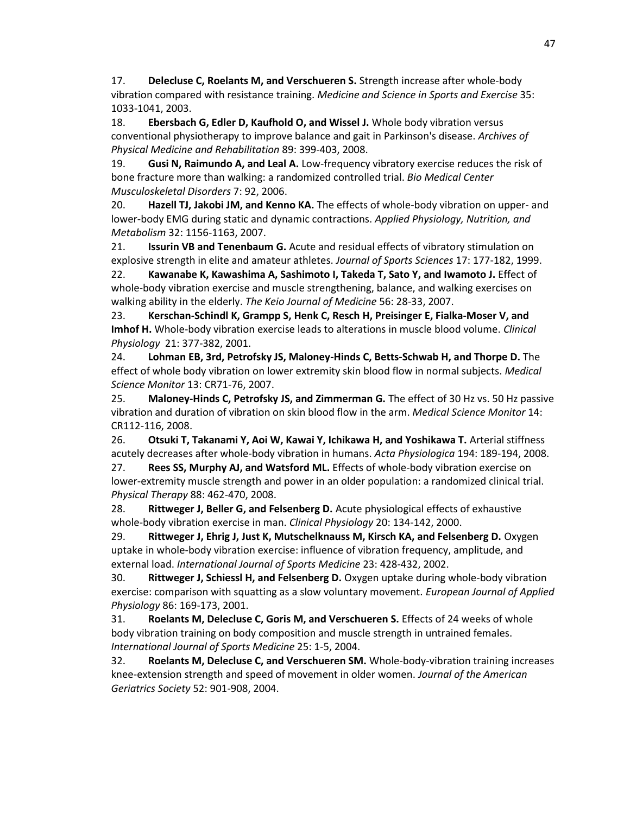17. **Delecluse C, Roelants M, and Verschueren S.** Strength increase after whole-body vibration compared with resistance training. *Medicine and Science in Sports and Exercise* 35: 1033-1041, 2003.

18. **Ebersbach G, Edler D, Kaufhold O, and Wissel J.** Whole body vibration versus conventional physiotherapy to improve balance and gait in Parkinson's disease. *Archives of Physical Medicine and Rehabilitation* 89: 399-403, 2008.

19. **Gusi N, Raimundo A, and Leal A.** Low-frequency vibratory exercise reduces the risk of bone fracture more than walking: a randomized controlled trial. *Bio Medical Center Musculoskeletal Disorders* 7: 92, 2006.

20. **Hazell TJ, Jakobi JM, and Kenno KA.** The effects of whole-body vibration on upper- and lower-body EMG during static and dynamic contractions. *Applied Physiology, Nutrition, and Metabolism* 32: 1156-1163, 2007.

21. **Issurin VB and Tenenbaum G.** Acute and residual effects of vibratory stimulation on explosive strength in elite and amateur athletes. *Journal of Sports Sciences* 17: 177-182, 1999.

22. **Kawanabe K, Kawashima A, Sashimoto I, Takeda T, Sato Y, and Iwamoto J.** Effect of whole-body vibration exercise and muscle strengthening, balance, and walking exercises on walking ability in the elderly. *The Keio Journal of Medicine* 56: 28-33, 2007.

23. **Kerschan-Schindl K, Grampp S, Henk C, Resch H, Preisinger E, Fialka-Moser V, and Imhof H.** Whole-body vibration exercise leads to alterations in muscle blood volume. *Clinical Physiology* 21: 377-382, 2001.

24. **Lohman EB, 3rd, Petrofsky JS, Maloney-Hinds C, Betts-Schwab H, and Thorpe D.** The effect of whole body vibration on lower extremity skin blood flow in normal subjects. *Medical Science Monitor* 13: CR71-76, 2007.

25. **Maloney-Hinds C, Petrofsky JS, and Zimmerman G.** The effect of 30 Hz vs. 50 Hz passive vibration and duration of vibration on skin blood flow in the arm. *Medical Science Monitor* 14: CR112-116, 2008.

26. **Otsuki T, Takanami Y, Aoi W, Kawai Y, Ichikawa H, and Yoshikawa T.** Arterial stiffness acutely decreases after whole-body vibration in humans. *Acta Physiologica* 194: 189-194, 2008.

27. **Rees SS, Murphy AJ, and Watsford ML.** Effects of whole-body vibration exercise on lower-extremity muscle strength and power in an older population: a randomized clinical trial. *Physical Therapy* 88: 462-470, 2008.

28. **Rittweger J, Beller G, and Felsenberg D.** Acute physiological effects of exhaustive whole-body vibration exercise in man. *Clinical Physiology* 20: 134-142, 2000.

29. **Rittweger J, Ehrig J, Just K, Mutschelknauss M, Kirsch KA, and Felsenberg D.** Oxygen uptake in whole-body vibration exercise: influence of vibration frequency, amplitude, and external load. *International Journal of Sports Medicine* 23: 428-432, 2002.

30. **Rittweger J, Schiessl H, and Felsenberg D.** Oxygen uptake during whole-body vibration exercise: comparison with squatting as a slow voluntary movement. *European Journal of Applied Physiology* 86: 169-173, 2001.

31. **Roelants M, Delecluse C, Goris M, and Verschueren S.** Effects of 24 weeks of whole body vibration training on body composition and muscle strength in untrained females. *International Journal of Sports Medicine* 25: 1-5, 2004.

32. **Roelants M, Delecluse C, and Verschueren SM.** Whole-body-vibration training increases knee-extension strength and speed of movement in older women. *Journal of the American Geriatrics Society* 52: 901-908, 2004.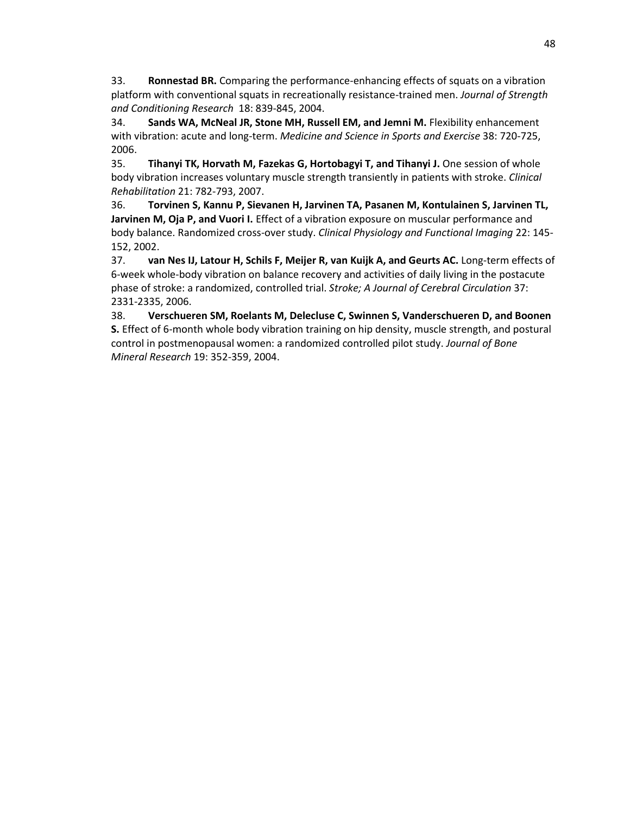33. **Ronnestad BR.** Comparing the performance-enhancing effects of squats on a vibration platform with conventional squats in recreationally resistance-trained men. *Journal of Strength and Conditioning Research* 18: 839-845, 2004.

34. **Sands WA, McNeal JR, Stone MH, Russell EM, and Jemni M.** Flexibility enhancement with vibration: acute and long-term. *Medicine and Science in Sports and Exercise* 38: 720-725, 2006.

35. **Tihanyi TK, Horvath M, Fazekas G, Hortobagyi T, and Tihanyi J.** One session of whole body vibration increases voluntary muscle strength transiently in patients with stroke. *Clinical Rehabilitation* 21: 782-793, 2007.

36. **Torvinen S, Kannu P, Sievanen H, Jarvinen TA, Pasanen M, Kontulainen S, Jarvinen TL, Jarvinen M, Oja P, and Vuori I.** Effect of a vibration exposure on muscular performance and body balance. Randomized cross-over study. *Clinical Physiology and Functional Imaging* 22: 145- 152, 2002.

37. **van Nes IJ, Latour H, Schils F, Meijer R, van Kuijk A, and Geurts AC.** Long-term effects of 6-week whole-body vibration on balance recovery and activities of daily living in the postacute phase of stroke: a randomized, controlled trial. *Stroke; A Journal of Cerebral Circulation* 37: 2331-2335, 2006.

38. **Verschueren SM, Roelants M, Delecluse C, Swinnen S, Vanderschueren D, and Boonen S.** Effect of 6-month whole body vibration training on hip density, muscle strength, and postural control in postmenopausal women: a randomized controlled pilot study. *Journal of Bone Mineral Research* 19: 352-359, 2004.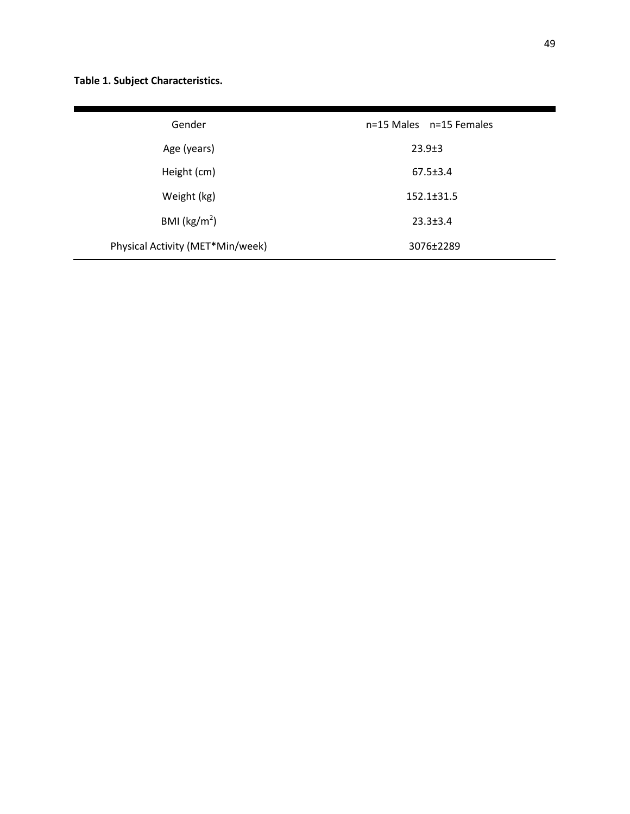**Table 1. Subject Characteristics.**

| Gender                           | n=15 Males n=15 Females |
|----------------------------------|-------------------------|
| Age (years)                      | $23.9 \pm 3$            |
| Height (cm)                      | $67.5 \pm 3.4$          |
| Weight (kg)                      | $152.1 \pm 31.5$        |
| BMI ( $\text{kg/m}^2$ )          | $23.3 \pm 3.4$          |
| Physical Activity (MET*Min/week) | 3076±2289               |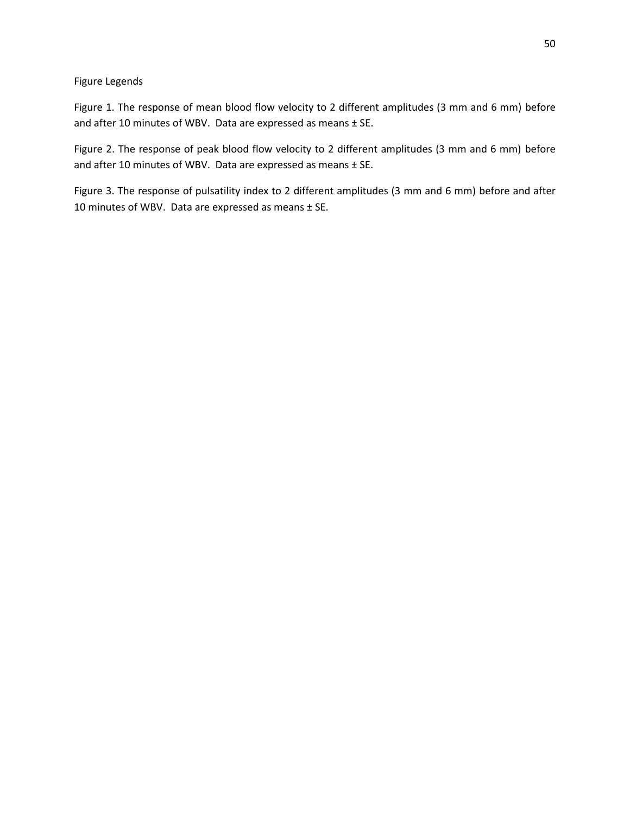Figure Legends

Figure 1. The response of mean blood flow velocity to 2 different amplitudes (3 mm and 6 mm) before and after 10 minutes of WBV. Data are expressed as means ± SE.

Figure 2. The response of peak blood flow velocity to 2 different amplitudes (3 mm and 6 mm) before and after 10 minutes of WBV. Data are expressed as means ± SE.

Figure 3. The response of pulsatility index to 2 different amplitudes (3 mm and 6 mm) before and after 10 minutes of WBV. Data are expressed as means ± SE.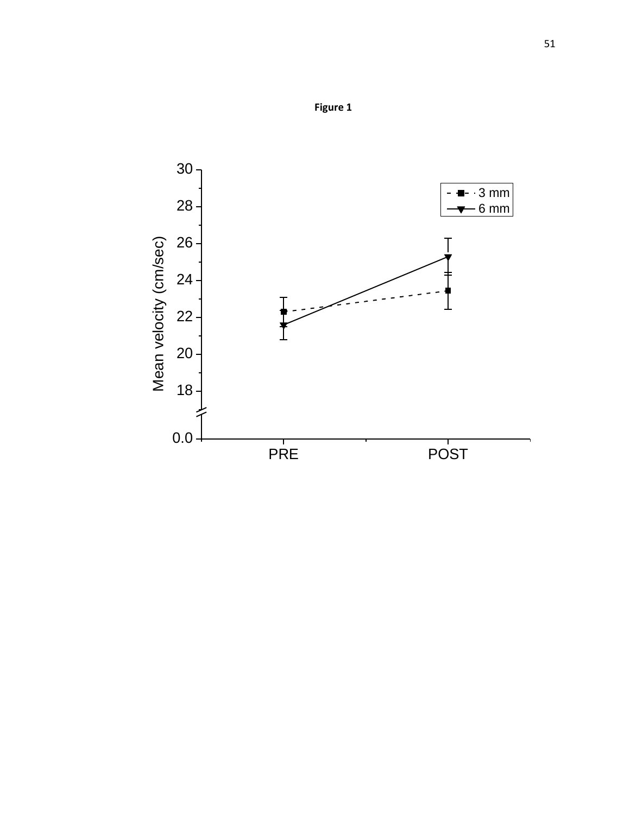

**Figure 1**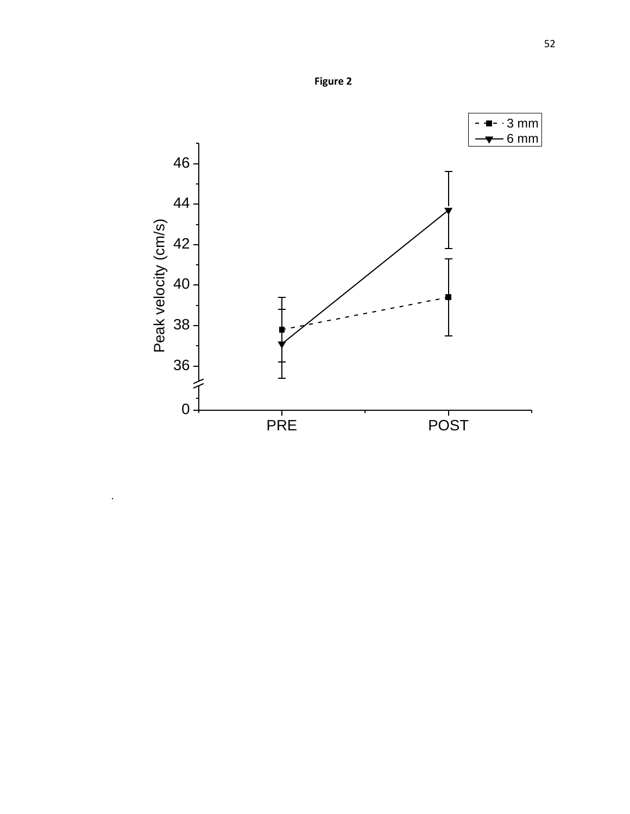

.

**Figure 2**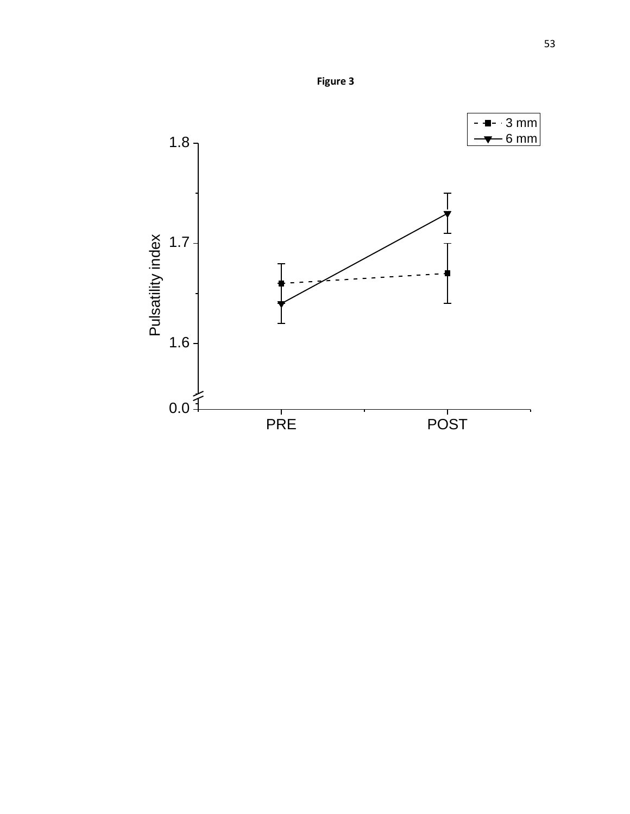

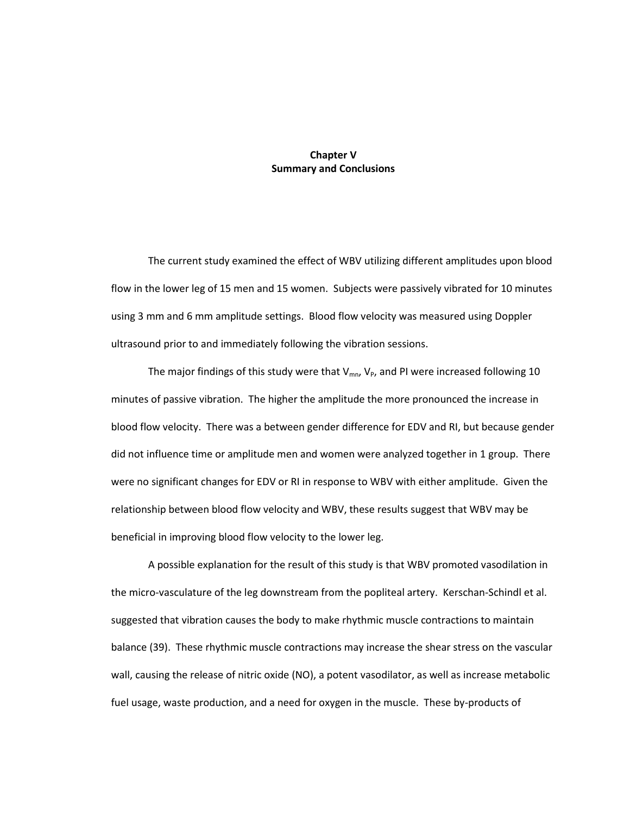# **Chapter V Summary and Conclusions**

The current study examined the effect of WBV utilizing different amplitudes upon blood flow in the lower leg of 15 men and 15 women. Subjects were passively vibrated for 10 minutes using 3 mm and 6 mm amplitude settings. Blood flow velocity was measured using Doppler ultrasound prior to and immediately following the vibration sessions.

The major findings of this study were that  $V_{mn}$ ,  $V_P$ , and PI were increased following 10 minutes of passive vibration. The higher the amplitude the more pronounced the increase in blood flow velocity. There was a between gender difference for EDV and RI, but because gender did not influence time or amplitude men and women were analyzed together in 1 group. There were no significant changes for EDV or RI in response to WBV with either amplitude. Given the relationship between blood flow velocity and WBV, these results suggest that WBV may be beneficial in improving blood flow velocity to the lower leg.

A possible explanation for the result of this study is that WBV promoted vasodilation in the micro-vasculature of the leg downstream from the popliteal artery. Kerschan-Schindl et al. suggested that vibration causes the body to make rhythmic muscle contractions to maintain balance (39). These rhythmic muscle contractions may increase the shear stress on the vascular wall, causing the release of nitric oxide (NO), a potent vasodilator, as well as increase metabolic fuel usage, waste production, and a need for oxygen in the muscle. These by-products of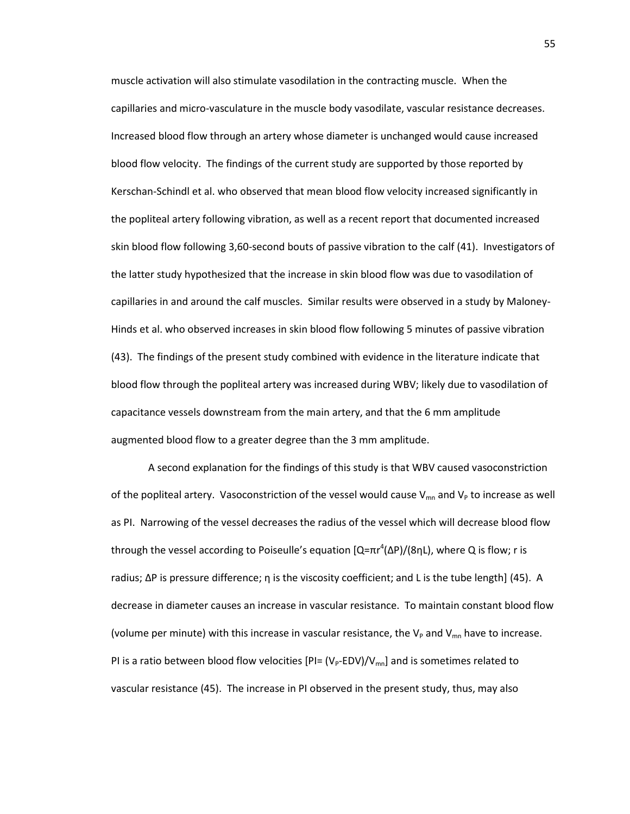muscle activation will also stimulate vasodilation in the contracting muscle. When the capillaries and micro-vasculature in the muscle body vasodilate, vascular resistance decreases. Increased blood flow through an artery whose diameter is unchanged would cause increased blood flow velocity. The findings of the current study are supported by those reported by Kerschan-Schindl et al. who observed that mean blood flow velocity increased significantly in the popliteal artery following vibration, as well as a recent report that documented increased skin blood flow following 3,60-second bouts of passive vibration to the calf (41). Investigators of the latter study hypothesized that the increase in skin blood flow was due to vasodilation of capillaries in and around the calf muscles. Similar results were observed in a study by Maloney-Hinds et al. who observed increases in skin blood flow following 5 minutes of passive vibration (43). The findings of the present study combined with evidence in the literature indicate that blood flow through the popliteal artery was increased during WBV; likely due to vasodilation of capacitance vessels downstream from the main artery, and that the 6 mm amplitude augmented blood flow to a greater degree than the 3 mm amplitude.

A second explanation for the findings of this study is that WBV caused vasoconstriction of the popliteal artery. Vasoconstriction of the vessel would cause  $V_{mn}$  and  $V_P$  to increase as well as PI. Narrowing of the vessel decreases the radius of the vessel which will decrease blood flow through the vessel according to Poiseulle's equation [Q=πr<sup>4</sup>(ΔP)/(8ηL), where Q is flow; r is radius;  $ΔP$  is pressure difference; η is the viscosity coefficient; and L is the tube length  $(45)$ . A decrease in diameter causes an increase in vascular resistance. To maintain constant blood flow (volume per minute) with this increase in vascular resistance, the  $V_P$  and  $V_{mn}$  have to increase. PI is a ratio between blood flow velocities  $[PI=(V_P-EDV)/V_{mn}]$  and is sometimes related to vascular resistance (45). The increase in PI observed in the present study, thus, may also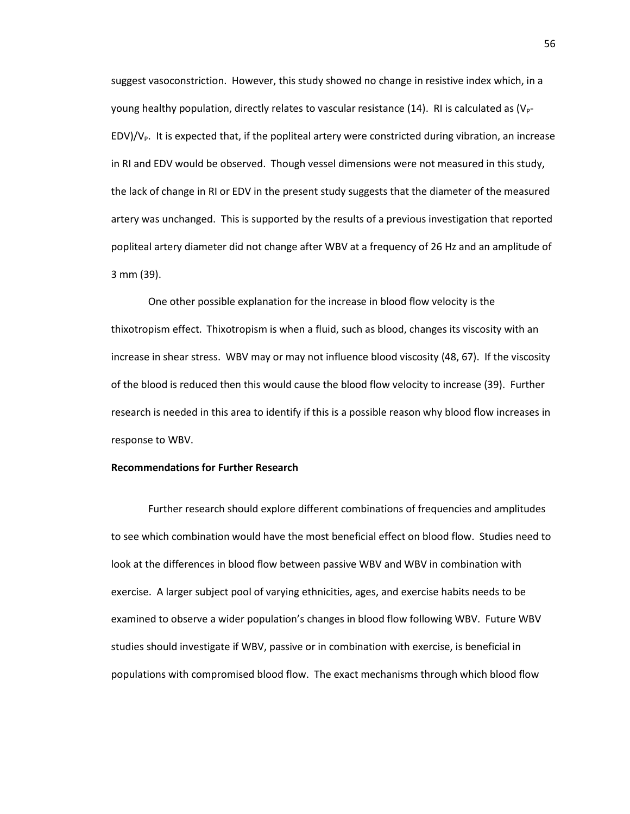suggest vasoconstriction. However, this study showed no change in resistive index which, in a young healthy population, directly relates to vascular resistance (14). RI is calculated as  $(V_P$ - $EDV$ / $V<sub>P</sub>$ . It is expected that, if the popliteal artery were constricted during vibration, an increase in RI and EDV would be observed. Though vessel dimensions were not measured in this study, the lack of change in RI or EDV in the present study suggests that the diameter of the measured artery was unchanged. This is supported by the results of a previous investigation that reported popliteal artery diameter did not change after WBV at a frequency of 26 Hz and an amplitude of 3 mm (39).

One other possible explanation for the increase in blood flow velocity is the thixotropism effect. Thixotropism is when a fluid, such as blood, changes its viscosity with an increase in shear stress. WBV may or may not influence blood viscosity (48, 67). If the viscosity of the blood is reduced then this would cause the blood flow velocity to increase (39). Further research is needed in this area to identify if this is a possible reason why blood flow increases in response to WBV.

#### **Recommendations for Further Research**

Further research should explore different combinations of frequencies and amplitudes to see which combination would have the most beneficial effect on blood flow. Studies need to look at the differences in blood flow between passive WBV and WBV in combination with exercise. A larger subject pool of varying ethnicities, ages, and exercise habits needs to be examined to observe a wider population's changes in blood flow following WBV. Future WBV studies should investigate if WBV, passive or in combination with exercise, is beneficial in populations with compromised blood flow. The exact mechanisms through which blood flow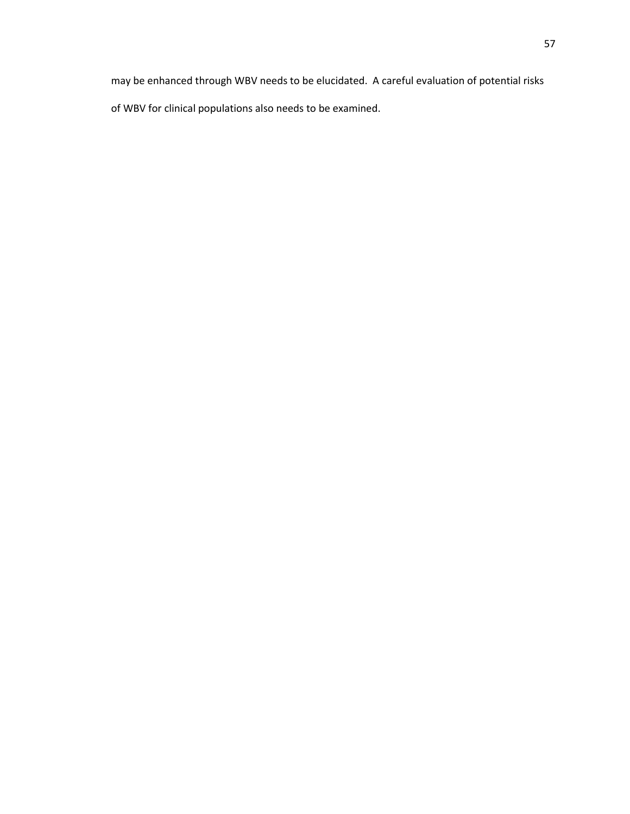may be enhanced through WBV needs to be elucidated. A careful evaluation of potential risks of WBV for clinical populations also needs to be examined.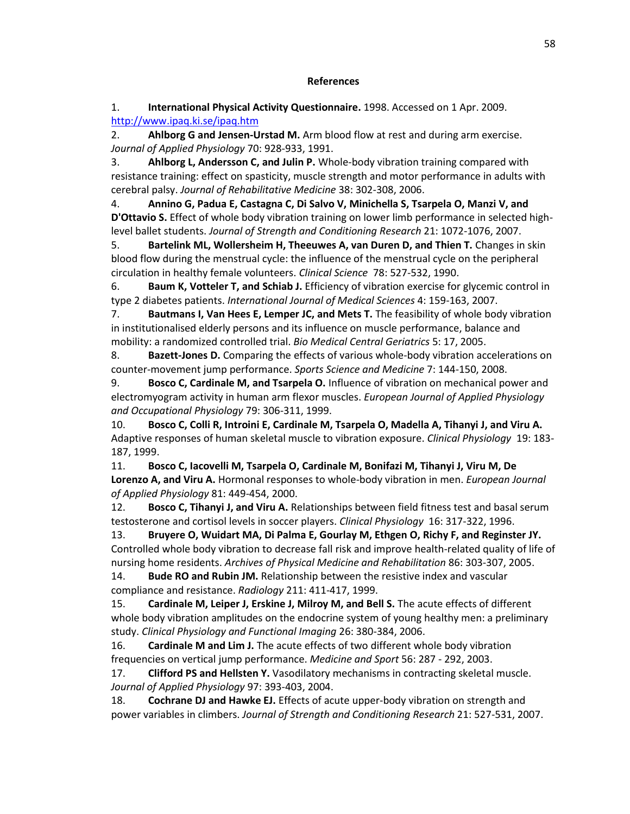# **References**

1. **International Physical Activity Questionnaire.** 1998. Accessed on 1 Apr. 2009. <http://www.ipaq.ki.se/ipaq.htm>

2. **Ahlborg G and Jensen-Urstad M.** Arm blood flow at rest and during arm exercise. *Journal of Applied Physiology* 70: 928-933, 1991.

3. **Ahlborg L, Andersson C, and Julin P.** Whole-body vibration training compared with resistance training: effect on spasticity, muscle strength and motor performance in adults with cerebral palsy. *Journal of Rehabilitative Medicine* 38: 302-308, 2006.

4. **Annino G, Padua E, Castagna C, Di Salvo V, Minichella S, Tsarpela O, Manzi V, and D'Ottavio S.** Effect of whole body vibration training on lower limb performance in selected highlevel ballet students. *Journal of Strength and Conditioning Research* 21: 1072-1076, 2007.

5. **Bartelink ML, Wollersheim H, Theeuwes A, van Duren D, and Thien T.** Changes in skin blood flow during the menstrual cycle: the influence of the menstrual cycle on the peripheral circulation in healthy female volunteers. *Clinical Science* 78: 527-532, 1990.

6. **Baum K, Votteler T, and Schiab J.** Efficiency of vibration exercise for glycemic control in type 2 diabetes patients. *International Journal of Medical Sciences* 4: 159-163, 2007.

7. **Bautmans I, Van Hees E, Lemper JC, and Mets T.** The feasibility of whole body vibration in institutionalised elderly persons and its influence on muscle performance, balance and mobility: a randomized controlled trial. *Bio Medical Central Geriatrics* 5: 17, 2005.

8. **Bazett-Jones D.** Comparing the effects of various whole-body vibration accelerations on counter-movement jump performance. *Sports Science and Medicine* 7: 144-150, 2008.

9. **Bosco C, Cardinale M, and Tsarpela O.** Influence of vibration on mechanical power and electromyogram activity in human arm flexor muscles. *European Journal of Applied Physiology and Occupational Physiology* 79: 306-311, 1999.

10. **Bosco C, Colli R, Introini E, Cardinale M, Tsarpela O, Madella A, Tihanyi J, and Viru A.** Adaptive responses of human skeletal muscle to vibration exposure. *Clinical Physiology* 19: 183- 187, 1999.

11. **Bosco C, Iacovelli M, Tsarpela O, Cardinale M, Bonifazi M, Tihanyi J, Viru M, De Lorenzo A, and Viru A.** Hormonal responses to whole-body vibration in men. *European Journal of Applied Physiology* 81: 449-454, 2000.

12. **Bosco C, Tihanyi J, and Viru A.** Relationships between field fitness test and basal serum testosterone and cortisol levels in soccer players. *Clinical Physiology* 16: 317-322, 1996.

13. **Bruyere O, Wuidart MA, Di Palma E, Gourlay M, Ethgen O, Richy F, and Reginster JY.** Controlled whole body vibration to decrease fall risk and improve health-related quality of life of nursing home residents. *Archives of Physical Medicine and Rehabilitation* 86: 303-307, 2005.

14. **Bude RO and Rubin JM.** Relationship between the resistive index and vascular compliance and resistance. *Radiology* 211: 411-417, 1999.

15. **Cardinale M, Leiper J, Erskine J, Milroy M, and Bell S.** The acute effects of different whole body vibration amplitudes on the endocrine system of young healthy men: a preliminary study. *Clinical Physiology and Functional Imaging* 26: 380-384, 2006.

16. **Cardinale M and Lim J.** The acute effects of two different whole body vibration frequencies on vertical jump performance. *Medicine and Sport* 56: 287 - 292, 2003.

17. **Clifford PS and Hellsten Y.** Vasodilatory mechanisms in contracting skeletal muscle. *Journal of Applied Physiology* 97: 393-403, 2004.

18. **Cochrane DJ and Hawke EJ.** Effects of acute upper-body vibration on strength and power variables in climbers. *Journal of Strength and Conditioning Research* 21: 527-531, 2007.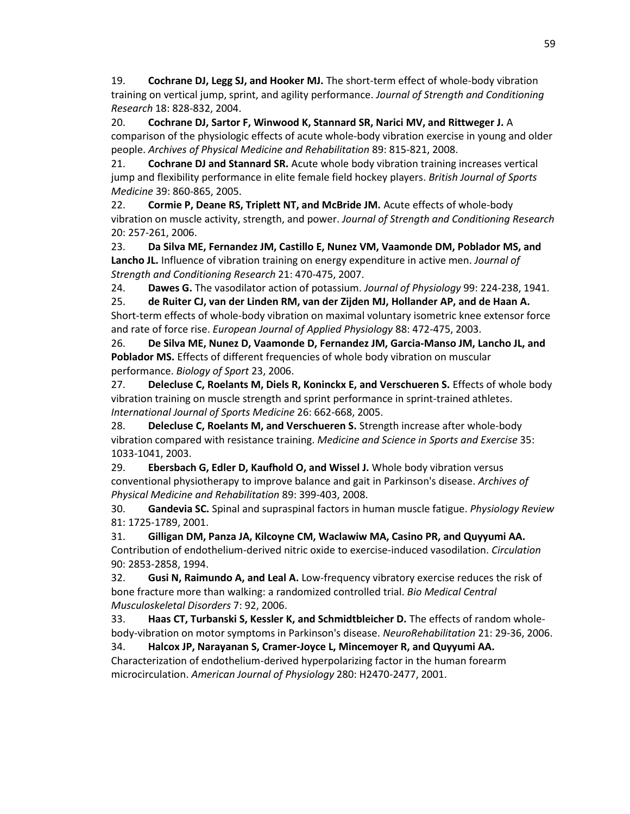19. **Cochrane DJ, Legg SJ, and Hooker MJ.** The short-term effect of whole-body vibration training on vertical jump, sprint, and agility performance. *Journal of Strength and Conditioning Research* 18: 828-832, 2004.

20. **Cochrane DJ, Sartor F, Winwood K, Stannard SR, Narici MV, and Rittweger J.** A comparison of the physiologic effects of acute whole-body vibration exercise in young and older people. *Archives of Physical Medicine and Rehabilitation* 89: 815-821, 2008.

21. **Cochrane DJ and Stannard SR.** Acute whole body vibration training increases vertical jump and flexibility performance in elite female field hockey players. *British Journal of Sports Medicine* 39: 860-865, 2005.

22. **Cormie P, Deane RS, Triplett NT, and McBride JM.** Acute effects of whole-body vibration on muscle activity, strength, and power. *Journal of Strength and Conditioning Research*  20: 257-261, 2006.

23. **Da Silva ME, Fernandez JM, Castillo E, Nunez VM, Vaamonde DM, Poblador MS, and Lancho JL.** Influence of vibration training on energy expenditure in active men. *Journal of Strength and Conditioning Research* 21: 470-475, 2007.

24. **Dawes G.** The vasodilator action of potassium. *Journal of Physiology* 99: 224-238, 1941.

25. **de Ruiter CJ, van der Linden RM, van der Zijden MJ, Hollander AP, and de Haan A.** Short-term effects of whole-body vibration on maximal voluntary isometric knee extensor force and rate of force rise. *European Journal of Applied Physiology* 88: 472-475, 2003.

26. **De Silva ME, Nunez D, Vaamonde D, Fernandez JM, Garcia-Manso JM, Lancho JL, and Poblador MS.** Effects of different frequencies of whole body vibration on muscular performance. *Biology of Sport* 23, 2006.

27. **Delecluse C, Roelants M, Diels R, Koninckx E, and Verschueren S.** Effects of whole body vibration training on muscle strength and sprint performance in sprint-trained athletes. *International Journal of Sports Medicine* 26: 662-668, 2005.

28. **Delecluse C, Roelants M, and Verschueren S.** Strength increase after whole-body vibration compared with resistance training. *Medicine and Science in Sports and Exercise* 35: 1033-1041, 2003.

29. **Ebersbach G, Edler D, Kaufhold O, and Wissel J.** Whole body vibration versus conventional physiotherapy to improve balance and gait in Parkinson's disease. *Archives of Physical Medicine and Rehabilitation* 89: 399-403, 2008.

30. **Gandevia SC.** Spinal and supraspinal factors in human muscle fatigue. *Physiology Review* 81: 1725-1789, 2001.

31. **Gilligan DM, Panza JA, Kilcoyne CM, Waclawiw MA, Casino PR, and Quyyumi AA.** Contribution of endothelium-derived nitric oxide to exercise-induced vasodilation. *Circulation* 90: 2853-2858, 1994.

32. **Gusi N, Raimundo A, and Leal A.** Low-frequency vibratory exercise reduces the risk of bone fracture more than walking: a randomized controlled trial. *Bio Medical Central Musculoskeletal Disorders* 7: 92, 2006.

33. **Haas CT, Turbanski S, Kessler K, and Schmidtbleicher D.** The effects of random wholebody-vibration on motor symptoms in Parkinson's disease. *NeuroRehabilitation* 21: 29-36, 2006.

34. **Halcox JP, Narayanan S, Cramer-Joyce L, Mincemoyer R, and Quyyumi AA.** Characterization of endothelium-derived hyperpolarizing factor in the human forearm microcirculation. *American Journal of Physiology* 280: H2470-2477, 2001.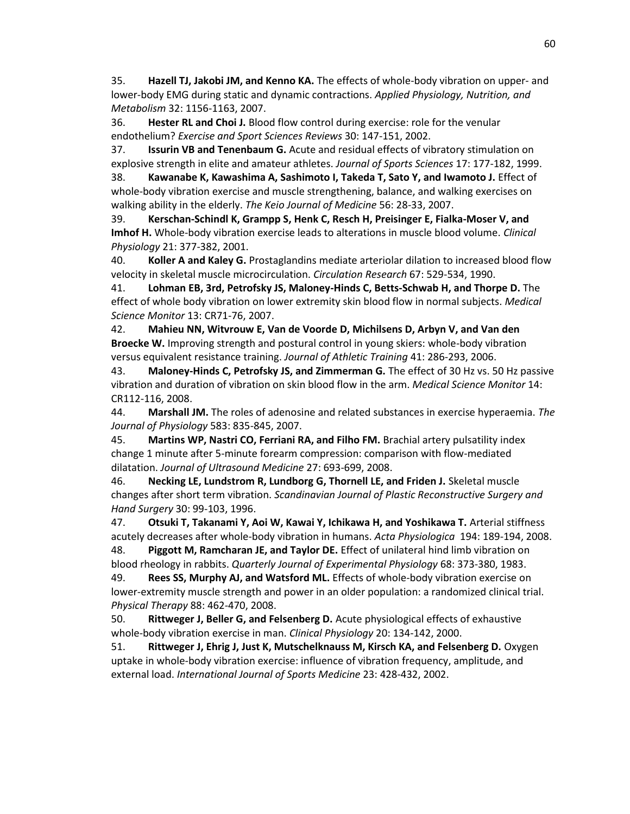35. **Hazell TJ, Jakobi JM, and Kenno KA.** The effects of whole-body vibration on upper- and lower-body EMG during static and dynamic contractions. *Applied Physiology, Nutrition, and Metabolism* 32: 1156-1163, 2007.

36. **Hester RL and Choi J.** Blood flow control during exercise: role for the venular endothelium? *Exercise and Sport Sciences Reviews* 30: 147-151, 2002.

37. **Issurin VB and Tenenbaum G.** Acute and residual effects of vibratory stimulation on explosive strength in elite and amateur athletes. *Journal of Sports Sciences* 17: 177-182, 1999.

38. **Kawanabe K, Kawashima A, Sashimoto I, Takeda T, Sato Y, and Iwamoto J.** Effect of whole-body vibration exercise and muscle strengthening, balance, and walking exercises on walking ability in the elderly. *The Keio Journal of Medicine* 56: 28-33, 2007.

39. **Kerschan-Schindl K, Grampp S, Henk C, Resch H, Preisinger E, Fialka-Moser V, and Imhof H.** Whole-body vibration exercise leads to alterations in muscle blood volume. *Clinical Physiology* 21: 377-382, 2001.

40. **Koller A and Kaley G.** Prostaglandins mediate arteriolar dilation to increased blood flow velocity in skeletal muscle microcirculation. *Circulation Research* 67: 529-534, 1990.

41. **Lohman EB, 3rd, Petrofsky JS, Maloney-Hinds C, Betts-Schwab H, and Thorpe D.** The effect of whole body vibration on lower extremity skin blood flow in normal subjects. *Medical Science Monitor* 13: CR71-76, 2007.

42. **Mahieu NN, Witvrouw E, Van de Voorde D, Michilsens D, Arbyn V, and Van den Broecke W.** Improving strength and postural control in young skiers: whole-body vibration versus equivalent resistance training. *Journal of Athletic Training* 41: 286-293, 2006.

43. **Maloney-Hinds C, Petrofsky JS, and Zimmerman G.** The effect of 30 Hz vs. 50 Hz passive vibration and duration of vibration on skin blood flow in the arm. *Medical Science Monitor* 14: CR112-116, 2008.

44. **Marshall JM.** The roles of adenosine and related substances in exercise hyperaemia. *The Journal of Physiology* 583: 835-845, 2007.

45. **Martins WP, Nastri CO, Ferriani RA, and Filho FM.** Brachial artery pulsatility index change 1 minute after 5-minute forearm compression: comparison with flow-mediated dilatation. *Journal of Ultrasound Medicine* 27: 693-699, 2008.

46. **Necking LE, Lundstrom R, Lundborg G, Thornell LE, and Friden J.** Skeletal muscle changes after short term vibration. *Scandinavian Journal of Plastic Reconstructive Surgery and Hand Surgery* 30: 99-103, 1996.

47. **Otsuki T, Takanami Y, Aoi W, Kawai Y, Ichikawa H, and Yoshikawa T.** Arterial stiffness acutely decreases after whole-body vibration in humans. *Acta Physiologica* 194: 189-194, 2008.

48. **Piggott M, Ramcharan JE, and Taylor DE.** Effect of unilateral hind limb vibration on blood rheology in rabbits. *Quarterly Journal of Experimental Physiology* 68: 373-380, 1983.

49. **Rees SS, Murphy AJ, and Watsford ML.** Effects of whole-body vibration exercise on lower-extremity muscle strength and power in an older population: a randomized clinical trial. *Physical Therapy* 88: 462-470, 2008.

50. **Rittweger J, Beller G, and Felsenberg D.** Acute physiological effects of exhaustive whole-body vibration exercise in man. *Clinical Physiology* 20: 134-142, 2000.

51. **Rittweger J, Ehrig J, Just K, Mutschelknauss M, Kirsch KA, and Felsenberg D.** Oxygen uptake in whole-body vibration exercise: influence of vibration frequency, amplitude, and external load. *International Journal of Sports Medicine* 23: 428-432, 2002.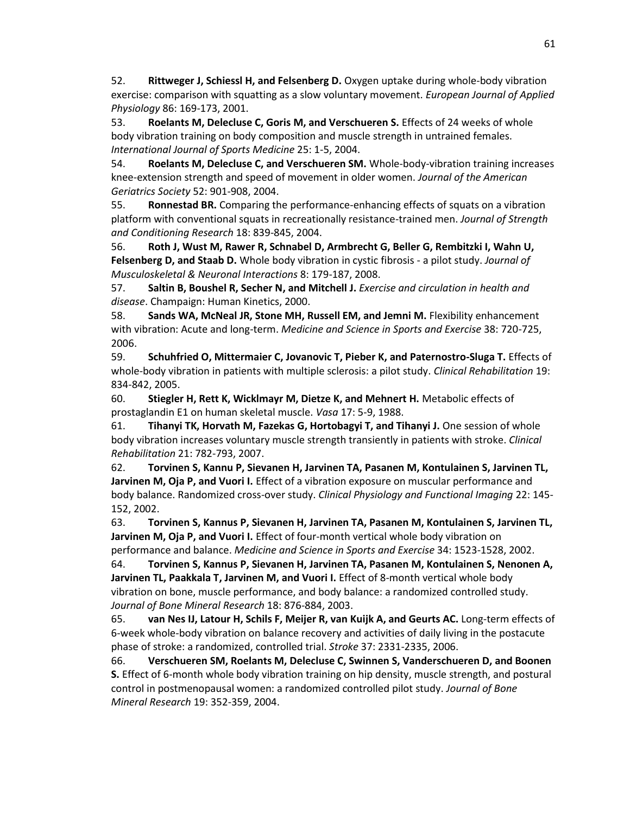52. **Rittweger J, Schiessl H, and Felsenberg D.** Oxygen uptake during whole-body vibration exercise: comparison with squatting as a slow voluntary movement. *European Journal of Applied Physiology* 86: 169-173, 2001.

53. **Roelants M, Delecluse C, Goris M, and Verschueren S.** Effects of 24 weeks of whole body vibration training on body composition and muscle strength in untrained females. *International Journal of Sports Medicine* 25: 1-5, 2004.

54. **Roelants M, Delecluse C, and Verschueren SM.** Whole-body-vibration training increases knee-extension strength and speed of movement in older women. *Journal of the American Geriatrics Society* 52: 901-908, 2004.

55. **Ronnestad BR.** Comparing the performance-enhancing effects of squats on a vibration platform with conventional squats in recreationally resistance-trained men. *Journal of Strength and Conditioning Research* 18: 839-845, 2004.

56. **Roth J, Wust M, Rawer R, Schnabel D, Armbrecht G, Beller G, Rembitzki I, Wahn U, Felsenberg D, and Staab D.** Whole body vibration in cystic fibrosis - a pilot study. *Journal of Musculoskeletal & Neuronal Interactions* 8: 179-187, 2008.

57. **Saltin B, Boushel R, Secher N, and Mitchell J.** *Exercise and circulation in health and disease*. Champaign: Human Kinetics, 2000.

58. **Sands WA, McNeal JR, Stone MH, Russell EM, and Jemni M.** Flexibility enhancement with vibration: Acute and long-term. *Medicine and Science in Sports and Exercise* 38: 720-725, 2006.

59. **Schuhfried O, Mittermaier C, Jovanovic T, Pieber K, and Paternostro-Sluga T.** Effects of whole-body vibration in patients with multiple sclerosis: a pilot study. *Clinical Rehabilitation* 19: 834-842, 2005.

60. **Stiegler H, Rett K, Wicklmayr M, Dietze K, and Mehnert H.** Metabolic effects of prostaglandin E1 on human skeletal muscle. *Vasa* 17: 5-9, 1988.

61. **Tihanyi TK, Horvath M, Fazekas G, Hortobagyi T, and Tihanyi J.** One session of whole body vibration increases voluntary muscle strength transiently in patients with stroke. *Clinical Rehabilitation* 21: 782-793, 2007.

62. **Torvinen S, Kannu P, Sievanen H, Jarvinen TA, Pasanen M, Kontulainen S, Jarvinen TL, Jarvinen M, Oja P, and Vuori I.** Effect of a vibration exposure on muscular performance and body balance. Randomized cross-over study. *Clinical Physiology and Functional Imaging* 22: 145- 152, 2002.

63. **Torvinen S, Kannus P, Sievanen H, Jarvinen TA, Pasanen M, Kontulainen S, Jarvinen TL, Jarvinen M, Oja P, and Vuori I.** Effect of four-month vertical whole body vibration on performance and balance. *Medicine and Science in Sports and Exercise* 34: 1523-1528, 2002.

64. **Torvinen S, Kannus P, Sievanen H, Jarvinen TA, Pasanen M, Kontulainen S, Nenonen A, Jarvinen TL, Paakkala T, Jarvinen M, and Vuori I.** Effect of 8-month vertical whole body vibration on bone, muscle performance, and body balance: a randomized controlled study. *Journal of Bone Mineral Research* 18: 876-884, 2003.

65. **van Nes IJ, Latour H, Schils F, Meijer R, van Kuijk A, and Geurts AC.** Long-term effects of 6-week whole-body vibration on balance recovery and activities of daily living in the postacute phase of stroke: a randomized, controlled trial. *Stroke* 37: 2331-2335, 2006.

66. **Verschueren SM, Roelants M, Delecluse C, Swinnen S, Vanderschueren D, and Boonen S.** Effect of 6-month whole body vibration training on hip density, muscle strength, and postural control in postmenopausal women: a randomized controlled pilot study. *Journal of Bone Mineral Research* 19: 352-359, 2004.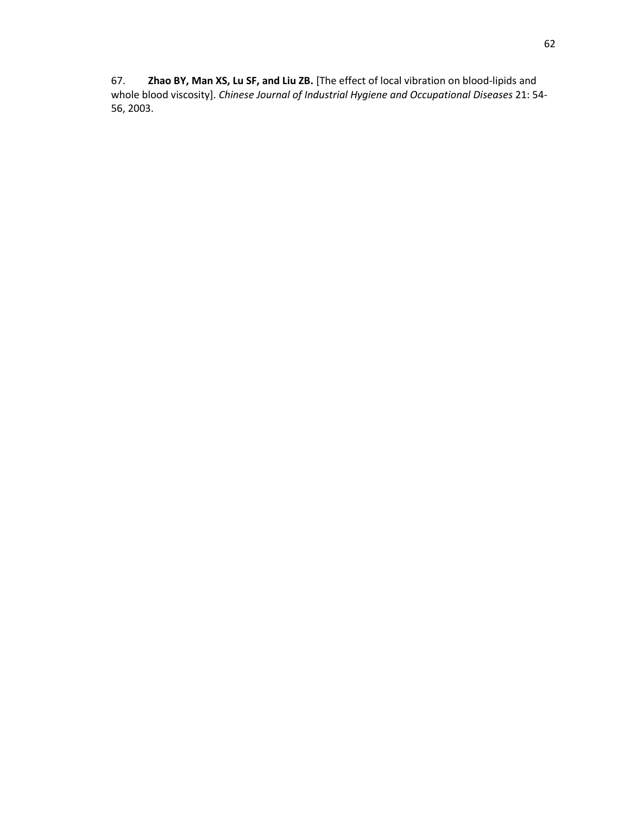67. **Zhao BY, Man XS, Lu SF, and Liu ZB.** [The effect of local vibration on blood-lipids and whole blood viscosity]. *Chinese Journal of Industrial Hygiene and Occupational Diseases* 21: 54- 56, 2003.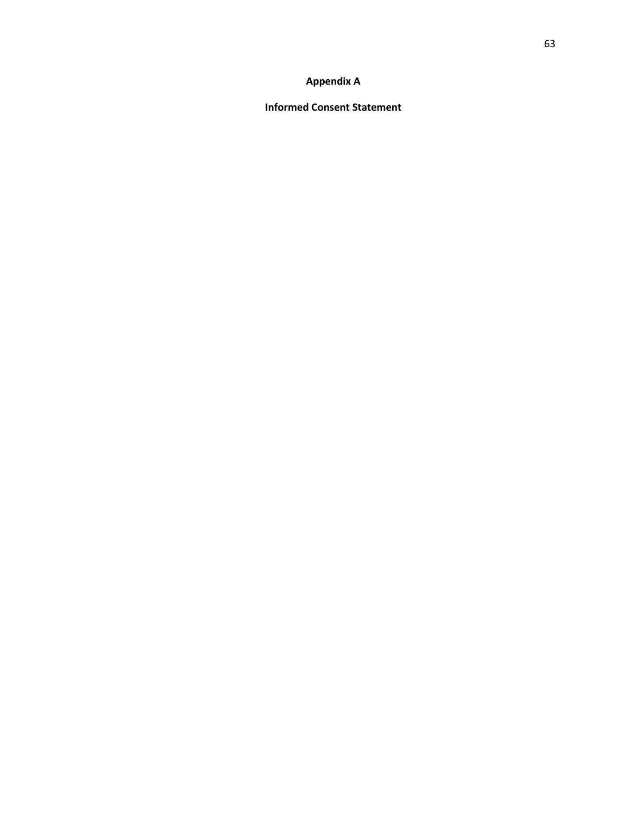# **Appendix A**

**Informed Consent Statement**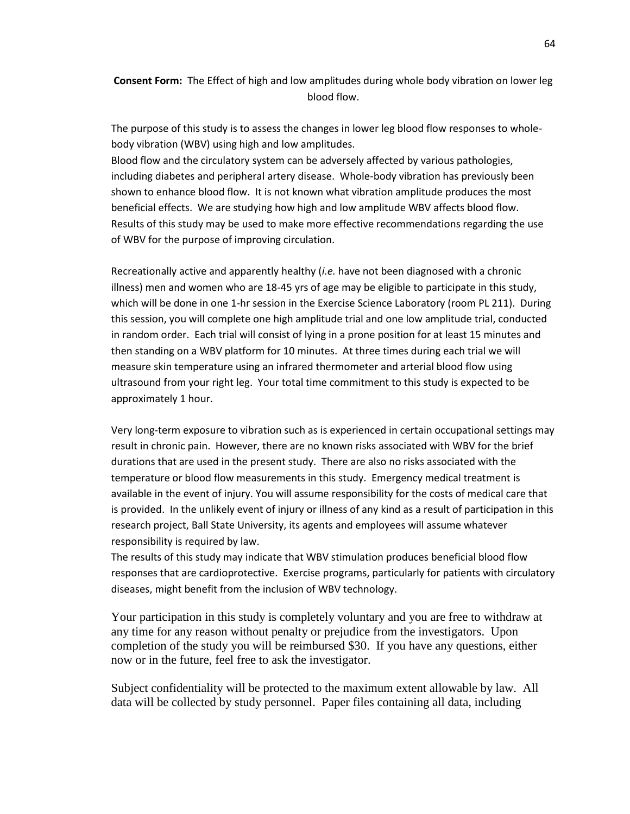**Consent Form:** The Effect of high and low amplitudes during whole body vibration on lower leg blood flow.

The purpose of this study is to assess the changes in lower leg blood flow responses to wholebody vibration (WBV) using high and low amplitudes.

Blood flow and the circulatory system can be adversely affected by various pathologies, including diabetes and peripheral artery disease. Whole-body vibration has previously been shown to enhance blood flow. It is not known what vibration amplitude produces the most beneficial effects. We are studying how high and low amplitude WBV affects blood flow. Results of this study may be used to make more effective recommendations regarding the use of WBV for the purpose of improving circulation.

Recreationally active and apparently healthy (*i.e.* have not been diagnosed with a chronic illness) men and women who are 18-45 yrs of age may be eligible to participate in this study, which will be done in one 1-hr session in the Exercise Science Laboratory (room PL 211). During this session, you will complete one high amplitude trial and one low amplitude trial, conducted in random order. Each trial will consist of lying in a prone position for at least 15 minutes and then standing on a WBV platform for 10 minutes. At three times during each trial we will measure skin temperature using an infrared thermometer and arterial blood flow using ultrasound from your right leg. Your total time commitment to this study is expected to be approximately 1 hour.

Very long-term exposure to vibration such as is experienced in certain occupational settings may result in chronic pain. However, there are no known risks associated with WBV for the brief durations that are used in the present study. There are also no risks associated with the temperature or blood flow measurements in this study. Emergency medical treatment is available in the event of injury. You will assume responsibility for the costs of medical care that is provided. In the unlikely event of injury or illness of any kind as a result of participation in this research project, Ball State University, its agents and employees will assume whatever responsibility is required by law.

The results of this study may indicate that WBV stimulation produces beneficial blood flow responses that are cardioprotective. Exercise programs, particularly for patients with circulatory diseases, might benefit from the inclusion of WBV technology.

Your participation in this study is completely voluntary and you are free to withdraw at any time for any reason without penalty or prejudice from the investigators. Upon completion of the study you will be reimbursed \$30. If you have any questions, either now or in the future, feel free to ask the investigator.

Subject confidentiality will be protected to the maximum extent allowable by law. All data will be collected by study personnel. Paper files containing all data, including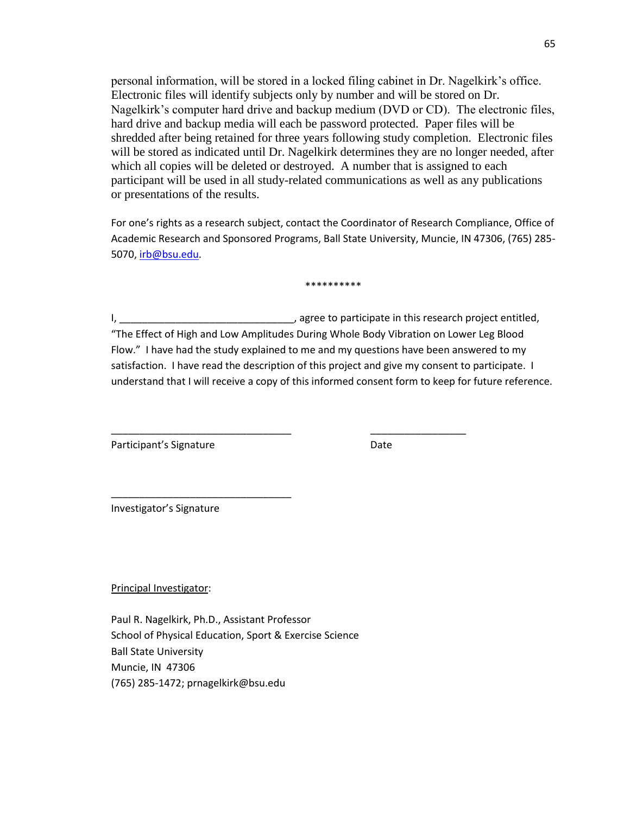personal information, will be stored in a locked filing cabinet in Dr. Nagelkirk's office. Electronic files will identify subjects only by number and will be stored on Dr. Nagelkirk's computer hard drive and backup medium (DVD or CD). The electronic files, hard drive and backup media will each be password protected. Paper files will be shredded after being retained for three years following study completion. Electronic files will be stored as indicated until Dr. Nagelkirk determines they are no longer needed, after which all copies will be deleted or destroyed. A number that is assigned to each participant will be used in all study-related communications as well as any publications or presentations of the results.

For one's rights as a research subject, contact the Coordinator of Research Compliance, Office of Academic Research and Sponsored Programs, Ball State University, Muncie, IN 47306, (765) 285- 5070[, irb@bsu.edu.](mailto:irb@bsu.edu)

\*\*\*\*\*\*\*\*\*

I, the same of the same of the same of the same of the same of the same of the same of the same of the same of the same of the same of the same of the same of the same of the same of the same of the same of the same of the "The Effect of High and Low Amplitudes During Whole Body Vibration on Lower Leg Blood Flow." I have had the study explained to me and my questions have been answered to my satisfaction. I have read the description of this project and give my consent to participate. I understand that I will receive a copy of this informed consent form to keep for future reference.

\_\_\_\_\_\_\_\_\_\_\_\_\_\_\_\_\_\_\_\_\_\_\_\_\_\_\_\_\_\_\_\_ \_\_\_\_\_\_\_\_\_\_\_\_\_\_\_\_\_

Participant's Signature **Date** Date

Investigator's Signature

\_\_\_\_\_\_\_\_\_\_\_\_\_\_\_\_\_\_\_\_\_\_\_\_\_\_\_\_\_\_\_\_

Principal Investigator:

Paul R. Nagelkirk, Ph.D., Assistant Professor School of Physical Education, Sport & Exercise Science Ball State University Muncie, IN 47306 (765) 285-1472; prnagelkirk@bsu.edu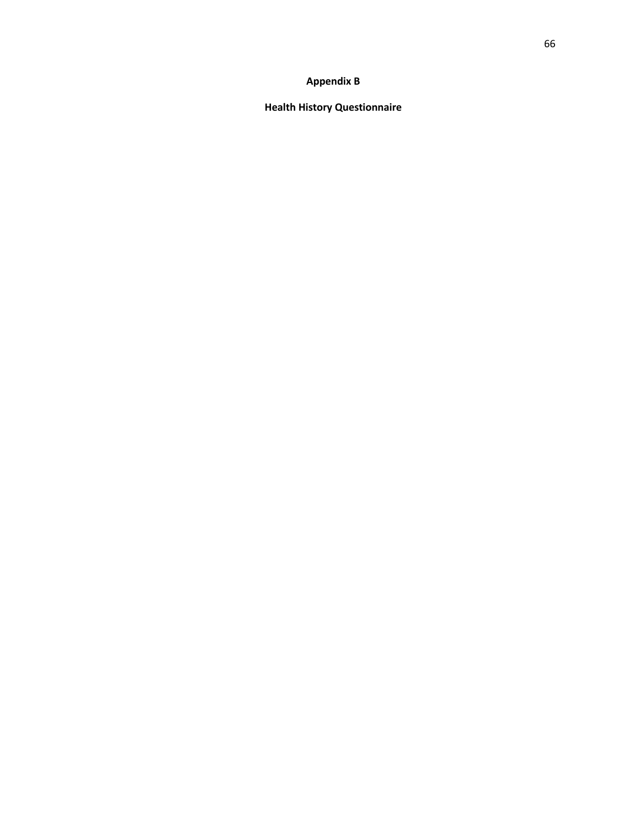# **Appendix B**

**Health History Questionnaire**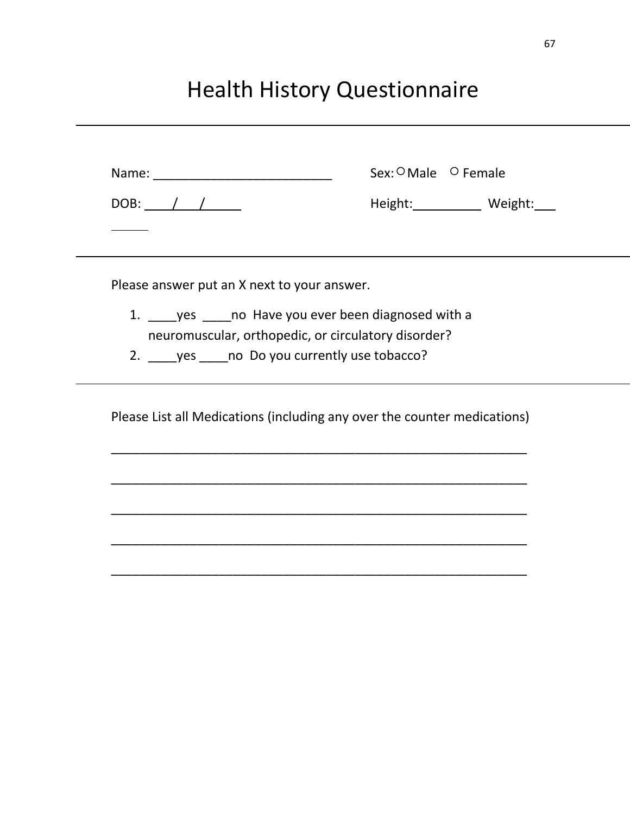## Health History Questionnaire

|                                                     | Sex: <sup>O</sup> Male <sup>O</sup> Female                               |
|-----------------------------------------------------|--------------------------------------------------------------------------|
| DOB: $\angle$                                       | Height: Weight:                                                          |
|                                                     |                                                                          |
| Please answer put an X next to your answer.         |                                                                          |
| 1. yes _____ no Have you ever been diagnosed with a |                                                                          |
| neuromuscular, orthopedic, or circulatory disorder? |                                                                          |
| 2. ves ____ no Do you currently use tobacco?        |                                                                          |
|                                                     | Please List all Medications (including any over the counter medications) |
|                                                     |                                                                          |
|                                                     |                                                                          |
|                                                     |                                                                          |
|                                                     |                                                                          |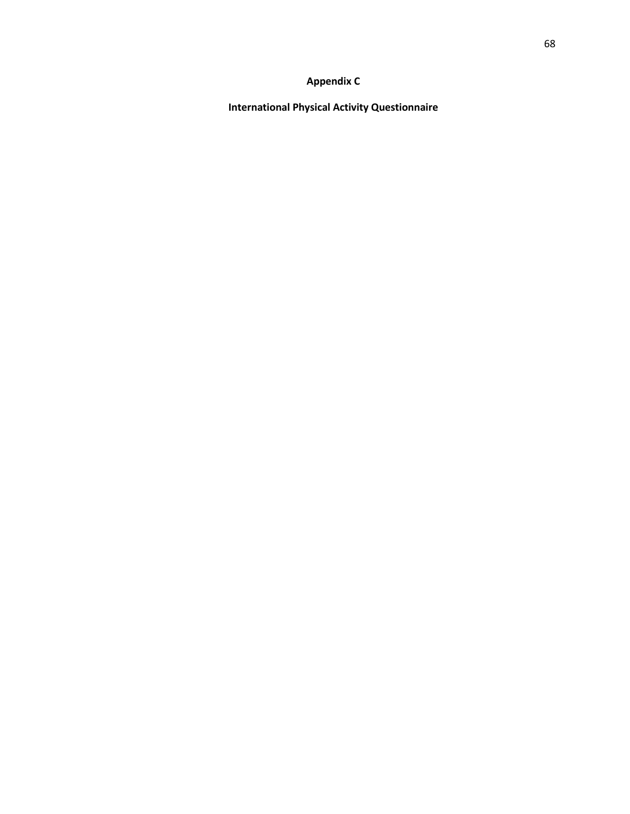## **Appendix C**

**International Physical Activity Questionnaire**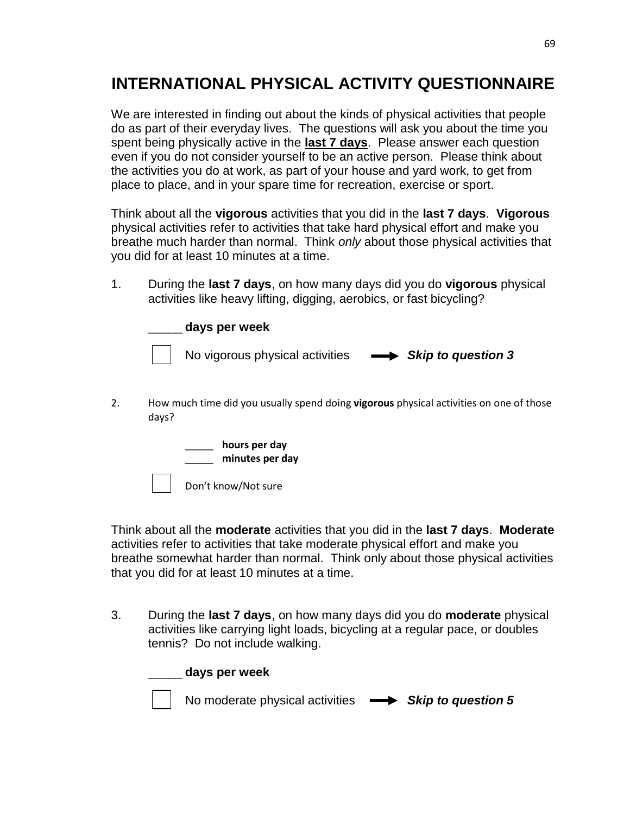## **INTERNATIONAL PHYSICAL ACTIVITY QUESTIONNAIRE**

We are interested in finding out about the kinds of physical activities that people do as part of their everyday lives. The questions will ask you about the time you spent being physically active in the **last 7 days**. Please answer each question even if you do not consider yourself to be an active person. Please think about the activities you do at work, as part of your house and yard work, to get from place to place, and in your spare time for recreation, exercise or sport.

Think about all the **vigorous** activities that you did in the **last 7 days**. **Vigorous** physical activities refer to activities that take hard physical effort and make you breathe much harder than normal. Think *only* about those physical activities that you did for at least 10 minutes at a time.

1. During the **last 7 days**, on how many days did you do **vigorous** physical activities like heavy lifting, digging, aerobics, or fast bicycling?



2. How much time did you usually spend doing **vigorous** physical activities on one of those days?



Think about all the **moderate** activities that you did in the **last 7 days**. **Moderate** activities refer to activities that take moderate physical effort and make you breathe somewhat harder than normal. Think only about those physical activities that you did for at least 10 minutes at a time.

3. During the **last 7 days**, on how many days did you do **moderate** physical activities like carrying light loads, bicycling at a regular pace, or doubles tennis? Do not include walking.